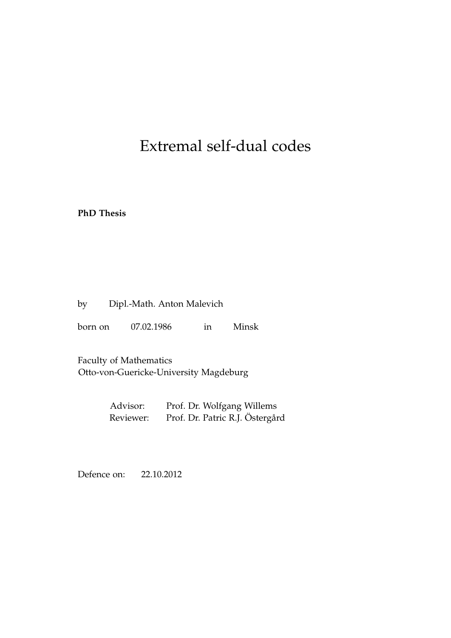## Extremal self-dual codes

**PhD Thesis**

| by | Dipl.-Math. Anton Malevich |  |  |
|----|----------------------------|--|--|
|----|----------------------------|--|--|

born on 07.02.1986 in Minsk

Faculty of Mathematics Otto-von-Guericke-University Magdeburg

| Advisor:  | Prof. Dr. Wolfgang Willems      |
|-----------|---------------------------------|
| Reviewer: | Prof. Dr. Patric R.J. Östergård |

Defence on: 22.10.2012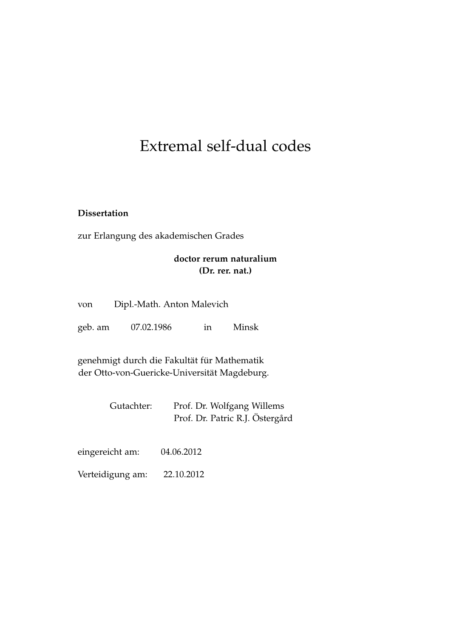## Extremal self-dual codes

#### **Dissertation**

zur Erlangung des akademischen Grades

#### **doctor rerum naturalium (Dr. rer. nat.)**

| Dipl.-Math. Anton Malevich<br>von |            |    |       |
|-----------------------------------|------------|----|-------|
| geb. am                           | 07.02.1986 | in | Minsk |

genehmigt durch die Fakultät für Mathematik der Otto-von-Guericke-Universität Magdeburg.

| Gutachter: | Prof. Dr. Wolfgang Willems      |
|------------|---------------------------------|
|            | Prof. Dr. Patric R.J. Östergård |

| eingereicht am:  | 04.06.2012 |
|------------------|------------|
| Verteidigung am: | 22.10.2012 |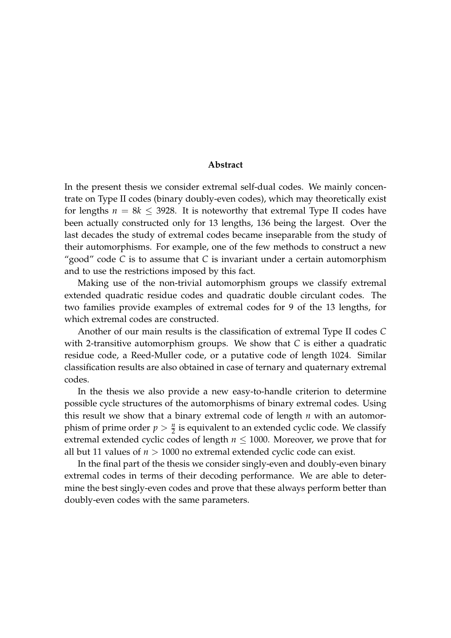#### **Abstract**

In the present thesis we consider extremal self-dual codes. We mainly concentrate on Type II codes (binary doubly-even codes), which may theoretically exist for lengths  $n = 8k \leq 3928$ . It is noteworthy that extremal Type II codes have been actually constructed only for 13 lengths, 136 being the largest. Over the last decades the study of extremal codes became inseparable from the study of their automorphisms. For example, one of the few methods to construct a new "good" code *C* is to assume that *C* is invariant under a certain automorphism and to use the restrictions imposed by this fact.

Making use of the non-trivial automorphism groups we classify extremal extended quadratic residue codes and quadratic double circulant codes. The two families provide examples of extremal codes for 9 of the 13 lengths, for which extremal codes are constructed.

Another of our main results is the classification of extremal Type II codes *C* with 2-transitive automorphism groups. We show that *C* is either a quadratic residue code, a Reed-Muller code, or a putative code of length 1024. Similar classification results are also obtained in case of ternary and quaternary extremal codes.

In the thesis we also provide a new easy-to-handle criterion to determine possible cycle structures of the automorphisms of binary extremal codes. Using this result we show that a binary extremal code of length *n* with an automorphism of prime order  $p > \frac{n}{2}$  is equivalent to an extended cyclic code. We classify extremal extended cyclic codes of length  $n \leq 1000$ . Moreover, we prove that for all but 11 values of *n* > 1000 no extremal extended cyclic code can exist.

In the final part of the thesis we consider singly-even and doubly-even binary extremal codes in terms of their decoding performance. We are able to determine the best singly-even codes and prove that these always perform better than doubly-even codes with the same parameters.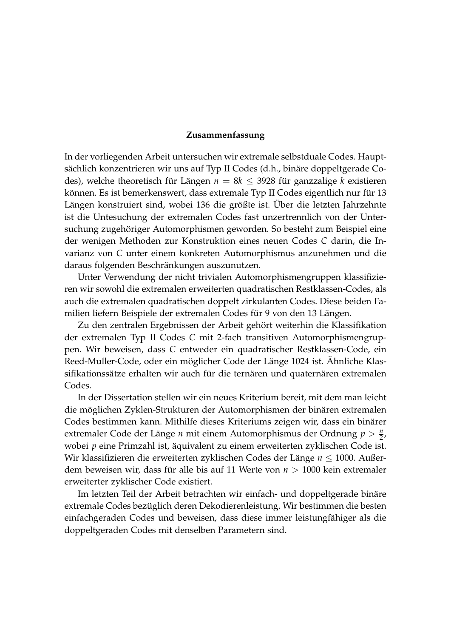#### **Zusammenfassung**

In der vorliegenden Arbeit untersuchen wir extremale selbstduale Codes. Hauptsächlich konzentrieren wir uns auf Typ II Codes (d.h., binäre doppeltgerade Codes), welche theoretisch für Längen *n* = 8*k* ≤ 3928 für ganzzalige *k* existieren können. Es ist bemerkenswert, dass extremale Typ II Codes eigentlich nur für 13 Längen konstruiert sind, wobei 136 die größte ist. Über die letzten Jahrzehnte ist die Untesuchung der extremalen Codes fast unzertrennlich von der Untersuchung zugehöriger Automorphismen geworden. So besteht zum Beispiel eine der wenigen Methoden zur Konstruktion eines neuen Codes *C* darin, die Invarianz von *C* unter einem konkreten Automorphismus anzunehmen und die daraus folgenden Beschränkungen auszunutzen.

Unter Verwendung der nicht trivialen Automorphismengruppen klassifizieren wir sowohl die extremalen erweiterten quadratischen Restklassen-Codes, als auch die extremalen quadratischen doppelt zirkulanten Codes. Diese beiden Familien liefern Beispiele der extremalen Codes für 9 von den 13 Längen.

Zu den zentralen Ergebnissen der Arbeit gehört weiterhin die Klassifikation der extremalen Typ II Codes *C* mit 2-fach transitiven Automorphismengruppen. Wir beweisen, dass *C* entweder ein quadratischer Restklassen-Code, ein Reed-Muller-Code, oder ein möglicher Code der Länge 1024 ist. Ähnliche Klassifikationssätze erhalten wir auch für die ternären und quaternären extremalen Codes.

In der Dissertation stellen wir ein neues Kriterium bereit, mit dem man leicht die möglichen Zyklen-Strukturen der Automorphismen der binären extremalen Codes bestimmen kann. Mithilfe dieses Kriteriums zeigen wir, dass ein binärer extremaler Code der Länge *n* mit einem Automorphismus der Ordnung  $p > \frac{n}{2}$ , wobei *p* eine Primzahl ist, äquivalent zu einem erweiterten zyklischen Code ist. Wir klassifizieren die erweiterten zyklischen Codes der Länge *n* ≤ 1000. Außerdem beweisen wir, dass für alle bis auf 11 Werte von *n* > 1000 kein extremaler erweiterter zyklischer Code existiert.

Im letzten Teil der Arbeit betrachten wir einfach- und doppeltgerade binäre extremale Codes bezüglich deren Dekodierenleistung. Wir bestimmen die besten einfachgeraden Codes und beweisen, dass diese immer leistungfähiger als die doppeltgeraden Codes mit denselben Parametern sind.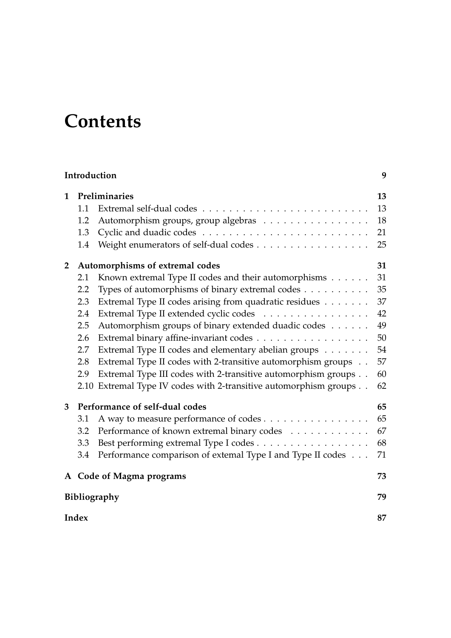# **Contents**

|                |             | Introduction                                                      | 9  |
|----------------|-------------|-------------------------------------------------------------------|----|
| 1              |             | Preliminaries                                                     | 13 |
| 1.1            |             |                                                                   |    |
|                | 1.2         | Automorphism groups, group algebras                               | 18 |
|                | 1.3         |                                                                   | 21 |
|                | 1.4         | Weight enumerators of self-dual codes                             | 25 |
| $\overline{2}$ |             | Automorphisms of extremal codes                                   | 31 |
|                | 2.1         | Known extremal Type II codes and their automorphisms              | 31 |
|                | 2.2         | Types of automorphisms of binary extremal codes                   | 35 |
|                | 2.3         | Extremal Type II codes arising from quadratic residues            | 37 |
|                | 2.4         | Extremal Type II extended cyclic codes                            | 42 |
|                | 2.5         | Automorphism groups of binary extended duadic codes               | 49 |
|                | 2.6         | Extremal binary affine-invariant codes                            | 50 |
|                | 2.7         | Extremal Type II codes and elementary abelian groups              | 54 |
|                | 2.8         | Extremal Type II codes with 2-transitive automorphism groups      | 57 |
|                | 2.9         | Extremal Type III codes with 2-transitive automorphism groups     | 60 |
|                |             | 2.10 Extremal Type IV codes with 2-transitive automorphism groups | 62 |
| 3              |             | Performance of self-dual codes                                    | 65 |
|                | 3.1         | A way to measure performance of codes                             | 65 |
|                | 3.2         | Performance of known extremal binary codes                        | 67 |
|                | 3.3         | Best performing extremal Type I codes                             | 68 |
|                | 3.4         | Performance comparison of extemal Type I and Type II codes        | 71 |
|                |             | A Code of Magma programs                                          | 73 |
|                |             | <b>Bibliography</b>                                               | 79 |
|                | Index<br>87 |                                                                   |    |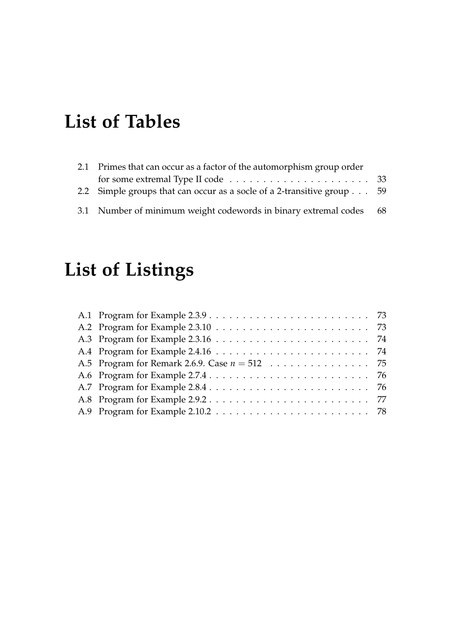# **List of Tables**

| 2.1 Primes that can occur as a factor of the automorphism group order                     |  |  |
|-------------------------------------------------------------------------------------------|--|--|
| for some extremal Type II code $\dots \dots \dots \dots \dots \dots \dots \dots \dots$ 33 |  |  |
| 2.2 Simple groups that can occur as a socle of a 2-transitive group 59                    |  |  |
| 3.1 Number of minimum weight codewords in binary extremal codes 68                        |  |  |

# **List of Listings**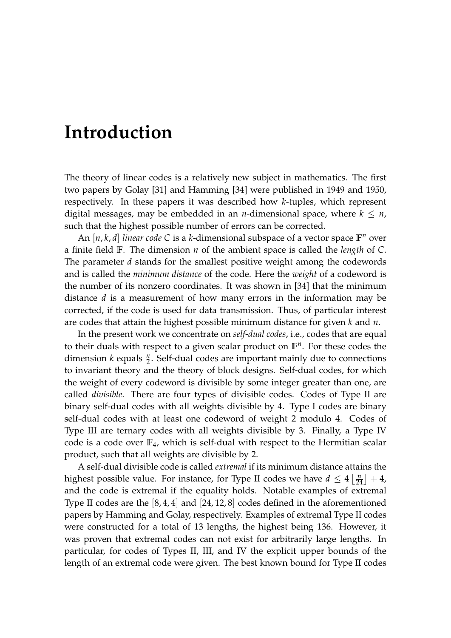# <span id="page-10-0"></span>**Introduction**

The theory of linear codes is a relatively new subject in mathematics. The first two papers by Golay [\[31\]](#page-82-0) and Hamming [\[34\]](#page-82-1) were published in 1949 and 1950, respectively. In these papers it was described how *k*-tuples, which represent digital messages, may be embedded in an *n*-dimensional space, where  $k \leq n$ , such that the highest possible number of errors can be corrected.

An [*n*, *k*, *d*] *linear code* C is a *k*-dimensional subspace of a vector space  $\mathbb{F}^n$  over a finite field **F**. The dimension *n* of the ambient space is called the *length* of *C*. The parameter *d* stands for the smallest positive weight among the codewords and is called the *minimum distance* of the code. Here the *weight* of a codeword is the number of its nonzero coordinates. It was shown in [\[34\]](#page-82-1) that the minimum distance *d* is a measurement of how many errors in the information may be corrected, if the code is used for data transmission. Thus, of particular interest are codes that attain the highest possible minimum distance for given *k* and *n*.

In the present work we concentrate on *self-dual codes*, i.e., codes that are equal to their duals with respect to a given scalar product on  $\mathbb{F}^n$ . For these codes the dimension  $k$  equals  $\frac{n}{2}$ . Self-dual codes are important mainly due to connections to invariant theory and the theory of block designs. Self-dual codes, for which the weight of every codeword is divisible by some integer greater than one, are called *divisible*. There are four types of divisible codes. Codes of Type II are binary self-dual codes with all weights divisible by 4. Type I codes are binary self-dual codes with at least one codeword of weight 2 modulo 4. Codes of Type III are ternary codes with all weights divisible by 3. Finally, a Type IV code is a code over **F**4, which is self-dual with respect to the Hermitian scalar product, such that all weights are divisible by 2.

A self-dual divisible code is called *extremal* if its minimum distance attains the highest possible value. For instance, for Type II codes we have  $d \leq 4 \left\lfloor \frac{n}{24} \right\rfloor + 4$ , and the code is extremal if the equality holds. Notable examples of extremal Type II codes are the [8, 4, 4] and [24, 12, 8] codes defined in the aforementioned papers by Hamming and Golay, respectively. Examples of extremal Type II codes were constructed for a total of 13 lengths, the highest being 136. However, it was proven that extremal codes can not exist for arbitrarily large lengths. In particular, for codes of Types II, III, and IV the explicit upper bounds of the length of an extremal code were given. The best known bound for Type II codes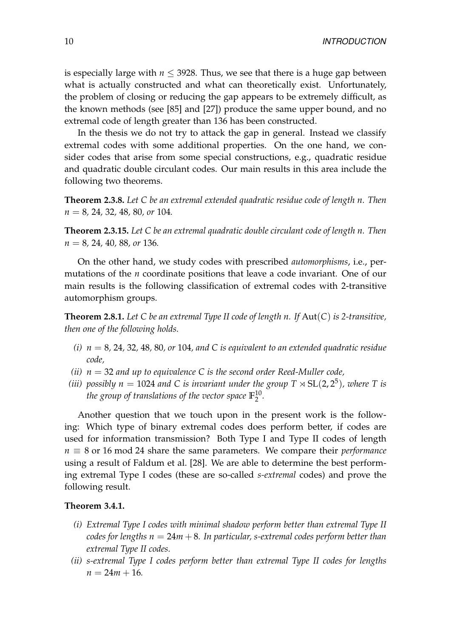is especially large with  $n \leq 3928$ . Thus, we see that there is a huge gap between what is actually constructed and what can theoretically exist. Unfortunately, the problem of closing or reducing the gap appears to be extremely difficult, as the known methods (see [\[85\]](#page-86-0) and [\[27\]](#page-82-2)) produce the same upper bound, and no extremal code of length greater than 136 has been constructed.

In the thesis we do not try to attack the gap in general. Instead we classify extremal codes with some additional properties. On the one hand, we consider codes that arise from some special constructions, e.g., quadratic residue and quadratic double circulant codes. Our main results in this area include the following two theorems.

**Theorem [2.3.8.](#page-40-0)** *Let C be an extremal extended quadratic residue code of length n. Then n* = 8*,* 24*,* 32*,* 48*,* 80*, or* 104*.*

**Theorem [2.3.15.](#page-43-2)** *Let C be an extremal quadratic double circulant code of length n. Then n* = 8*,* 24*,* 40*,* 88*, or* 136*.*

On the other hand, we study codes with prescribed *automorphisms*, i.e., permutations of the *n* coordinate positions that leave a code invariant. One of our main results is the following classification of extremal codes with 2-transitive automorphism groups.

**Theorem [2.8.1.](#page-58-1)** *Let C be an extremal Type II code of length n. If* Aut(*C*) *is 2-transitive, then one of the following holds.*

- *(i) n* = 8*,* 24*,* 32*,* 48*,* 80*, or* 104*, and C is equivalent to an extended quadratic residue code,*
- *(ii) n* = 32 *and up to equivalence C is the second order Reed-Muller code,*
- *(iii)* possibly  $n = 1024$  and C is invariant under the group  $T \rtimes SL(2, 2^5)$ , where T is *the group of translations of the vector space* **F** 10  $\frac{10}{2}$ .

Another question that we touch upon in the present work is the following: Which type of binary extremal codes does perform better, if codes are used for information transmission? Both Type I and Type II codes of length  $n \equiv 8$  or 16 mod 24 share the same parameters. We compare their *performance* using a result of Faldum et al. [\[28\]](#page-82-3). We are able to determine the best performing extremal Type I codes (these are so-called *s-extremal* codes) and prove the following result.

#### **Theorem [3.4.1.](#page-72-1)**

- *(i) Extremal Type I codes with minimal shadow perform better than extremal Type II codes for lengths*  $n = 24m + 8$ *. In particular, s-extremal codes perform better than extremal Type II codes.*
- *(ii) s-extremal Type I codes perform better than extremal Type II codes for lengths*  $n = 24m + 16$ .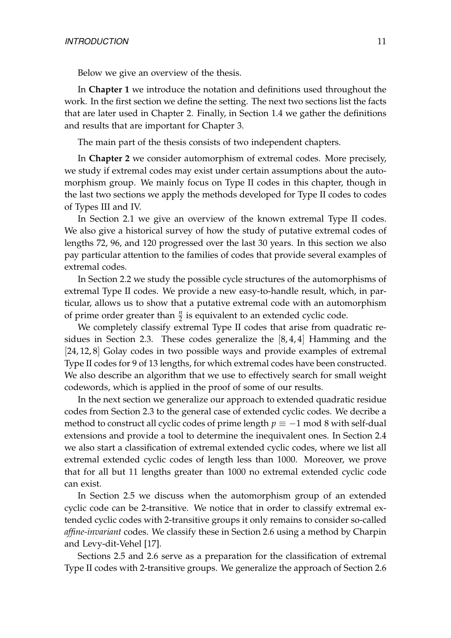Below we give an overview of the thesis.

In **Chapter [1](#page-14-0)** we introduce the notation and definitions used throughout the work. In the first section we define the setting. The next two sections list the facts that are later used in Chapter [2.](#page-32-0) Finally, in Section [1.4](#page-26-0) we gather the definitions and results that are important for Chapter [3.](#page-66-0)

The main part of the thesis consists of two independent chapters.

In **Chapter [2](#page-32-0)** we consider automorphism of extremal codes. More precisely, we study if extremal codes may exist under certain assumptions about the automorphism group. We mainly focus on Type II codes in this chapter, though in the last two sections we apply the methods developed for Type II codes to codes of Types III and IV.

In Section [2.1](#page-32-1) we give an overview of the known extremal Type II codes. We also give a historical survey of how the study of putative extremal codes of lengths 72, 96, and 120 progressed over the last 30 years. In this section we also pay particular attention to the families of codes that provide several examples of extremal codes.

In Section [2.2](#page-36-0) we study the possible cycle structures of the automorphisms of extremal Type II codes. We provide a new easy-to-handle result, which, in particular, allows us to show that a putative extremal code with an automorphism of prime order greater than  $\frac{n}{2}$  is equivalent to an extended cyclic code.

We completely classify extremal Type II codes that arise from quadratic residues in Section [2.3.](#page-38-0) These codes generalize the [8, 4, 4] Hamming and the [24, 12, 8] Golay codes in two possible ways and provide examples of extremal Type II codes for 9 of 13 lengths, for which extremal codes have been constructed. We also describe an algorithm that we use to effectively search for small weight codewords, which is applied in the proof of some of our results.

In the next section we generalize our approach to extended quadratic residue codes from Section [2.3](#page-38-0) to the general case of extended cyclic codes. We decribe a method to construct all cyclic codes of prime length  $p \equiv -1$  mod 8 with self-dual extensions and provide a tool to determine the inequivalent ones. In Section [2.4](#page-43-0) we also start a classification of extremal extended cyclic codes, where we list all extremal extended cyclic codes of length less than 1000. Moreover, we prove that for all but 11 lengths greater than 1000 no extremal extended cyclic code can exist.

In Section [2.5](#page-50-0) we discuss when the automorphism group of an extended cyclic code can be 2-transitive. We notice that in order to classify extremal extended cyclic codes with 2-transitive groups it only remains to consider so-called *affine-invariant* codes. We classify these in Section [2.6](#page-51-0) using a method by Charpin and Levy-dit-Vehel [\[17\]](#page-81-0).

Sections [2.5](#page-50-0) and [2.6](#page-51-0) serve as a preparation for the classification of extremal Type II codes with 2-transitive groups. We generalize the approach of Section [2.6](#page-51-0)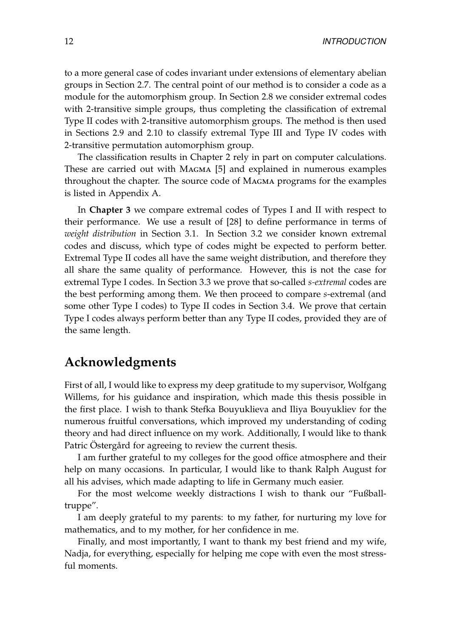to a more general case of codes invariant under extensions of elementary abelian groups in Section [2.7.](#page-55-0) The central point of our method is to consider a code as a module for the automorphism group. In Section [2.8](#page-58-0) we consider extremal codes with 2-transitive simple groups, thus completing the classification of extremal Type II codes with 2-transitive automorphism groups. The method is then used in Sections [2.9](#page-61-0) and [2.10](#page-63-0) to classify extremal Type III and Type IV codes with 2-transitive permutation automorphism group.

The classification results in Chapter [2](#page-32-0) rely in part on computer calculations. These are carried out with MAGMA [\[5\]](#page-80-1) and explained in numerous examples throughout the chapter. The source code of Magma programs for the examples is listed in Appendix [A.](#page-74-0)

In **Chapter [3](#page-66-0)** we compare extremal codes of Types I and II with respect to their performance. We use a result of [\[28\]](#page-82-3) to define performance in terms of *weight distribution* in Section [3.1.](#page-66-1) In Section [3.2](#page-68-0) we consider known extremal codes and discuss, which type of codes might be expected to perform better. Extremal Type II codes all have the same weight distribution, and therefore they all share the same quality of performance. However, this is not the case for extremal Type I codes. In Section [3.3](#page-69-0) we prove that so-called *s-extremal* codes are the best performing among them. We then proceed to compare *s*-extremal (and some other Type I codes) to Type II codes in Section [3.4.](#page-72-0) We prove that certain Type I codes always perform better than any Type II codes, provided they are of the same length.

## **Acknowledgments**

First of all, I would like to express my deep gratitude to my supervisor, Wolfgang Willems, for his guidance and inspiration, which made this thesis possible in the first place. I wish to thank Stefka Bouyuklieva and Iliya Bouyukliev for the numerous fruitful conversations, which improved my understanding of coding theory and had direct influence on my work. Additionally, I would like to thank Patric Östergård for agreeing to review the current thesis.

I am further grateful to my colleges for the good office atmosphere and their help on many occasions. In particular, I would like to thank Ralph August for all his advises, which made adapting to life in Germany much easier.

For the most welcome weekly distractions I wish to thank our "Fußballtruppe".

I am deeply grateful to my parents: to my father, for nurturing my love for mathematics, and to my mother, for her confidence in me.

Finally, and most importantly, I want to thank my best friend and my wife, Nadja, for everything, especially for helping me cope with even the most stressful moments.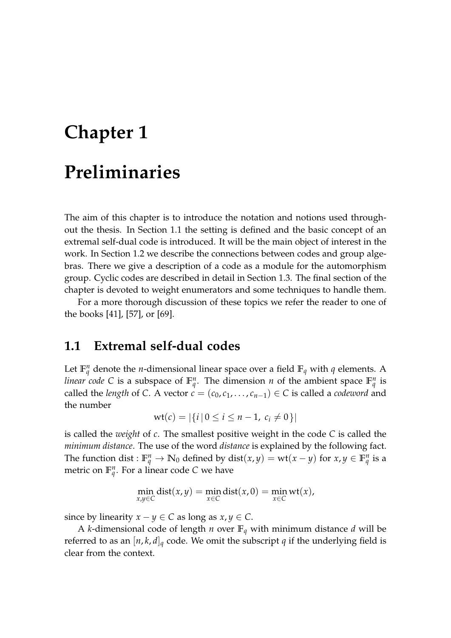# <span id="page-14-0"></span>**Chapter 1 Preliminaries**

The aim of this chapter is to introduce the notation and notions used throughout the thesis. In Section [1.1](#page-14-1) the setting is defined and the basic concept of an extremal self-dual code is introduced. It will be the main object of interest in the work. In Section [1.2](#page-19-0) we describe the connections between codes and group algebras. There we give a description of a code as a module for the automorphism group. Cyclic codes are described in detail in Section [1.3.](#page-22-0) The final section of the chapter is devoted to weight enumerators and some techniques to handle them.

For a more thorough discussion of these topics we refer the reader to one of the books [\[41\]](#page-83-0), [\[57\]](#page-84-0), or [\[69\]](#page-85-0).

## <span id="page-14-1"></span>**1.1 Extremal self-dual codes**

Let  $\mathbb{F}_q^n$  denote the *n*-dimensional linear space over a field  $\mathbb{F}_q$  with *q* elements. A *linear code* C is a subspace of  $\mathbb{F}_q^n$ . The dimension *n* of the ambient space  $\mathbb{F}_q^n$  is called the *length* of *C*. A vector  $c = (c_0, c_1, \ldots, c_{n-1}) \in C$  is called a *codeword* and the number

$$
wt(c) = |\{i \,|\, 0 \leq i \leq n-1, \ c_i \neq 0\}|
$$

is called the *weight* of *c*. The smallest positive weight in the code *C* is called the *minimum distance*. The use of the word *distance* is explained by the following fact. The function dist :  $\mathbb{F}_q^n \to \mathbb{N}_0$  defined by dist $(x, y) = \text{wt}(x - y)$  for  $x, y \in \mathbb{F}_q^n$  is a metric on  $\mathbb{F}_q^n$ . For a linear code *C* we have

$$
\min_{x,y \in C} \text{dist}(x,y) = \min_{x \in C} \text{dist}(x,0) = \min_{x \in C} \text{wt}(x),
$$

since by linearity  $x - y \in C$  as long as  $x, y \in C$ .

A *k*-dimensional code of length *n* over  $\mathbb{F}_q$  with minimum distance *d* will be referred to as an  $[n, k, d]_q$  code. We omit the subscript *q* if the underlying field is clear from the context.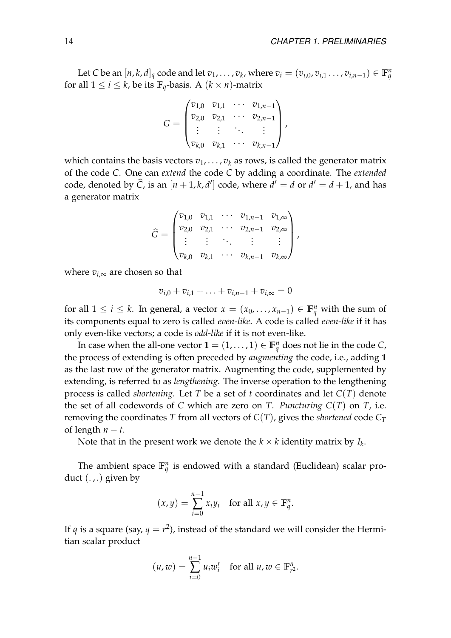Let C be an  $[n, k, d]_q$  code and let  $v_1, \ldots, v_k$ , where  $v_i = (v_{i,0}, v_{i,1} \ldots, v_{i,n-1}) \in \mathbb{F}_q^n$ for all  $1 \leq i \leq k$ , be its  $\mathbb{F}_q$ -basis. A  $(k \times n)$ -matrix

$$
G = \begin{pmatrix} v_{1,0} & v_{1,1} & \cdots & v_{1,n-1} \\ v_{2,0} & v_{2,1} & \cdots & v_{2,n-1} \\ \vdots & \vdots & \ddots & \vdots \\ v_{k,0} & v_{k,1} & \cdots & v_{k,n-1} \end{pmatrix},
$$

which contains the basis vectors  $v_1, \ldots, v_k$  as rows, is called the generator matrix of the code *C*. One can *extend* the code *C* by adding a coordinate. The *extended* code, denoted by  $\widehat{C}$ , is an  $[n + 1, k, d']$  code, where  $d' = d$  or  $d' = d + 1$ , and has a generator matrix

$$
\widehat{G} = \begin{pmatrix} v_{1,0} & v_{1,1} & \cdots & v_{1,n-1} & v_{1,\infty} \\ v_{2,0} & v_{2,1} & \cdots & v_{2,n-1} & v_{2,\infty} \\ \vdots & \vdots & \ddots & \vdots & \vdots \\ v_{k,0} & v_{k,1} & \cdots & v_{k,n-1} & v_{k,\infty} \end{pmatrix},
$$

where  $v_{i,\infty}$  are chosen so that

$$
v_{i,0} + v_{i,1} + \ldots + v_{i,n-1} + v_{i,\infty} = 0
$$

for all  $1 \leq i \leq k$ . In general, a vector  $x = (x_0, \ldots, x_{n-1}) \in \mathbb{F}_q^n$  with the sum of its components equal to zero is called *even-like*. A code is called *even-like* if it has only even-like vectors; a code is *odd-like* if it is not even-like.

In case when the all-one vector  $\mathbf{1} = (1, \ldots, 1) \in \mathbb{F}_q^n$  does not lie in the code *C*, the process of extending is often preceded by *augmenting* the code, i.e., adding **1** as the last row of the generator matrix. Augmenting the code, supplemented by extending, is referred to as *lengthening*. The inverse operation to the lengthening process is called *shortening*. Let *T* be a set of *t* coordinates and let *C*(*T*) denote the set of all codewords of *C* which are zero on *T*. *Puncturing*  $C(T)$  on *T*, i.e. removing the coordinates *T* from all vectors of  $C(T)$ , gives the *shortened* code  $C_T$ of length  $n - t$ .

Note that in the present work we denote the  $k \times k$  identity matrix by  $I_k$ .

The ambient space  $\mathbb{F}_q^n$  is endowed with a standard (Euclidean) scalar product  $(.,.)$  given by

$$
(x,y) = \sum_{i=0}^{n-1} x_i y_i \quad \text{for all } x, y \in \mathbb{F}_q^n.
$$

If  $q$  is a square (say,  $q = r^2$ ), instead of the standard we will consider the Hermitian scalar product

$$
(u,w) = \sum_{i=0}^{n-1} u_i w_i^r \quad \text{for all } u, w \in \mathbb{F}_{r^2}^n.
$$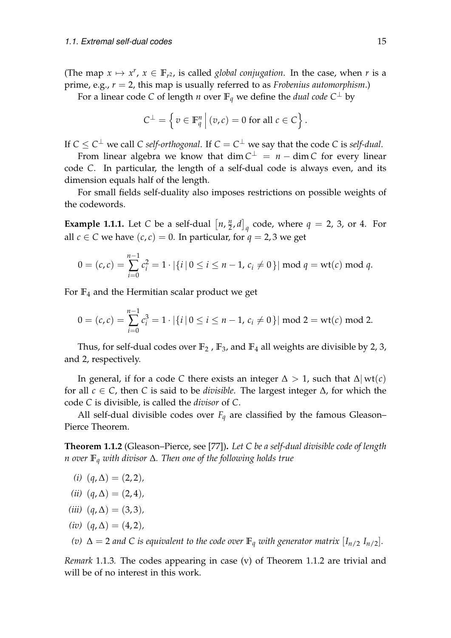(The map  $x \mapsto x^r$ ,  $x \in \mathbb{F}_{r^2}$ , is called *global conjugation*. In the case, when *r* is a prime, e.g., *r* = 2, this map is usually referred to as *Frobenius automorphism*.)

For a linear code *C* of length *n* over  $\mathbb{F}_q$  we define the *dual code*  $C^{\perp}$  by

$$
C^{\perp} = \left\{ v \in \mathbb{F}_q^n \, \middle| \, (v,c) = 0 \text{ for all } c \in C \right\}.
$$

If  $C \leq C^\perp$  we call  $C$  *self-orthogonal*. If  $C = C^\perp$  we say that the code  $C$  is *self-dual*.

From linear algebra we know that  $dim C^{\perp} = n - dim C$  for every linear code *C*. In particular, the length of a self-dual code is always even, and its dimension equals half of the length.

For small fields self-duality also imposes restrictions on possible weights of the codewords.

<span id="page-16-1"></span>**Example 1.1.1.** Let *C* be a self-dual  $\left[n, \frac{n}{2}\right]$  $\left[\frac{n}{2},d\right]_q$  code, where  $q=2$ , 3, or 4. For all *c*  $\in$  *C* we have  $(c, c) = 0$ . In particular, for  $q = 2, 3$  we get

$$
0 = (c, c) = \sum_{i=0}^{n-1} c_i^2 = 1 \cdot |\{i \mid 0 \le i \le n-1, c_i \neq 0\}| \mod q = \text{wt}(c) \mod q.
$$

For **F**<sup>4</sup> and the Hermitian scalar product we get

$$
0 = (c, c) = \sum_{i=0}^{n-1} c_i^3 = 1 \cdot |\{i \mid 0 \le i \le n-1, c_i \neq 0\}| \mod 2 = \text{wt}(c) \mod 2.
$$

Thus, for self-dual codes over  $\mathbb{F}_2$ ,  $\mathbb{F}_3$ , and  $\mathbb{F}_4$  all weights are divisible by 2, 3, and 2, respectively.

In general, if for a code *C* there exists an integer  $\Delta > 1$ , such that  $\Delta |$  wt(*c*) for all *c* ∈ *C*, then *C* is said to be *divisible*. The largest integer ∆, for which the code *C* is divisible, is called the *divisor* of *C*.

All self-dual divisible codes over  $F_q$  are classified by the famous Gleason– Pierce Theorem.

<span id="page-16-0"></span>**Theorem 1.1.2** (Gleason–Pierce, see [\[77\]](#page-85-1))**.** *Let C be a self-dual divisible code of length n over* **F***<sup>q</sup> with divisor* ∆*. Then one of the following holds true*

- $(i)$   $(q, \Delta) = (2, 2)$
- $(ii)$  (*q*, ∆) = (2, 4)*,*
- *(iii)*  $(q, \Delta) = (3, 3)$ *,*
- $(iv)$   $(q, \Delta) = (4, 2)$
- *(v)*  $\Delta = 2$  *and C is equivalent to the code over* **F**<sub>*q</sub> with generator matrix* [*I*<sub>*n*/2</sub> *I*<sub>*n*/2</sub>]*.*</sub>

*Remark* 1.1.3*.* The codes appearing in case (v) of Theorem [1.1.2](#page-16-0) are trivial and will be of no interest in this work.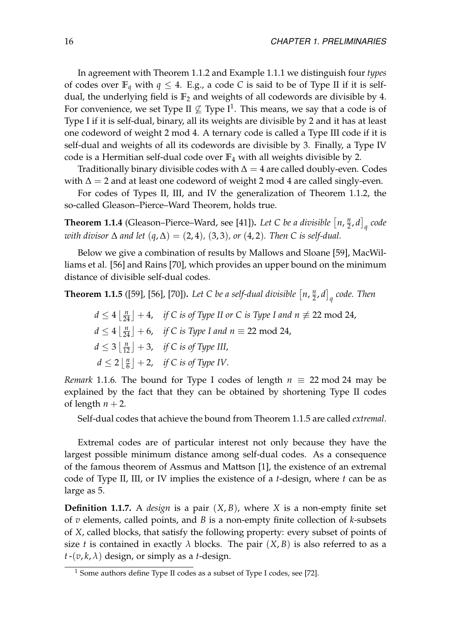In agreement with Theorem [1.1.2](#page-16-0) and Example [1.1.1](#page-16-1) we distinguish four *types* of codes over  $\mathbb{F}_q$  with  $q \leq 4$ . E.g., a code C is said to be of Type II if it is selfdual, the underlying field is  $\mathbb{F}_2$  and weights of all codewords are divisible by 4. For convenience, we set Type II  $\not\subseteq$  Type I<sup>[1](#page-17-0)</sup>. This means, we say that a code is of Type I if it is self-dual, binary, all its weights are divisible by 2 and it has at least one codeword of weight 2 mod 4. A ternary code is called a Type III code if it is self-dual and weights of all its codewords are divisible by 3. Finally, a Type IV code is a Hermitian self-dual code over **F**<sup>4</sup> with all weights divisible by 2.

Traditionally binary divisible codes with  $\Delta = 4$  are called doubly-even. Codes with  $\Delta = 2$  and at least one codeword of weight 2 mod 4 are called singly-even.

For codes of Types II, III, and IV the generalization of Theorem [1.1.2,](#page-16-0) the so-called Gleason–Pierce–Ward Theorem, holds true.

**Theorem 1.1.4** (Gleason–Pierce–Ward, see [\[41\]](#page-83-0)). Let C be a divisible  $\left[ n, \frac{n}{2} \right]$  $\left[\frac{n}{2},d\right]_q$  code *with divisor* ∆ *and let* (*q*, ∆) = (2, 4)*,* (3, 3)*, or* (4, 2)*. Then C is self-dual.*

Below we give a combination of results by Mallows and Sloane [\[59\]](#page-84-1), MacWilliams et al. [\[56\]](#page-84-2) and Rains [\[70\]](#page-85-2), which provides an upper bound on the minimum distance of divisible self-dual codes.

<span id="page-17-1"></span>**Theorem 1.1.5** ([\[59\]](#page-84-1), [\[56\]](#page-84-2), [\[70\]](#page-85-2)). Let C be a self-dual divisible  $\left[ n, \frac{n}{2} \right]$  $\left[ \frac{n}{2},d\right] _{q}$  code. Then

 $d \leq 4 \left\lfloor \frac{n}{24} \right\rfloor + 4$ , *if C is of Type II or C is Type I and n*  $\not\equiv 22$  mod 24,  $d \leq 4 \left\lfloor \frac{n}{24} \right\rfloor + 6$ , *if C is Type I and n*  $\equiv$  22 mod 24,  $d \leq 3 \left\lfloor \frac{n}{12} \right\rfloor + 3$ , *if C is of Type III*,  $d \leq 2 \left| \frac{n}{6} \right|$  $\frac{n}{6}$   $\rfloor$  + 2, *if C is of Type IV*.

*Remark* 1.1.6. The bound for Type I codes of length  $n \equiv 22 \text{ mod } 24$  may be explained by the fact that they can be obtained by shortening Type II codes of length  $n + 2$ .

Self-dual codes that achieve the bound from Theorem [1.1.5](#page-17-1) are called *extremal*.

Extremal codes are of particular interest not only because they have the largest possible minimum distance among self-dual codes. As a consequence of the famous theorem of Assmus and Mattson [\[1\]](#page-80-2), the existence of an extremal code of Type II, III, or IV implies the existence of a *t*-design, where *t* can be as large as 5.

**Definition 1.1.7.** A *design* is a pair  $(X, B)$ , where *X* is a non-empty finite set of *v* elements, called points, and *B* is a non-empty finite collection of *k*-subsets of *X*, called blocks, that satisfy the following property: every subset of points of size *t* is contained in exactly  $\lambda$  blocks. The pair  $(X, B)$  is also referred to as a  $t$  -(*v*, *k*,  $\lambda$ ) design, or simply as a *t*-design.

<span id="page-17-0"></span><sup>&</sup>lt;sup>1</sup> Some authors define Type II codes as a subset of Type I codes, see [\[72\]](#page-85-3).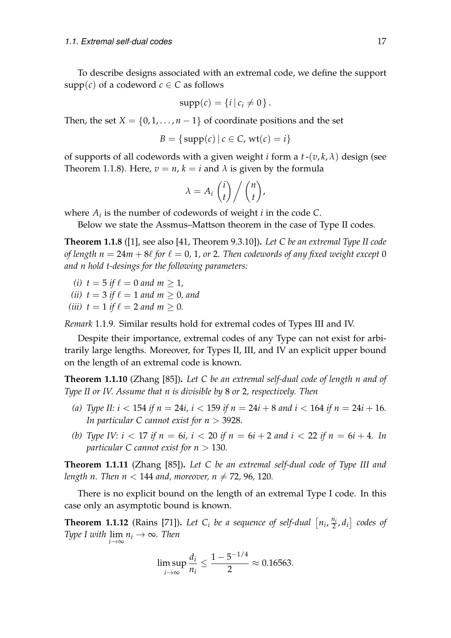To describe designs associated with an extremal code, we define the support supp(*c*) of a codeword  $c \in C$  as follows

$$
supp(c) = \{i \mid c_i \neq 0\}.
$$

Then, the set  $X = \{0, 1, \ldots, n-1\}$  of coordinate positions and the set

$$
B = \{ \text{supp}(c) \mid c \in C, \text{wt}(c) = i \}
$$

of supports of all codewords with a given weight *i* form a  $t$ - $(v, k, \lambda)$  design (see Theorem [1.1.8\)](#page-18-0). Here,  $v = n$ ,  $k = i$  and  $\lambda$  is given by the formula

$$
\lambda = A_i \begin{pmatrix} i \\ t \end{pmatrix} / \begin{pmatrix} n \\ t \end{pmatrix},
$$

where  $A_i$  is the number of codewords of weight  $i$  in the code  $C$ .

Below we state the Assmus–Mattson theorem in the case of Type II codes.

<span id="page-18-0"></span>**Theorem 1.1.8** ([\[1\]](#page-80-2), see also [\[41,](#page-83-0) Theorem 9.3.10])**.** *Let C be an extremal Type II code of length n* =  $24m + 8\ell$  *for*  $\ell = 0$ , 1, or 2. Then codewords of any fixed weight except 0 *and n hold t-desings for the following parameters:*

- *(i)*  $t = 5$  *if*  $\ell = 0$  *and*  $m > 1$ *,*
- *(ii)*  $t = 3$  *if*  $\ell = 1$  *and*  $m > 0$ *, and*
- *(iii)*  $t = 1$  *if*  $\ell = 2$  *and*  $m \ge 0$ *.*

*Remark* 1.1.9*.* Similar results hold for extremal codes of Types III and IV.

Despite their importance, extremal codes of any Type can not exist for arbitrarily large lengths. Moreover, for Types II, III, and IV an explicit upper bound on the length of an extremal code is known.

<span id="page-18-2"></span>**Theorem 1.1.10** (Zhang [\[85\]](#page-86-0))**.** *Let C be an extremal self-dual code of length n and of Type II or IV. Assume that n is divisible by* 8 *or* 2*, respectively. Then*

- *(a) Type II:*  $i < 154$  *if*  $n = 24i$ ,  $i < 159$  *if*  $n = 24i + 8$  *and*  $i < 164$  *if*  $n = 24i + 16$ *. In particular C cannot exist for n* > 3928*.*
- *(b) Type IV:*  $i < 17$  *if*  $n = 6i$ ,  $i < 20$  *if*  $n = 6i + 2$  *and*  $i < 22$  *if*  $n = 6i + 4$ *. In particular C cannot exist for n* > 130*.*

<span id="page-18-3"></span>**Theorem 1.1.11** (Zhang [\[85\]](#page-86-0))**.** *Let C be an extremal self-dual code of Type III and length n.* Then  $n < 144$  *and, moreover, n*  $\neq 72$ *, 96, 120.* 

There is no explicit bound on the length of an extremal Type I code. In this case only an asymptotic bound is known.

<span id="page-18-1"></span>**Theorem 1.1.12** (Rains [\[71\]](#page-85-4)). Let  $C_i$  be a sequence of self-dual  $\left[ n_i, \frac{n_i}{2} \right]$  $\left[\frac{n_i}{2}, d_i\right]$  codes of *Type I with*  $\lim_{i \to \infty} n_i \to \infty$ *. Then* 

$$
\limsup_{i \to \infty} \frac{d_i}{n_i} \le \frac{1 - 5^{-1/4}}{2} \approx 0.16563.
$$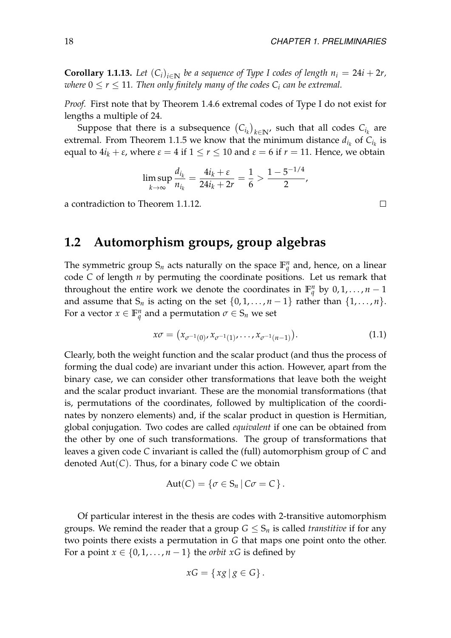**Corollary 1.1.13.** Let  $(C_i)_{i\in\mathbb{N}}$  be a sequence of Type I codes of length  $n_i = 24i + 2r$ , *where*  $0 \le r \le 11$ *. Then only finitely many of the codes*  $C_i$  *can be extremal.* 

*Proof.* First note that by Theorem [1.4.6](#page-29-0) extremal codes of Type I do not exist for lengths a multiple of 24.

Suppose that there is a subsequence  $\left(C_{i_k}\right)_{k\in \mathbb{N}'}$  such that all codes  $C_{i_k}$  are extremal. From Theorem [1.1.5](#page-17-1) we know that the minimum distance  $d_{i_k}$  of  $C_{i_k}$  is equal to  $4i_k + \varepsilon$ , where  $\varepsilon = 4$  if  $1 \le r \le 10$  and  $\varepsilon = 6$  if  $r = 11$ . Hence, we obtain

$$
\limsup_{k \to \infty} \frac{d_{i_k}}{n_{i_k}} = \frac{4i_k + \varepsilon}{24i_k + 2r} = \frac{1}{6} > \frac{1 - 5^{-1/4}}{2},
$$

a contradiction to Theorem [1.1.12.](#page-18-1)

## <span id="page-19-0"></span>**1.2 Automorphism groups, group algebras**

The symmetric group  $S_n$  acts naturally on the space  $\mathbb{F}_q^n$  and, hence, on a linear code *C* of length *n* by permuting the coordinate positions. Let us remark that throughout the entire work we denote the coordinates in  $\mathbb{F}_q^n$  by  $0, 1, \ldots, n-1$ and assume that  $S_n$  is acting on the set  $\{0, 1, \ldots, n-1\}$  rather than  $\{1, \ldots, n\}$ . For a vector  $x \in \mathbb{F}_q^n$  and a permutation  $\sigma \in S_n$  we set

<span id="page-19-1"></span>
$$
x\sigma = (x_{\sigma^{-1}(0)}, x_{\sigma^{-1}(1)}, \dots, x_{\sigma^{-1}(n-1)}).
$$
\n(1.1)

Clearly, both the weight function and the scalar product (and thus the process of forming the dual code) are invariant under this action. However, apart from the binary case, we can consider other transformations that leave both the weight and the scalar product invariant. These are the monomial transformations (that is, permutations of the coordinates, followed by multiplication of the coordinates by nonzero elements) and, if the scalar product in question is Hermitian, global conjugation. Two codes are called *equivalent* if one can be obtained from the other by one of such transformations. The group of transformations that leaves a given code *C* invariant is called the (full) automorphism group of *C* and denoted Aut(*C*). Thus, for a binary code *C* we obtain

$$
Aut(C) = \{ \sigma \in S_n \, | \, C\sigma = C \}.
$$

Of particular interest in the thesis are codes with 2-transitive automorphism groups. We remind the reader that a group  $G \leq S_n$  is called *transtitive* if for any two points there exists a permutation in *G* that maps one point onto the other. For a point  $x \in \{0, 1, \ldots, n-1\}$  the *orbit*  $xG$  is defined by

$$
xG = \{ xg \, | \, g \in G \}.
$$

 $\Box$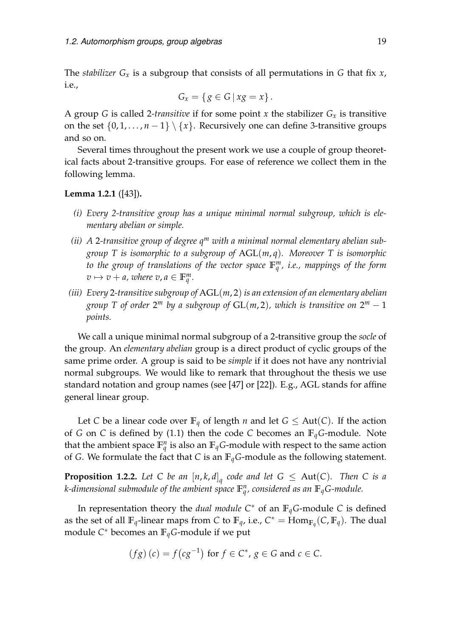The *stabilizer*  $G_x$  is a subgroup that consists of all permutations in *G* that fix *x*, i.e.,

$$
G_x = \{ g \in G \mid xg = x \}.
$$

A group *G* is called 2*-transitive* if for some point *x* the stabilizer *G<sup>x</sup>* is transitive on the set  $\{0, 1, \ldots, n-1\} \setminus \{x\}$ . Recursively one can define 3-transitive groups and so on.

Several times throughout the present work we use a couple of group theoretical facts about 2-transitive groups. For ease of reference we collect them in the following lemma.

#### **Lemma 1.2.1** ([\[43\]](#page-83-1))**.**

- *(i) Every 2-transitive group has a unique minimal normal subgroup, which is elementary abelian or simple.*
- *(ii) A* 2*-transitive group of degree q<sup>m</sup> with a minimal normal elementary abelian subgroup T is isomorphic to a subgroup of* AGL(*m*, *q*)*. Moreover T is isomorphic to the group of translations of the vector space* **F** *m q , i.e., mappings of the form*  $v \mapsto v + a$ , where  $v, a \in \mathbb{F}_q^m$ .
- *(iii) Every* 2*-transitive subgroup of* AGL(*m*, 2) *is an extension of an elementary abelian group* T of order  $2^m$  by a subgroup of  $\text{GL}(m,2)$ , which is transitive on  $2^m-1$ *points.*

We call a unique minimal normal subgroup of a 2-transitive group the *socle* of the group. An *elementary abelian* group is a direct product of cyclic groups of the same prime order. A group is said to be *simple* if it does not have any nontrivial normal subgroups. We would like to remark that throughout the thesis we use standard notation and group names (see [\[47\]](#page-83-2) or [\[22\]](#page-81-1)). E.g., AGL stands for affine general linear group.

Let *C* be a linear code over  $\mathbb{F}_q$  of length *n* and let  $G \leq Aut(C)$ . If the action of *G* on *C* is defined by [\(1.1\)](#page-19-1) then the code *C* becomes an  $\mathbb{F}_q$ *G*-module. Note that the ambient space  $\mathbb{F}_q^n$  is also an  $\mathbb{F}_q$ *G*-module with respect to the same action of *G*. We formulate the fact that *C* is an **F***qG*-module as the following statement.

**Proposition 1.2.2.** Let C be an  $[n, k, d]_q$  code and let  $G \leq \text{Aut}(C)$ . Then C is a *k*-dimensional submodule of the ambient space  $\mathbb{F}_q^n$ , considered as an  $\mathbb{F}_q$ G-module.

In representation theory the *dual module*  $C^*$  of an  $\mathbb{F}_q$ *G*-module *C* is defined as the set of all  $\mathbb{F}_q$ -linear maps from *C* to  $\mathbb{F}_q$ , i.e.,  $C^* = \text{Hom}_{\mathbb{F}_q}(C, \mathbb{F}_q)$ . The dual module *C* <sup>∗</sup> becomes an **F***qG*-module if we put

$$
(fg)(c) = f(cg^{-1})
$$
 for  $f \in C^*$ ,  $g \in G$  and  $c \in C$ .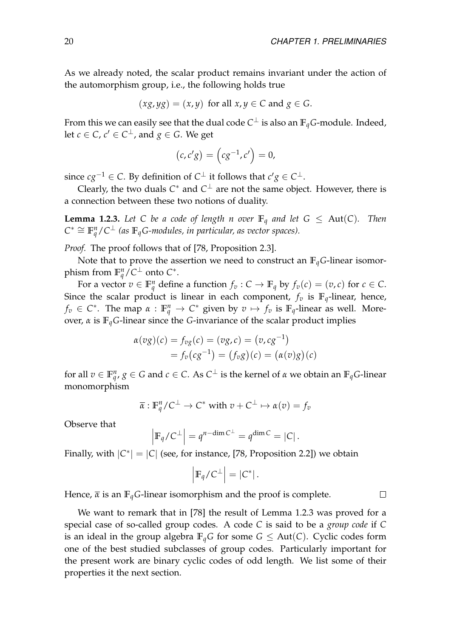As we already noted, the scalar product remains invariant under the action of the automorphism group, i.e., the following holds true

$$
(xg, yg) = (x, y)
$$
 for all  $x, y \in C$  and  $g \in G$ .

From this we can easily see that the dual code  $C^\perp$  is also an  $\mathbb{F}_qG\text{-module. Indeed,}$ let  $c \in C$ ,  $c' \in C^{\perp}$ , and  $g \in G$ . We get

$$
(c,c'g) = (cg^{-1},c') = 0,
$$

since  $cg^{-1} \in C$ . By definition of  $C^{\perp}$  it follows that  $c'g \in C^{\perp}$ .

Clearly, the two duals  $C^*$  and  $C^{\perp}$  are not the same object. However, there is a connection between these two notions of duality.

<span id="page-21-0"></span>**Lemma 1.2.3.** Let C be a code of length n over  $\mathbb{F}_q$  and let  $G \leq \text{Aut}(C)$ . Then  $C^* \cong \mathbb{F}_q^n / C^{\perp}$  (as  $\mathbb{F}_q$ *G-modules, in particular, as vector spaces*).

*Proof.* The proof follows that of [\[78,](#page-85-5) Proposition 2.3].

Note that to prove the assertion we need to construct an  $\mathbb{F}_q$ *G*-linear isomorphism from  $\mathbb{F}_q^n/C^\perp$  onto  $C^*$ .

For a vector  $v \in \mathbb{F}_q^n$  define a function  $f_v : C \to \mathbb{F}_q$  by  $f_v(c) = (v, c)$  for  $c \in C$ . Since the scalar product is linear in each component,  $f_v$  is  $\mathbb{F}_q$ -linear, hence, *f*<sub>*v*</sub>  $\in$  *C*<sup>\*</sup>. The map  $\alpha$  :  $\mathbb{F}_q^n \to C^*$  given by  $v \mapsto f_v$  is  $\mathbb{F}_q$ -linear as well. Moreover, *α* is  $\mathbb{F}_q$ *G*-linear since the *G*-invariance of the scalar product implies

$$
\alpha(vg)(c) = f_{vg}(c) = (vg, c) = (v, cg^{-1})
$$
  
=  $f_v(cg^{-1}) = (f_vg)(c) = (\alpha(v)g)(c)$ 

for all  $v \in \mathbb{F}_q^n$ ,  $g \in G$  and  $c \in C$ . As  $C^\perp$  is the kernel of  $\alpha$  we obtain an  $\mathbb{F}_qG$ -linear monomorphism

$$
\overline{\alpha}: \mathbb{F}_q^n / C^{\perp} \to C^*
$$
 with  $v + C^{\perp} \mapsto \alpha(v) = f_v$ 

Observe that

$$
\left|\mathbb{F}_q/\mathcal{C}^{\perp}\right| = q^{n-\dim \mathcal{C}^{\perp}} = q^{\dim \mathcal{C}} = |\mathcal{C}|.
$$

Finally, with  $|C^*| = |C|$  (see, for instance, [\[78,](#page-85-5) Proposition 2.2]) we obtain

$$
\left|\mathbb{F}_q/\mathcal{C}^{\perp}\right| = \left|\mathcal{C}^*\right|.
$$

Hence,  $\bar{\alpha}$  is an  $\mathbb{F}_q$ *G*-linear isomorphism and the proof is complete.

We want to remark that in [\[78\]](#page-85-5) the result of Lemma [1.2.3](#page-21-0) was proved for a special case of so-called group codes. A code *C* is said to be a *group code* if *C* is an ideal in the group algebra  $\mathbb{F}_q$ *G* for some  $G \leq Aut(C)$ . Cyclic codes form one of the best studied subclasses of group codes. Particularly important for the present work are binary cyclic codes of odd length. We list some of their properties it the next section.

 $\Box$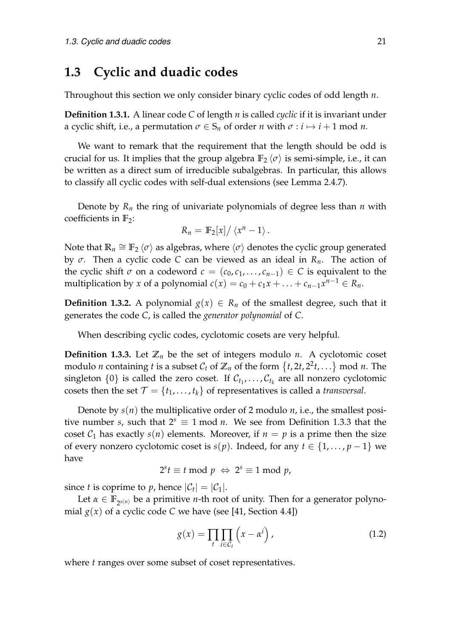## <span id="page-22-0"></span>**1.3 Cyclic and duadic codes**

Throughout this section we only consider binary cyclic codes of odd length *n*.

**Definition 1.3.1.** A linear code *C* of length *n* is called *cyclic* if it is invariant under a cyclic shift, i.e., a permutation  $\sigma \in S_n$  of order *n* with  $\sigma : i \mapsto i + 1$  mod *n*.

We want to remark that the requirement that the length should be odd is crucial for us. It implies that the group algebra  $\mathbb{F}_2 \langle \sigma \rangle$  is semi-simple, i.e., it can be written as a direct sum of irreducible subalgebras. In particular, this allows to classify all cyclic codes with self-dual extensions (see Lemma [2.4.7\)](#page-45-0).

Denote by  $R_n$  the ring of univariate polynomials of degree less than  $n$  with coefficients in **F**2:

$$
R_n = \mathbb{F}_2[x]/\left\langle x^n - 1 \right\rangle.
$$

Note that  $\mathbb{R}_n \cong \mathbb{F}_2 \left< \sigma \right>$  as algebras, where  $\left< \sigma \right>$  denotes the cyclic group generated by *σ*. Then a cyclic code *C* can be viewed as an ideal in *Rn*. The action of the cyclic shift  $\sigma$  on a codeword  $c = (c_0, c_1, \ldots, c_{n-1}) \in C$  is equivalent to the multiplication by *x* of a polynomial  $c(x) = c_0 + c_1x + \ldots + c_{n-1}x^{n-1} \in R_n$ .

**Definition 1.3.2.** A polynomial  $g(x) \in R_n$  of the smallest degree, such that it generates the code *C*, is called the *generator polynomial* of *C*.

When describing cyclic codes, cyclotomic cosets are very helpful.

<span id="page-22-1"></span>**Definition 1.3.3.** Let  $\mathbb{Z}_n$  be the set of integers modulo *n*. A cyclotomic coset modulo *n* containing *t* is a subset  $\mathcal{C}_t$  of  $\mathbb{Z}_n$  of the form  $\{t, 2t, 2^2t, \ldots\}$  mod *n*. The  $\{0\}$  is called the zero coset. If  $\mathcal{C}_{t_1}, \ldots, \mathcal{C}_{t_k}$  are all nonzero cyclotomic cosets then the set  $\mathcal{T} = \{t_1, \ldots, t_k\}$  of representatives is called a *transversal*.

Denote by  $s(n)$  the multiplicative order of 2 modulo *n*, i.e., the smallest positive number *s*, such that  $2^s \equiv 1 \mod n$ . We see from Definition [1.3.3](#page-22-1) that the coset  $C_1$  has exactly  $s(n)$  elements. Moreover, if  $n = p$  is a prime then the size of every nonzero cyclotomic coset is  $s(p)$ . Indeed, for any  $t \in \{1, \ldots, p-1\}$  we have

$$
2^s t \equiv t \bmod p \Leftrightarrow 2^s \equiv 1 \bmod p,
$$

since *t* is coprime to *p*, hence  $|\mathcal{C}_t| = |\mathcal{C}_1|$ .

Let  $\alpha \in \mathbb{F}_{2^{s(n)}}$  be a primitive *n*-th root of unity. Then for a generator polynomial  $g(x)$  of a cyclic code *C* we have (see [\[41,](#page-83-0) Section 4.4])

<span id="page-22-2"></span>
$$
g(x) = \prod_{t} \prod_{i \in C_t} \left( x - \alpha^i \right), \tag{1.2}
$$

where *t* ranges over some subset of coset representatives.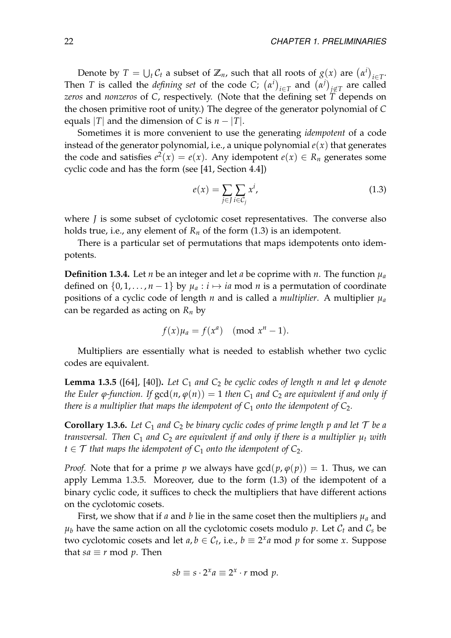Denote by  $T = \bigcup_t C_t$  a subset of  $\mathbb{Z}_n$ , such that all roots of  $g(x)$  are  $(\alpha^i)_{i \in T}$ . Then *T* is called the *defining set* of the code *C*;  $(\alpha^i)_{i \in T}$  and  $(\alpha^j)_{j \notin T}$  are called *zeros* and *nonzeros* of *C*, respectively. (Note that the defining set *T* depends on the chosen primitive root of unity.) The degree of the generator polynomial of *C* equals |*T*| and the dimension of *C* is  $n - |T|$ .

Sometimes it is more convenient to use the generating *idempotent* of a code instead of the generator polynomial, i.e., a unique polynomial  $e(x)$  that generates the code and satisfies  $e^2(x) = e(x)$ . Any idempotent  $e(x) \in R_n$  generates some cyclic code and has the form (see [\[41,](#page-83-0) Section 4.4])

<span id="page-23-0"></span>
$$
e(x) = \sum_{j \in J} \sum_{i \in C_j} x^i,
$$
\n(1.3)

where *J* is some subset of cyclotomic coset representatives. The converse also holds true, i.e., any element of  $R_n$  of the form [\(1.3\)](#page-23-0) is an idempotent.

There is a particular set of permutations that maps idempotents onto idempotents.

<span id="page-23-2"></span>**Definition 1.3.4.** Let *n* be an integer and let *a* be coprime with *n*. The function  $\mu_a$ defined on  $\{0, 1, \ldots, n-1\}$  by  $\mu_a : i \mapsto ia \mod n$  is a permutation of coordinate positions of a cyclic code of length *n* and is called a *multiplier*. A multiplier *µ<sup>a</sup>* can be regarded as acting on *R<sup>n</sup>* by

$$
f(x)\mu_a = f(x^a) \pmod{x^n - 1}.
$$

Multipliers are essentially what is needed to establish whether two cyclic codes are equivalent.

<span id="page-23-1"></span>**Lemma 1.3.5** ([\[64\]](#page-84-3), [\[40\]](#page-83-3)). Let  $C_1$  and  $C_2$  be cyclic codes of length n and let  $\varphi$  denote *the Euler*  $\varphi$ *-function. If*  $gcd(n, \varphi(n)) = 1$  *then*  $C_1$  *and*  $C_2$  *are equivalent if and only if there is a multiplier that maps the idempotent of*  $C_1$  *onto the idempotent of*  $C_2$ *.* 

**Corollary 1.3.6.** Let  $C_1$  and  $C_2$  be binary cyclic codes of prime length p and let  $T$  be a *transversal.* Then  $C_1$  *and*  $C_2$  *are equivalent if and only if there is a multiplier*  $\mu_t$  *with t* ∈  $\mathcal T$  *that maps the idempotent of*  $C_1$  *onto the idempotent of*  $C_2$ *.* 

*Proof.* Note that for a prime *p* we always have  $gcd(p, \varphi(p)) = 1$ . Thus, we can apply Lemma [1.3.5.](#page-23-1) Moreover, due to the form [\(1.3\)](#page-23-0) of the idempotent of a binary cyclic code, it suffices to check the multipliers that have different actions on the cyclotomic cosets.

First, we show that if *a* and *b* lie in the same coset then the multipliers  $\mu_a$  and  $\mu_b$  have the same action on all the cyclotomic cosets modulo p. Let  $\mathcal{C}_t$  and  $\mathcal{C}_s$  be two cyclotomic cosets and let  $a, b \in C_t$ , i.e.,  $b \equiv 2^x a \mod p$  for some *x*. Suppose that *sa*  $\equiv$  *r* mod *p*. Then

$$
sb \equiv s \cdot 2^x a \equiv 2^x \cdot r \bmod p.
$$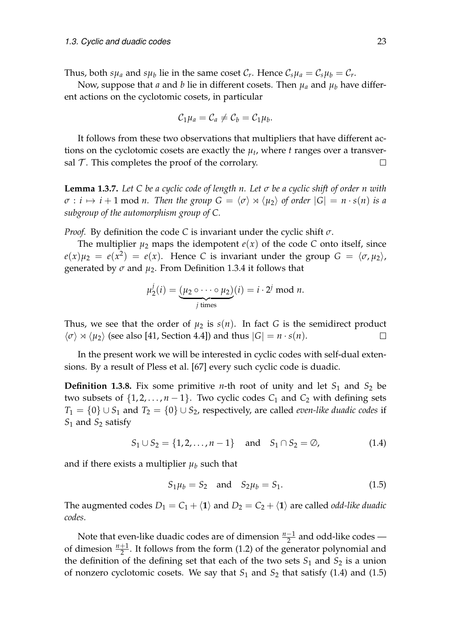Thus, both  $s\mu_a$  and  $s\mu_b$  lie in the same coset  $\mathcal{C}_r$ . Hence  $\mathcal{C}_s\mu_a = \mathcal{C}_s\mu_b = \mathcal{C}_r$ .

Now, suppose that *a* and *b* lie in different cosets. Then  $\mu_a$  and  $\mu_b$  have different actions on the cyclotomic cosets, in particular

$$
\mathcal{C}_1\mu_a=\mathcal{C}_a\neq\mathcal{C}_b=\mathcal{C}_1\mu_b.
$$

It follows from these two observations that multipliers that have different actions on the cyclotomic cosets are exactly the  $\mu_t$ , where  $t$  ranges over a transversal  $\mathcal T$ . This completes the proof of the corrolary.  $\Box$ 

**Lemma 1.3.7.** *Let C be a cyclic code of length n. Let σ be a cyclic shift of order n with*  $\sigma : i \mapsto i + 1$  mod *n.* Then the group  $G = \langle \sigma \rangle \rtimes \langle \mu_2 \rangle$  of order  $|G| = n \cdot s(n)$  is a *subgroup of the automorphism group of C.*

*Proof.* By definition the code *C* is invariant under the cyclic shift *σ*.

The multiplier  $\mu_2$  maps the idempotent  $e(x)$  of the code *C* onto itself, since  $e(x)\mu_2 = e(x^2) = e(x)$ . Hence *C* is invariant under the group  $G = \langle \sigma, \mu_2 \rangle$ , generated by *σ* and *µ*2. From Definition [1.3.4](#page-23-2) it follows that

$$
\mu_2^j(i) = \underbrace{(\mu_2 \circ \cdots \circ \mu_2)}_{j \text{ times}}(i) = i \cdot 2^j \text{ mod } n.
$$

Thus, we see that the order of  $\mu_2$  is  $s(n)$ . In fact *G* is the semidirect product  $\langle \sigma \rangle \rtimes \langle \mu_2 \rangle$  (see also [\[41,](#page-83-0) Section 4.4]) and thus  $|G| = n \cdot s(n)$ .  $\Box$ 

In the present work we will be interested in cyclic codes with self-dual extensions. By a result of Pless et al. [\[67\]](#page-84-4) every such cyclic code is duadic.

**Definition 1.3.8.** Fix some primitive *n*-th root of unity and let  $S_1$  and  $S_2$  be two subsets of  $\{1, 2, \ldots, n-1\}$ . Two cyclic codes  $C_1$  and  $C_2$  with defining sets *T*<sub>1</sub> = {0} ∪ *S*<sub>1</sub> and *T*<sub>2</sub> = {0} ∪ *S*<sub>2</sub>, respectively, are called *even-like duadic codes* if *S*<sup>1</sup> and *S*<sup>2</sup> satisfy

<span id="page-24-0"></span>
$$
S_1 \cup S_2 = \{1, 2, ..., n-1\} \text{ and } S_1 \cap S_2 = \emptyset,
$$
 (1.4)

and if there exists a multiplier  $\mu_b$  such that

<span id="page-24-1"></span>
$$
S_1\mu_b = S_2
$$
 and  $S_2\mu_b = S_1$ . (1.5)

The augmented codes  $D_1 = C_1 + \langle 1 \rangle$  and  $D_2 = C_2 + \langle 1 \rangle$  are called *odd-like duadic codes*.

Note that even-like duadic codes are of dimension  $\frac{n-1}{2}$  and odd-like codes of dimesion  $\frac{n+1}{2}$ . It follows from the form [\(1.2\)](#page-22-2) of the generator polynomial and the definition of the defining set that each of the two sets  $S_1$  and  $S_2$  is a union of nonzero cyclotomic cosets. We say that  $S_1$  and  $S_2$  that satisfy [\(1.4\)](#page-24-0) and [\(1.5\)](#page-24-1)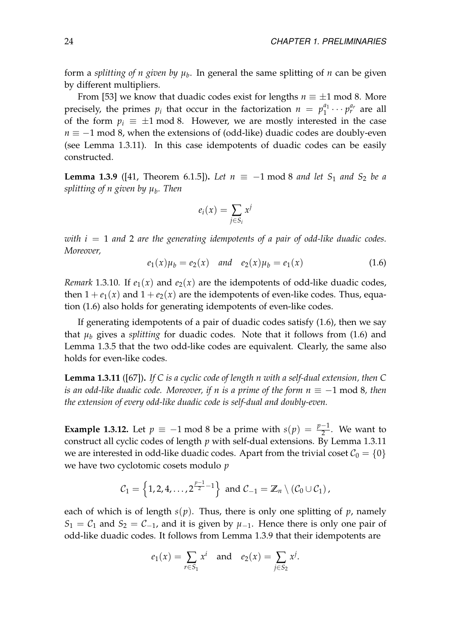form a *splitting of n given by µ<sup>b</sup>* . In general the same splitting of *n* can be given by different multipliers.

From [\[53\]](#page-83-4) we know that duadic codes exist for lengths  $n \equiv \pm 1 \mod 8$ . More precisely, the primes  $p_i$  that occur in the factorization  $n = p_1^{a_1}$  $i_1^{a_1} \cdots p_r^{a_r}$  are all of the form  $p_i \equiv \pm 1 \mod 8$ . However, we are mostly interested in the case *n* ≡ −1 mod 8, when the extensions of (odd-like) duadic codes are doubly-even (see Lemma [1.3.11\)](#page-25-0). In this case idempotents of duadic codes can be easily constructed.

<span id="page-25-2"></span>**Lemma 1.3.9** ([\[41,](#page-83-0) Theorem 6.1.5]). Let  $n \equiv −1 \mod 8$  and let  $S_1$  and  $S_2$  be a *splitting of n given by µ<sup>b</sup> . Then*

$$
e_i(x) = \sum_{j \in S_i} x^j
$$

*with i* = 1 *and* 2 *are the generating idempotents of a pair of odd-like duadic codes. Moreover,*

<span id="page-25-1"></span>
$$
e_1(x)\mu_b = e_2(x) \quad \text{and} \quad e_2(x)\mu_b = e_1(x) \tag{1.6}
$$

*Remark* 1.3.10. If  $e_1(x)$  and  $e_2(x)$  are the idempotents of odd-like duadic codes, then  $1 + e_1(x)$  and  $1 + e_2(x)$  are the idempotents of even-like codes. Thus, equation [\(1.6\)](#page-25-1) also holds for generating idempotents of even-like codes.

If generating idempotents of a pair of duadic codes satisfy [\(1.6\)](#page-25-1), then we say that  $\mu_b$  gives a *splitting* for duadic codes. Note that it follows from [\(1.6\)](#page-25-1) and Lemma [1.3.5](#page-23-1) that the two odd-like codes are equivalent. Clearly, the same also holds for even-like codes.

<span id="page-25-0"></span>**Lemma 1.3.11** ([\[67\]](#page-84-4))**.** *If C is a cyclic code of length n with a self-dual extension, then C is an odd-like duadic code. Moreover, if n is a prime of the form n* ≡ −1 mod 8*, then the extension of every odd-like duadic code is self-dual and doubly-even.*

**Example 1.3.12.** Let  $p \equiv -1 \mod 8$  be a prime with  $s(p) = \frac{p-1}{2}$ . We want to construct all cyclic codes of length *p* with self-dual extensions. By Lemma [1.3.11](#page-25-0) we are interested in odd-like duadic codes. Apart from the trivial coset  $C_0 = \{0\}$ we have two cyclotomic cosets modulo *p*

$$
C_1 = \left\{1, 2, 4, \ldots, 2^{\frac{p-1}{2}-1}\right\} \text{ and } C_{-1} = \mathbb{Z}_n \setminus (C_0 \cup C_1),
$$

each of which is of length  $s(p)$ . Thus, there is only one splitting of  $p$ , namely  $S_1 = C_1$  and  $S_2 = C_{-1}$ , and it is given by  $\mu_{-1}$ . Hence there is only one pair of odd-like duadic codes. It follows from Lemma [1.3.9](#page-25-2) that their idempotents are

$$
e_1(x) = \sum_{r \in S_1} x^i
$$
 and  $e_2(x) = \sum_{j \in S_2} x^j$ .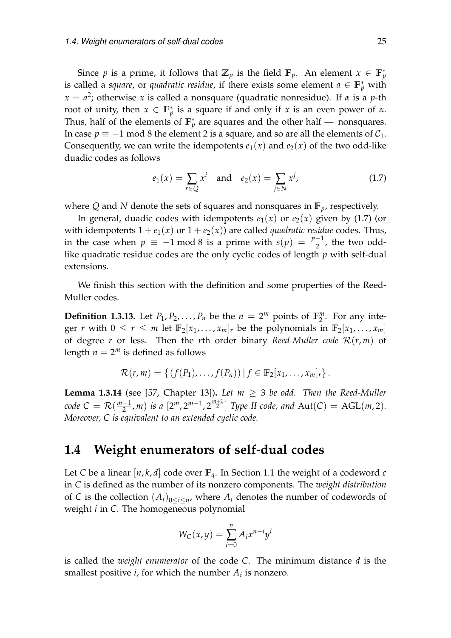Since *p* is a prime, it follows that  $\mathbb{Z}_p$  is the field  $\mathbb{F}_p$ . An element  $x \in \mathbb{F}_p^*$ is called a *square*, or *quadratic residue*, if there exists some element  $a \in \mathbb{F}_p^*$  with *x* = *a* 2 ; otherwise *x* is called a nonsquare (quadratic nonresidue). If *α* is a *p*-th root of unity, then  $x \in \mathbb{F}_p^*$  is a square if and only if *x* is an even power of  $\alpha$ . Thus, half of the elements of  $\mathbb{F}_p^*$  are squares and the other half — nonsquares. In case  $p \equiv -1$  mod 8 the element 2 is a square, and so are all the elements of  $C_1$ . Consequently, we can write the idempotents  $e_1(x)$  and  $e_2(x)$  of the two odd-like duadic codes as follows

<span id="page-26-1"></span>
$$
e_1(x) = \sum_{r \in Q} x^i
$$
 and  $e_2(x) = \sum_{j \in N} x^j$ , (1.7)

where *Q* and *N* denote the sets of squares and nonsquares in **F***p*, respectively.

In general, duadic codes with idempotents  $e_1(x)$  or  $e_2(x)$  given by [\(1.7\)](#page-26-1) (or with idempotents  $1 + e_1(x)$  or  $1 + e_2(x)$  are called *quadratic residue* codes. Thus, in the case when  $p \equiv -1 \mod 8$  is a prime with  $s(p) = \frac{p-1}{2}$ , the two oddlike quadratic residue codes are the only cyclic codes of length *p* with self-dual extensions.

We finish this section with the definition and some properties of the Reed-Muller codes.

**Definition 1.3.13.** Let  $P_1, P_2, \ldots, P_n$  be the  $n = 2^m$  points of  $\mathbb{F}_2^m$  $\frac{m}{2}$ . For any integer *r* with  $0 \le r \le m$  let  $\mathbb{F}_2[x_1, \ldots, x_m]_r$  be the polynomials in  $\mathbb{F}_2[x_1, \ldots, x_m]$ of degree *r* or less. Then the *r*th order binary *Reed-Muller code*  $\mathcal{R}(r, m)$  of length  $n = 2^m$  is defined as follows

$$
\mathcal{R}(r,m)=\left\{\left(f(P_1),\ldots,f(P_n)\right)\big|\,f\in\mathbb{F}_2[x_1,\ldots,x_m]_r\right\}.
$$

<span id="page-26-2"></span>**Lemma 1.3.14** (see [\[57,](#page-84-0) Chapter 13]). Let  $m \geq 3$  be odd. Then the Reed-Muller *code*  $C = \mathcal{R}(\frac{m-1}{2})$  $\frac{(-1}{2}, m)$  *is a*  $[2^m, 2^{m-1}, 2^{\frac{m+1}{2}}]$  Type II code, and Aut(C) = AGL(m,2). *Moreover, C is equivalent to an extended cyclic code.*

## <span id="page-26-0"></span>**1.4 Weight enumerators of self-dual codes**

Let *C* be a linear  $[n, k, d]$  code over  $\mathbb{F}_q$ . In Section [1.1](#page-14-1) the weight of a codeword *c* in *C* is defined as the number of its nonzero components. The *weight distribution* of *C* is the collection  $(A_i)_{0 \leq i \leq n}$ , where  $A_i$  denotes the number of codewords of weight *i* in *C*. The homogeneous polynomial

$$
W_C(x,y) = \sum_{i=0}^n A_i x^{n-i} y^i
$$

is called the *weight enumerator* of the code *C*. The minimum distance *d* is the smallest positive  $i$ , for which the number  $A_i$  is nonzero.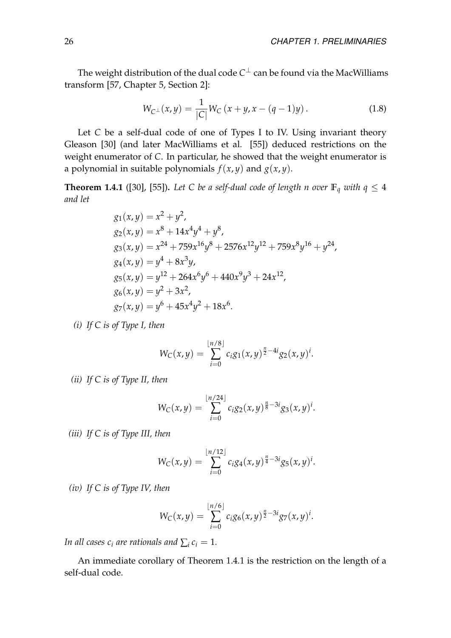The weight distribution of the dual code  $C^\perp$  can be found via the MacWilliams transform [\[57,](#page-84-0) Chapter 5, Section 2]:

<span id="page-27-1"></span>
$$
W_{C^{\perp}}(x,y) = \frac{1}{|C|} W_C(x+y, x - (q-1)y).
$$
 (1.8)

Let *C* be a self-dual code of one of Types I to IV. Using invariant theory Gleason [\[30\]](#page-82-4) (and later MacWilliams et al. [\[55\]](#page-84-5)) deduced restrictions on the weight enumerator of *C*. In particular, he showed that the weight enumerator is a polynomial in suitable polynomials  $f(x, y)$  and  $g(x, y)$ .

<span id="page-27-0"></span>**Theorem 1.4.1** ([\[30\]](#page-82-4), [\[55\]](#page-84-5)). Let C be a self-dual code of length n over  $\mathbb{F}_q$  with  $q \leq 4$ *and let*

$$
g_1(x,y) = x^2 + y^2,
$$
  
\n
$$
g_2(x,y) = x^8 + 14x^4y^4 + y^8,
$$
  
\n
$$
g_3(x,y) = x^{24} + 759x^{16}y^8 + 2576x^{12}y^{12} + 759x^8y^{16} + y^{24},
$$
  
\n
$$
g_4(x,y) = y^4 + 8x^3y,
$$
  
\n
$$
g_5(x,y) = y^{12} + 264x^6y^6 + 440x^9y^3 + 24x^{12},
$$
  
\n
$$
g_6(x,y) = y^2 + 3x^2,
$$
  
\n
$$
g_7(x,y) = y^6 + 45x^4y^2 + 18x^6.
$$

*(i) If C is of Type I, then*

$$
W_C(x,y) = \sum_{i=0}^{\lfloor n/8 \rfloor} c_i g_1(x,y)^{\frac{n}{2}-4i} g_2(x,y)^i.
$$

*(ii) If C is of Type II, then*

$$
W_C(x,y) = \sum_{i=0}^{\lfloor n/24 \rfloor} c_i g_2(x,y)^{\frac{n}{8}-3i} g_3(x,y)^i.
$$

*(iii) If C is of Type III, then*

$$
W_C(x,y) = \sum_{i=0}^{\lfloor n/12 \rfloor} c_i g_4(x,y)^{\frac{n}{4}-3i} g_5(x,y)^i.
$$

*(iv) If C is of Type IV, then*

$$
W_C(x,y) = \sum_{i=0}^{\lfloor n/6 \rfloor} c_i g_6(x,y)^{\frac{n}{2}-3i} g_7(x,y)^i.
$$

*In all cases*  $c_i$  *are rationals and*  $\sum_i c_i = 1$ *.* 

An immediate corollary of Theorem [1.4.1](#page-27-0) is the restriction on the length of a self-dual code.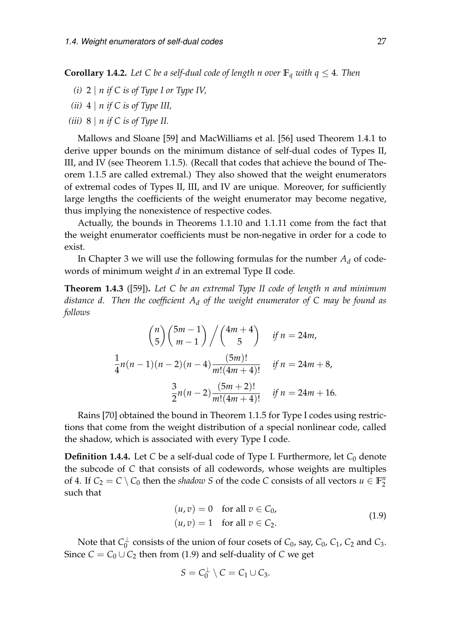**Corollary 1.4.2.** Let C be a self-dual code of length n over  $\mathbb{F}_q$  with  $q \leq 4$ . Then

- *(i)* 2 | *n if C is of Type I or Type IV,*
- *(ii)* 4 | *n if C is of Type III,*
- *(iii)* 8 | *n if C is of Type II.*

Mallows and Sloane [\[59\]](#page-84-1) and MacWilliams et al. [\[56\]](#page-84-2) used Theorem [1.4.1](#page-27-0) to derive upper bounds on the minimum distance of self-dual codes of Types II, III, and IV (see Theorem [1.1.5\)](#page-17-1). (Recall that codes that achieve the bound of Theorem [1.1.5](#page-17-1) are called extremal.) They also showed that the weight enumerators of extremal codes of Types II, III, and IV are unique. Moreover, for sufficiently large lengths the coefficients of the weight enumerator may become negative, thus implying the nonexistence of respective codes.

Actually, the bounds in Theorems [1.1.10](#page-18-2) and [1.1.11](#page-18-3) come from the fact that the weight enumerator coefficients must be non-negative in order for a code to exist.

In Chapter [3](#page-66-0) we will use the following formulas for the number  $A_d$  of codewords of minimum weight *d* in an extremal Type II code.

**Theorem 1.4.3** ([\[59\]](#page-84-1))**.** *Let C be an extremal Type II code of length n and minimum distance d. Then the coefficient A<sup>d</sup> of the weight enumerator of C may be found as follows*

$$
{n \choose 5} {5m-1 \choose m-1} / {4m+4 \choose 5} \quad \text{if } n = 24m,
$$
  

$$
\frac{1}{4}n(n-1)(n-2)(n-4) \frac{(5m)!}{m!(4m+4)!} \quad \text{if } n = 24m+8,
$$
  

$$
\frac{3}{2}n(n-2) \frac{(5m+2)!}{m!(4m+4)!} \quad \text{if } n = 24m+16.
$$

Rains [\[70\]](#page-85-2) obtained the bound in Theorem [1.1.5](#page-17-1) for Type I codes using restrictions that come from the weight distribution of a special nonlinear code, called the shadow, which is associated with every Type I code.

**Definition 1.4.4.** Let *C* be a self-dual code of Type I. Furthermore, let  $C_0$  denote the subcode of *C* that consists of all codewords, whose weights are multiples of 4. If  $C_2 = C \setminus C_0$  then the *shadow S* of the code *C* consists of all vectors  $u \in \mathbb{F}_2^n$ 2 such that

$$
(u, v) = 0 \quad \text{for all } v \in C_0,
$$
  

$$
(u, v) = 1 \quad \text{for all } v \in C_2.
$$
 (1.9)

<span id="page-28-0"></span>Note that *C*<sup>⊥</sup>  $\frac{1}{0}$  consists of the union of four cosets of  $C_0$ , say,  $C_0$ ,  $C_1$ ,  $C_2$  and  $C_3$ . Since  $C = C_0 \cup C_2$  then from [\(1.9\)](#page-28-0) and self-duality of *C* we get

$$
S=C_0^{\perp}\setminus C=C_1\cup C_3.
$$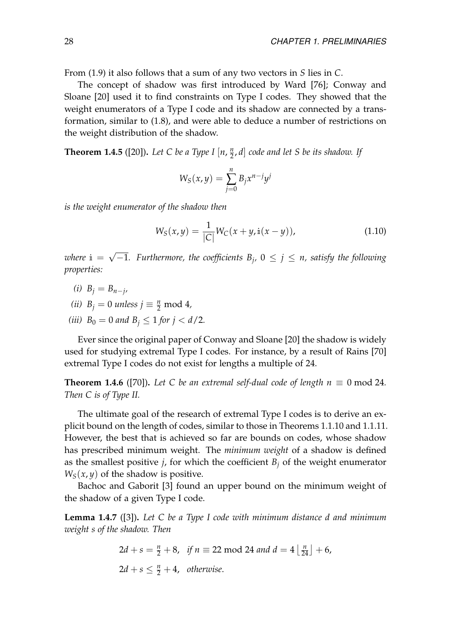From [\(1.9\)](#page-28-0) it also follows that a sum of any two vectors in *S* lies in *C*.

The concept of shadow was first introduced by Ward [\[76\]](#page-85-6); Conway and Sloane [\[20\]](#page-81-2) used it to find constraints on Type I codes. They showed that the weight enumerators of a Type I code and its shadow are connected by a transformation, similar to [\(1.8\)](#page-27-1), and were able to deduce a number of restrictions on the weight distribution of the shadow.

**Theorem 1.4.5** ([\[20\]](#page-81-2)). Let C be a Type I [n,  $\frac{n}{2}$ ] 2 , *d*] *code and let S be its shadow. If*

$$
W_S(x,y) = \sum_{j=0}^n B_j x^{n-j} y^j
$$

*is the weight enumerator of the shadow then*

$$
W_S(x, y) = \frac{1}{|C|} W_C(x + y, i(x - y)),
$$
\n(1.10)

 $where i = \sqrt$  $-1$ . Furthermore, the coefficients  $B_j$ ,  $0 ≤ j ≤ n$ , satisfy the following *properties:*

- $(i)$   $B_j = B_{n-j}$
- *(ii)*  $B_j = 0$  *unless*  $j \equiv \frac{n}{2} \mod 4$ *,*
- *(iii)*  $B_0 = 0$  *and*  $B_i \leq 1$  *for*  $j < d/2$ *.*

Ever since the original paper of Conway and Sloane [\[20\]](#page-81-2) the shadow is widely used for studying extremal Type I codes. For instance, by a result of Rains [\[70\]](#page-85-2) extremal Type I codes do not exist for lengths a multiple of 24.

<span id="page-29-0"></span>**Theorem 1.4.6** ([\[70\]](#page-85-2)). Let C be an extremal self-dual code of length  $n \equiv 0 \mod 24$ . *Then C is of Type II.*

The ultimate goal of the research of extremal Type I codes is to derive an explicit bound on the length of codes, similar to those in Theorems [1.1.10](#page-18-2) and [1.1.11.](#page-18-3) However, the best that is achieved so far are bounds on codes, whose shadow has prescribed minimum weight. The *minimum weight* of a shadow is defined as the smallest positive  $j$ , for which the coefficient  $B_j$  of the weight enumerator  $W_S(x, y)$  of the shadow is positive.

Bachoc and Gaborit [\[3\]](#page-80-3) found an upper bound on the minimum weight of the shadow of a given Type I code.

<span id="page-29-1"></span>**Lemma 1.4.7** ([\[3\]](#page-80-3))**.** *Let C be a Type I code with minimum distance d and minimum weight s of the shadow. Then*

$$
2d + s = \frac{n}{2} + 8, \text{ if } n \equiv 22 \mod 24 \text{ and } d = 4 \left\lfloor \frac{n}{24} \right\rfloor + 6,
$$
  

$$
2d + s \le \frac{n}{2} + 4, \text{ otherwise.}
$$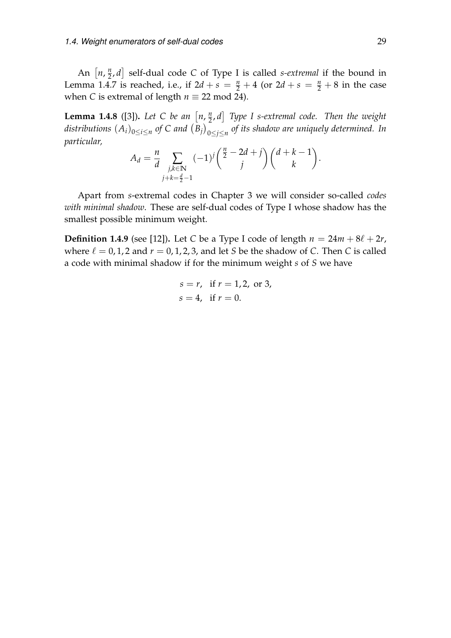An  $\left[ n, \frac{n}{2} \right]$ 2 , *d* self-dual code *C* of Type I is called *s-extremal* if the bound in Lemma [1.4.7](#page-29-1) is reached, i.e., if  $2d + s = \frac{n}{2} + 4$  (or  $2d + s = \frac{n}{2} + 8$  in the case when *C* is extremal of length  $n \equiv 22 \mod 24$ .

**Lemma 1.4.8** ([\[3\]](#page-80-3)). Let C be an  $\left[ n, \frac{n}{2} \right]$ 2 , *d Type I s-extremal code. Then the weight*  $distributions \ (A_i)_{0 \leq i \leq n}$  of  $C$  and  $\big(B_j\big)_{0 \leq j \leq n}$  of its shadow are uniquely determined. In *particular,*

$$
A_d = \frac{n}{d} \sum_{\substack{j,k \in \mathbb{N} \\ j+k = \frac{d}{2}-1}} (-1)^j {\binom{\frac{n}{2}-2d+j}{j}} {\binom{d+k-1}{k}}.
$$

Apart from *s*-extremal codes in Chapter [3](#page-66-0) we will consider so-called *codes with minimal shadow*. These are self-dual codes of Type I whose shadow has the smallest possible minimum weight.

**Definition 1.4.9** (see [\[12\]](#page-81-3)). Let *C* be a Type I code of length  $n = 24m + 8\ell + 2r$ , where  $\ell = 0, 1, 2$  and  $r = 0, 1, 2, 3$ , and let *S* be the shadow of *C*. Then *C* is called a code with minimal shadow if for the minimum weight *s* of *S* we have

$$
s = r
$$
, if  $r = 1, 2$ , or 3,  
 $s = 4$ , if  $r = 0$ .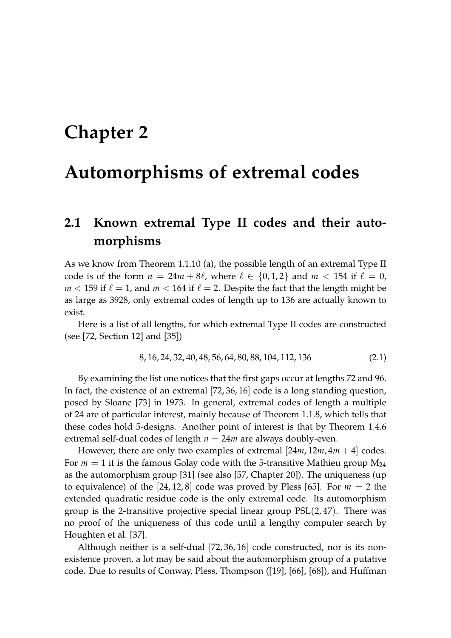## <span id="page-32-0"></span>**Chapter 2**

## **Automorphisms of extremal codes**

## <span id="page-32-1"></span>**2.1 Known extremal Type II codes and their automorphisms**

As we know from Theorem [1.1.10](#page-18-2) (a), the possible length of an extremal Type II code is of the form  $n = 24m + 8\ell$ , where  $\ell \in \{0, 1, 2\}$  and  $m < 154$  if  $\ell = 0$ ,  $m < 159$  if  $\ell = 1$ , and  $m < 164$  if  $\ell = 2$ . Despite the fact that the length might be as large as 3928, only extremal codes of length up to 136 are actually known to exist.

Here is a list of all lengths, for which extremal Type II codes are constructed (see [\[72,](#page-85-3) Section 12] and [\[35\]](#page-82-5))

<span id="page-32-2"></span>
$$
8, 16, 24, 32, 40, 48, 56, 64, 80, 88, 104, 112, 136 \tag{2.1}
$$

By examining the list one notices that the first gaps occur at lengths 72 and 96. In fact, the existence of an extremal [72, 36, 16] code is a long standing question, posed by Sloane [\[73\]](#page-85-7) in 1973. In general, extremal codes of length a multiple of 24 are of particular interest, mainly because of Theorem [1.1.8,](#page-18-0) which tells that these codes hold 5-designs. Another point of interest is that by Theorem [1.4.6](#page-29-0) extremal self-dual codes of length  $n = 24m$  are always doubly-even.

However, there are only two examples of extremal  $[24m, 12m, 4m + 4]$  codes. For  $m = 1$  it is the famous Golay code with the 5-transitive Mathieu group  $M_{24}$ as the automorphism group [\[31\]](#page-82-0) (see also [\[57,](#page-84-0) Chapter 20]). The uniqueness (up to equivalence) of the  $[24, 12, 8]$  code was proved by Pless [\[65\]](#page-84-6). For  $m = 2$  the extended quadratic residue code is the only extremal code. Its automorphism group is the 2-transitive projective special linear group  $PSL(2, 47)$ . There was no proof of the uniqueness of this code until a lengthy computer search by Houghten et al. [\[37\]](#page-82-6).

Although neither is a self-dual [72, 36, 16] code constructed, nor is its nonexistence proven, a lot may be said about the automorphism group of a putative code. Due to results of Conway, Pless, Thompson ([\[19\]](#page-81-4), [\[66\]](#page-84-7), [\[68\]](#page-85-8)), and Huffman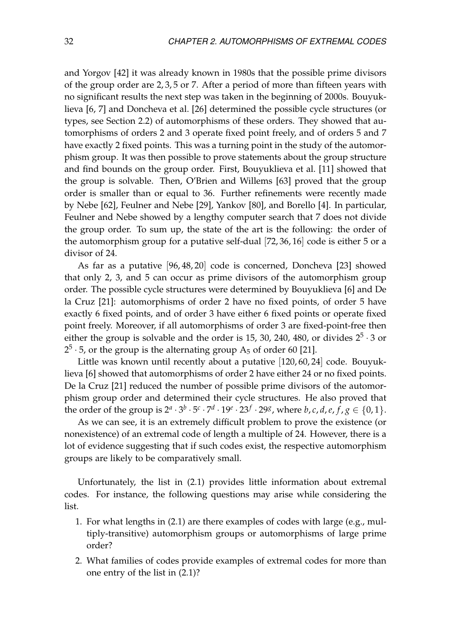and Yorgov [\[42\]](#page-83-5) it was already known in 1980s that the possible prime divisors of the group order are 2, 3, 5 or 7. After a period of more than fifteen years with no significant results the next step was taken in the beginning of 2000s. Bouyuklieva [\[6,](#page-80-4) [7\]](#page-80-5) and Doncheva et al. [\[26\]](#page-82-7) determined the possible cycle structures (or types, see Section [2.2\)](#page-36-0) of automorphisms of these orders. They showed that automorphisms of orders 2 and 3 operate fixed point freely, and of orders 5 and 7 have exactly 2 fixed points. This was a turning point in the study of the automorphism group. It was then possible to prove statements about the group structure and find bounds on the group order. First, Bouyuklieva et al. [\[11\]](#page-80-6) showed that the group is solvable. Then, O'Brien and Willems [\[63\]](#page-84-8) proved that the group order is smaller than or equal to 36. Further refinements were recently made by Nebe [\[62\]](#page-84-9), Feulner and Nebe [\[29\]](#page-82-8), Yankov [\[80\]](#page-85-9), and Borello [\[4\]](#page-80-7). In particular, Feulner and Nebe showed by a lengthy computer search that 7 does not divide the group order. To sum up, the state of the art is the following: the order of the automorphism group for a putative self-dual [72, 36, 16] code is either 5 or a divisor of 24.

As far as a putative [96, 48, 20] code is concerned, Doncheva [\[23\]](#page-81-5) showed that only 2, 3, and 5 can occur as prime divisors of the automorphism group order. The possible cycle structures were determined by Bouyuklieva [\[6\]](#page-80-4) and De la Cruz [\[21\]](#page-81-6): automorphisms of order 2 have no fixed points, of order 5 have exactly 6 fixed points, and of order 3 have either 6 fixed points or operate fixed point freely. Moreover, if all automorphisms of order 3 are fixed-point-free then either the group is solvable and the order is 15, 30, 240, 480, or divides  $2^5 \cdot 3$  or  $2^5 \cdot 5$ , or the group is the alternating group A<sub>5</sub> of order 60 [\[21\]](#page-81-6).

Little was known until recently about a putative [120, 60, 24] code. Bouyuklieva [\[6\]](#page-80-4) showed that automorphisms of order 2 have either 24 or no fixed points. De la Cruz [\[21\]](#page-81-6) reduced the number of possible prime divisors of the automorphism group order and determined their cycle structures. He also proved that the order of the group is  $2^a \cdot 3^b \cdot 5^c \cdot 7^d \cdot 19^e \cdot 23^f \cdot 29^g$ , where  $b, c, d, e, f, g \in \{0, 1\}$ .

As we can see, it is an extremely difficult problem to prove the existence (or nonexistence) of an extremal code of length a multiple of 24. However, there is a lot of evidence suggesting that if such codes exist, the respective automorphism groups are likely to be comparatively small.

Unfortunately, the list in [\(2.1\)](#page-32-2) provides little information about extremal codes. For instance, the following questions may arise while considering the list.

- 1. For what lengths in [\(2.1\)](#page-32-2) are there examples of codes with large (e.g., multiply-transitive) automorphism groups or automorphisms of large prime order?
- 2. What families of codes provide examples of extremal codes for more than one entry of the list in [\(2.1\)](#page-32-2)?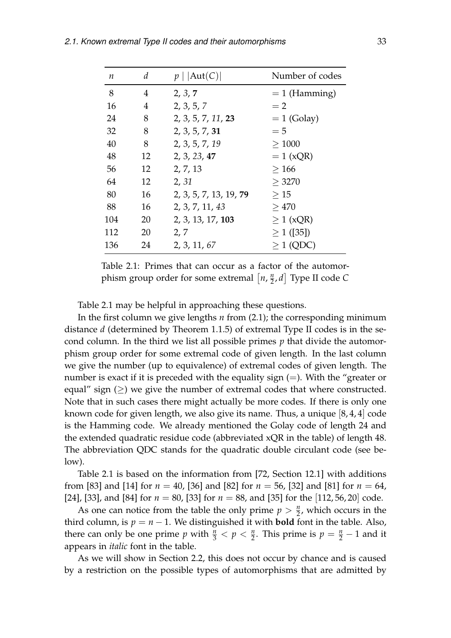| $\boldsymbol{n}$ | d  | $p \mid  Aut(C) $      | Number of codes |
|------------------|----|------------------------|-----------------|
| 8                | 4  | 2, 3, 7                | $= 1$ (Hamming) |
| 16               | 4  | 2, 3, 5, 7             | $=2$            |
| 24               | 8  | 2, 3, 5, 7, 11, 23     | $= 1$ (Golay)   |
| 32               | 8  | 2, 3, 5, 7, 31         | $= 5$           |
| 40               | 8  | 2, 3, 5, 7, 19         | >1000           |
| 48               | 12 | 2, 3, 23, 47           | $= 1$ (xQR)     |
| 56               | 12 | 2, 7, 13               | >166            |
| 64               | 12 | 2, 31                  | > 3270          |
| 80               | 16 | 2, 3, 5, 7, 13, 19, 79 | >15             |
| 88               | 16 | 2, 3, 7, 11, 43        | >470            |
| 104              | 20 | 2, 3, 13, 17, 103      | $\geq 1$ (xQR)  |
| 112              | 20 | 2, 7                   | $\geq 1$ ([35]) |
| 136              | 24 | 2, 3, 11, 67           | $\geq$ 1 (QDC)  |

<span id="page-34-0"></span>Table 2.1: Primes that can occur as a factor of the automorphism group order for some extremal  $\left[ n, \frac{n}{2} \right]$ 2 , *d* Type II code *C*

Table [2.1](#page-34-0) may be helpful in approaching these questions.

In the first column we give lengths *n* from [\(2.1\)](#page-32-2); the corresponding minimum distance *d* (determined by Theorem [1.1.5\)](#page-17-1) of extremal Type II codes is in the second column. In the third we list all possible primes *p* that divide the automorphism group order for some extremal code of given length. In the last column we give the number (up to equivalence) of extremal codes of given length. The number is exact if it is preceded with the equality sign  $(=)$ . With the "greater or equal" sign (>) we give the number of extremal codes that where constructed. Note that in such cases there might actually be more codes. If there is only one known code for given length, we also give its name. Thus, a unique [8, 4, 4] code is the Hamming code. We already mentioned the Golay code of length 24 and the extended quadratic residue code (abbreviated xQR in the table) of length 48. The abbreviation QDC stands for the quadratic double circulant code (see below).

Table [2.1](#page-34-0) is based on the information from [\[72,](#page-85-3) Section 12.1] with additions from [\[83\]](#page-86-1) and [\[14\]](#page-81-7) for *n* = 40, [\[36\]](#page-82-9) and [\[82\]](#page-85-10) for *n* = 56, [\[32\]](#page-82-10) and [\[81\]](#page-85-11) for *n* = 64, [\[24\]](#page-81-8), [\[33\]](#page-82-11), and [\[84\]](#page-86-2) for *n* = 80, [\[33\]](#page-82-11) for *n* = 88, and [\[35\]](#page-82-5) for the [112, 56, 20] code.

As one can notice from the table the only prime  $p > \frac{n}{2}$ , which occurs in the third column, is  $p = n - 1$ . We distinguished it with **bold** font in the table. Also, there can only be one prime *p* with  $\frac{n}{3} < p < \frac{n}{2}$ . This prime is  $p = \frac{n}{2} - 1$  and it appears in *italic* font in the table.

As we will show in Section [2.2,](#page-36-0) this does not occur by chance and is caused by a restriction on the possible types of automorphisms that are admitted by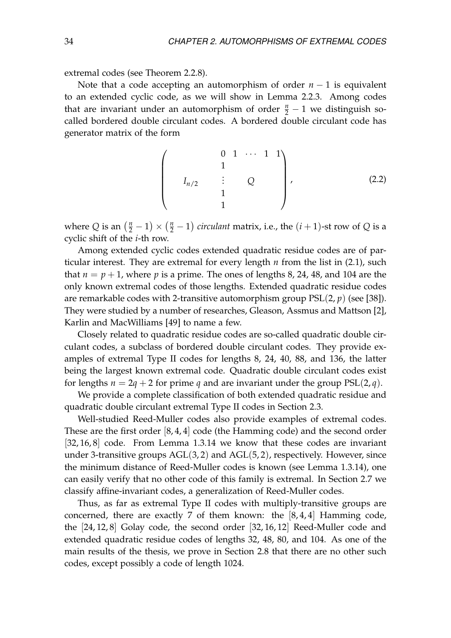extremal codes (see Theorem [2.2.8\)](#page-37-0).

Note that a code accepting an automorphism of order *n* − 1 is equivalent to an extended cyclic code, as we will show in Lemma [2.2.3.](#page-36-1) Among codes that are invariant under an automorphism of order  $\frac{n}{2} - 1$  we distinguish socalled bordered double circulant codes. A bordered double circulant code has generator matrix of the form

$$
\begin{pmatrix}\n0 & 1 & \cdots & 1 & 1 \\
1 & & & & \\
I_{n/2} & \vdots & Q & & \\
& & 1 & & \\
& & & 1 & & \n\end{pmatrix},
$$
\n(2.2)

where  $Q$  is an  $\left(\frac{n}{2} - 1\right) \times \left(\frac{n}{2} - 1\right)$  *circulant* matrix, i.e., the  $(i + 1)$ -st row of  $Q$  is a cyclic shift of the *i*-th row.

Among extended cyclic codes extended quadratic residue codes are of particular interest. They are extremal for every length *n* from the list in [\(2.1\)](#page-32-2), such that  $n = p + 1$ , where p is a prime. The ones of lengths 8, 24, 48, and 104 are the only known extremal codes of those lengths. Extended quadratic residue codes are remarkable codes with 2-transitive automorphism group  $PSL(2, p)$  (see [\[38\]](#page-82-12)). They were studied by a number of researches, Gleason, Assmus and Mattson [\[2\]](#page-80-8), Karlin and MacWilliams [\[49\]](#page-83-6) to name a few.

Closely related to quadratic residue codes are so-called quadratic double circulant codes, a subclass of bordered double circulant codes. They provide examples of extremal Type II codes for lengths 8, 24, 40, 88, and 136, the latter being the largest known extremal code. Quadratic double circulant codes exist for lengths  $n = 2q + 2$  for prime q and are invariant under the group  $PSL(2, q)$ .

We provide a complete classification of both extended quadratic residue and quadratic double circulant extremal Type II codes in Section [2.3.](#page-38-0)

Well-studied Reed-Muller codes also provide examples of extremal codes. These are the first order [8, 4, 4] code (the Hamming code) and the second order [32, 16, 8] code. From Lemma [1.3.14](#page-26-2) we know that these codes are invariant under 3-transitive groups  $AGL(3, 2)$  and  $AGL(5, 2)$ , respectively. However, since the minimum distance of Reed-Muller codes is known (see Lemma [1.3.14\)](#page-26-2), one can easily verify that no other code of this family is extremal. In Section [2.7](#page-55-0) we classify affine-invariant codes, a generalization of Reed-Muller codes.

Thus, as far as extremal Type II codes with multiply-transitive groups are concerned, there are exactly 7 of them known: the [8, 4, 4] Hamming code, the [24, 12, 8] Golay code, the second order [32, 16, 12] Reed-Muller code and extended quadratic residue codes of lengths 32, 48, 80, and 104. As one of the main results of the thesis, we prove in Section [2.8](#page-58-0) that there are no other such codes, except possibly a code of length 1024.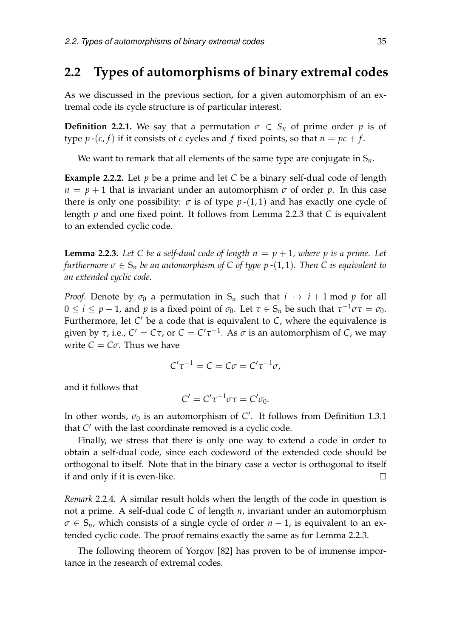#### <span id="page-36-1"></span>**2.2 Types of automorphisms of binary extremal codes**

As we discussed in the previous section, for a given automorphism of an extremal code its cycle structure is of particular interest.

**Definition 2.2.1.** We say that a permutation  $\sigma \in S_n$  of prime order *p* is of type  $p-(c, f)$  if it consists of *c* cycles and *f* fixed points, so that  $n = pc + f$ .

We want to remark that all elements of the same type are conjugate in S*n*.

**Example 2.2.2.** Let *p* be a prime and let *C* be a binary self-dual code of length  $n = p + 1$  that is invariant under an automorphism  $\sigma$  of order  $p$ . In this case there is only one possibility:  $\sigma$  is of type  $p-(1,1)$  and has exactly one cycle of length *p* and one fixed point. It follows from Lemma [2.2.3](#page-36-0) that *C* is equivalent to an extended cyclic code.

<span id="page-36-0"></span>**Lemma 2.2.3.** Let C be a self-dual code of length  $n = p + 1$ , where p is a prime. Let *furthermore*  $\sigma \in S_n$  *be an automorphism of* C *of type p* -(1, 1)*. Then* C *is equivalent to an extended cyclic code.*

*Proof.* Denote by  $\sigma_0$  a permutation in  $S_n$  such that  $i \mapsto i + 1 \mod p$  for all  $0 \leq i \leq p-1$ , and  $p$  is a fixed point of  $\sigma_0$ . Let  $\tau \in S_n$  be such that  $\tau^{-1}\sigma\tau = \sigma_0$ . Furthermore, let C' be a code that is equivalent to C, where the equivalence is given by  $\tau$ , i.e.,  $C' = C\tau$ , or  $C = C'\tau^{-1}$ . As  $\sigma$  is an automorphism of *C*, we may write  $C = C\sigma$ . Thus we have

$$
C'\tau^{-1} = C = C\sigma = C'\tau^{-1}\sigma,
$$

and it follows that

$$
C'=C'\tau^{-1}\sigma\tau=C'\sigma_0.
$$

In other words,  $\sigma_0$  is an automorphism of  $C'$ . It follows from Definition [1.3.1](#page-22-0) that C' with the last coordinate removed is a cyclic code.

Finally, we stress that there is only one way to extend a code in order to obtain a self-dual code, since each codeword of the extended code should be orthogonal to itself. Note that in the binary case a vector is orthogonal to itself if and only if it is even-like.  $\Box$ 

<span id="page-36-2"></span>*Remark* 2.2.4*.* A similar result holds when the length of the code in question is not a prime. A self-dual code *C* of length *n*, invariant under an automorphism  $\sigma \in S_n$ , which consists of a single cycle of order *n* − 1, is equivalent to an extended cyclic code. The proof remains exactly the same as for Lemma [2.2.3.](#page-36-0)

The following theorem of Yorgov [\[82\]](#page-85-0) has proven to be of immense importance in the research of extremal codes.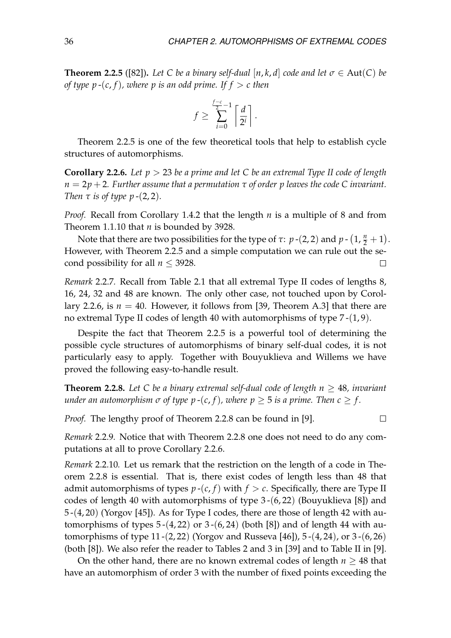<span id="page-37-0"></span>**Theorem 2.2.5** ([\[82\]](#page-85-0)). Let C be a binary self-dual [n, k, d] code and let  $\sigma \in \text{Aut}(C)$  be *of type p*  $-(c, f)$ *, where p is an odd prime. If*  $f > c$  *then* 

$$
f \ge \sum_{i=0}^{\frac{f-c}{2}-1} \left\lceil \frac{d}{2^i} \right\rceil.
$$

Theorem [2.2.5](#page-37-0) is one of the few theoretical tools that help to establish cycle structures of automorphisms.

<span id="page-37-1"></span>**Corollary 2.2.6.** *Let p* > 23 *be a prime and let C be an extremal Type II code of length n* = 2*p* + 2*. Further assume that a permutation τ of order p leaves the code C invariant. Then*  $\tau$  *is of type*  $p-(2,2)$ *.* 

*Proof.* Recall from Corollary [1.4.2](#page-28-0) that the length *n* is a multiple of 8 and from Theorem [1.1.10](#page-18-0) that *n* is bounded by 3928.

Note that there are two possibilities for the type of  $\tau$ :  $p$  -(2, 2) and  $p$  -  $(1, \frac{n}{2} + 1)$ . However, with Theorem [2.2.5](#page-37-0) and a simple computation we can rule out the second possibility for all  $n \leq 3928$ .  $\Box$ 

*Remark* 2.2.7*.* Recall from Table [2.1](#page-34-0) that all extremal Type II codes of lengths 8, 16, 24, 32 and 48 are known. The only other case, not touched upon by Corol-lary [2.2.6,](#page-37-1) is  $n = 40$ . However, it follows from [\[39,](#page-82-0) Theorem A.3] that there are no extremal Type II codes of length 40 with automorphisms of type 7 -(1, 9).

Despite the fact that Theorem [2.2.5](#page-37-0) is a powerful tool of determining the possible cycle structures of automorphisms of binary self-dual codes, it is not particularly easy to apply. Together with Bouyuklieva and Willems we have proved the following easy-to-handle result.

<span id="page-37-2"></span>**Theorem 2.2.8.** Let C be a binary extremal self-dual code of length  $n > 48$ , invariant *under an automorphism*  $\sigma$  *of type p* -(*c*, *f*), where  $p \geq 5$  *is a prime. Then*  $c \geq f$ .

*Proof.* The lengthy proof of Theorem [2.2.8](#page-37-2) can be found in [\[9\]](#page-80-0).

 $\Box$ 

*Remark* 2.2.9*.* Notice that with Theorem [2.2.8](#page-37-2) one does not need to do any computations at all to prove Corollary [2.2.6.](#page-37-1)

*Remark* 2.2.10*.* Let us remark that the restriction on the length of a code in Theorem [2.2.8](#page-37-2) is essential. That is, there exist codes of length less than 48 that admit automorphisms of types  $p-(c, f)$  with  $f > c$ . Specifically, there are Type II codes of length 40 with automorphisms of type  $3-(6, 22)$  (Bouyuklieva [\[8\]](#page-80-1)) and 5 -(4, 20) (Yorgov [\[45\]](#page-83-0)). As for Type I codes, there are those of length 42 with automorphisms of types  $5-(4, 22)$  or  $3-(6, 24)$  (both [\[8\]](#page-80-1)) and of length 44 with automorphisms of type 11 -(2, 22) (Yorgov and Russeva [\[46\]](#page-83-1)), 5 -(4, 24), or 3 -(6, 26) (both [\[8\]](#page-80-1)). We also refer the reader to Tables 2 and 3 in [\[39\]](#page-82-0) and to Table II in [\[9\]](#page-80-0).

On the other hand, there are no known extremal codes of length  $n \geq 48$  that have an automorphism of order 3 with the number of fixed points exceeding the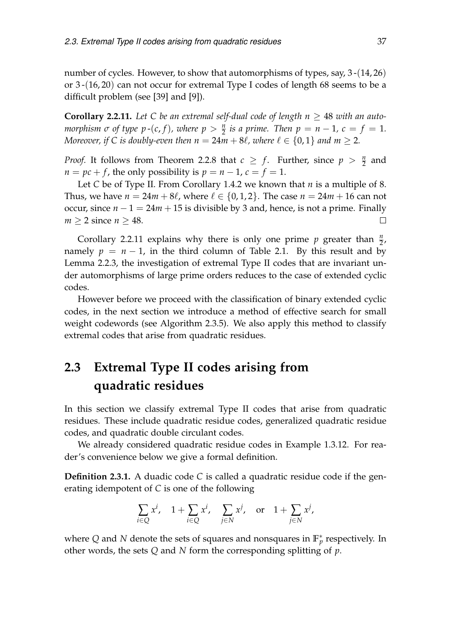number of cycles. However, to show that automorphisms of types, say, 3-(14, 26) or 3 -(16, 20) can not occur for extremal Type I codes of length 68 seems to be a difficult problem (see [\[39\]](#page-82-0) and [\[9\]](#page-80-0)).

<span id="page-38-0"></span>**Corollary 2.2.11.** Let C be an extremal self-dual code of length  $n \geq 48$  with an auto*morphism*  $\sigma$  *of type*  $p$  -(*c*, *f*), where  $p > \frac{n}{2}$  *is a prime. Then*  $p = n - 1$ ,  $c = f = 1$ . *Moreover, if* C is doubly-even then  $n = 24m + 8\ell$ , where  $\ell \in \{0, 1\}$  *and*  $m \ge 2$ *.* 

*Proof.* It follows from Theorem [2.2.8](#page-37-2) that  $c \geq f$ . Further, since  $p > \frac{n}{2}$  and  $n = pc + f$ , the only possibility is  $p = n - 1$ ,  $c = f = 1$ .

Let *C* be of Type II. From Corollary [1.4.2](#page-28-0) we known that *n* is a multiple of 8. Thus, we have  $n = 24m + 8\ell$ , where  $\ell \in \{0, 1, 2\}$ . The case  $n = 24m + 16$  can not occur, since  $n - 1 = 24m + 15$  is divisible by 3 and, hence, is not a prime. Finally *m* > 2 since *n* > 48.  $\Box$ 

Corollary [2.2.11](#page-38-0) explains why there is only one prime  $p$  greater than  $\frac{n}{2}$ , namely  $p = n - 1$ , in the third column of Table [2.1.](#page-34-0) By this result and by Lemma [2.2.3,](#page-36-0) the investigation of extremal Type II codes that are invariant under automorphisms of large prime orders reduces to the case of extended cyclic codes.

However before we proceed with the classification of binary extended cyclic codes, in the next section we introduce a method of effective search for small weight codewords (see Algorithm [2.3.5\)](#page-40-0). We also apply this method to classify extremal codes that arise from quadratic residues.

## <span id="page-38-2"></span>**2.3 Extremal Type II codes arising from quadratic residues**

In this section we classify extremal Type II codes that arise from quadratic residues. These include quadratic residue codes, generalized quadratic residue codes, and quadratic double circulant codes.

We already considered quadratic residue codes in Example [1.3.12.](#page-25-0) For reader's convenience below we give a formal definition.

<span id="page-38-1"></span>**Definition 2.3.1.** A duadic code *C* is called a quadratic residue code if the generating idempotent of *C* is one of the following

$$
\sum_{i\in Q} x^i, \quad 1+\sum_{i\in Q} x^i, \quad \sum_{j\in N} x^j, \quad \text{or} \quad 1+\sum_{j\in N} x^j,
$$

where Q and N denote the sets of squares and nonsquares in  $\mathbb{F}_p^*$  respectively. In other words, the sets *Q* and *N* form the corresponding splitting of *p*.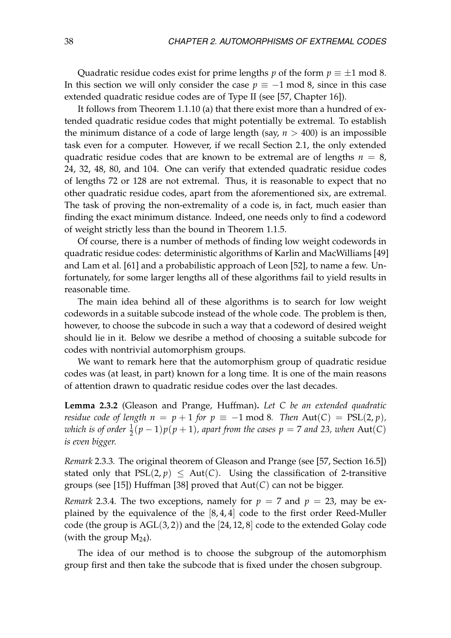Quadratic residue codes exist for prime lengths *p* of the form  $p \equiv \pm 1 \mod 8$ . In this section we will only consider the case  $p \equiv -1 \mod 8$ , since in this case extended quadratic residue codes are of Type II (see [\[57,](#page-84-0) Chapter 16]).

It follows from Theorem [1.1.10](#page-18-0) (a) that there exist more than a hundred of extended quadratic residue codes that might potentially be extremal. To establish the minimum distance of a code of large length (say,  $n > 400$ ) is an impossible task even for a computer. However, if we recall Section [2.1,](#page-32-0) the only extended quadratic residue codes that are known to be extremal are of lengths  $n = 8$ , 24, 32, 48, 80, and 104. One can verify that extended quadratic residue codes of lengths 72 or 128 are not extremal. Thus, it is reasonable to expect that no other quadratic residue codes, apart from the aforementioned six, are extremal. The task of proving the non-extremality of a code is, in fact, much easier than finding the exact minimum distance. Indeed, one needs only to find a codeword of weight strictly less than the bound in Theorem [1.1.5.](#page-17-0)

Of course, there is a number of methods of finding low weight codewords in quadratic residue codes: deterministic algorithms of Karlin and MacWilliams [\[49\]](#page-83-2) and Lam et al. [\[61\]](#page-84-1) and a probabilistic approach of Leon [\[52\]](#page-83-3), to name a few. Unfortunately, for some larger lengths all of these algorithms fail to yield results in reasonable time.

The main idea behind all of these algorithms is to search for low weight codewords in a suitable subcode instead of the whole code. The problem is then, however, to choose the subcode in such a way that a codeword of desired weight should lie in it. Below we desribe a method of choosing a suitable subcode for codes with nontrivial automorphism groups.

We want to remark here that the automorphism group of quadratic residue codes was (at least, in part) known for a long time. It is one of the main reasons of attention drawn to quadratic residue codes over the last decades.

**Lemma 2.3.2** (Gleason and Prange, Huffman)**.** *Let C be an extended quadratic residue code of length n* =  $p + 1$  *for*  $p \equiv -1$  mod 8*. Then* Aut(*C*) = PSL(2, *p*)*, which is of order*  $\frac{1}{2}(p-1)p(p+1)$ , apart from the cases  $p = 7$  and 23, when  $\text{Aut}(C)$ *is even bigger.*

*Remark* 2.3.3*.* The original theorem of Gleason and Prange (see [\[57,](#page-84-0) Section 16.5]) stated only that  $PSL(2, p) \leq Aut(C)$ . Using the classification of 2-transitive groups (see [\[15\]](#page-81-0)) Huffman [\[38\]](#page-82-1) proved that Aut(*C*) can not be bigger.

*Remark* 2.3.4. The two exceptions, namely for  $p = 7$  and  $p = 23$ , may be explained by the equivalence of the [8, 4, 4] code to the first order Reed-Muller code (the group is  $AGL(3,2)$ ) and the [24, 12, 8] code to the extended Golay code (with the group  $M_{24}$ ).

The idea of our method is to choose the subgroup of the automorphism group first and then take the subcode that is fixed under the chosen subgroup.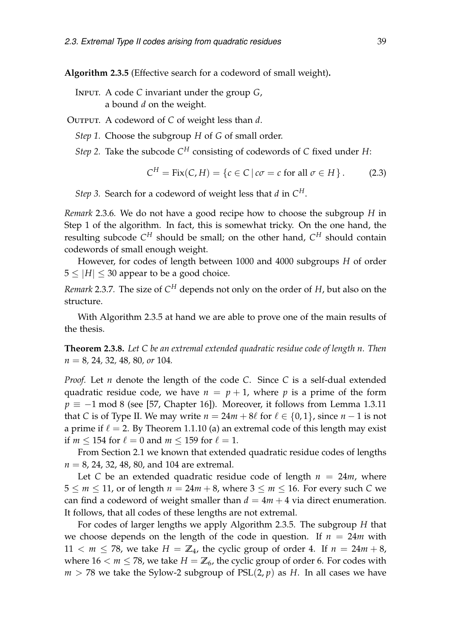<span id="page-40-0"></span>**Algorithm 2.3.5** (Effective search for a codeword of small weight)**.**

- Input. A code *C* invariant under the group *G*, a bound *d* on the weight.
- OUTPUT. A codeword of *C* of weight less than *d*.
	- *Step 1.* Choose the subgroup *H* of *G* of small order.
	- *Step 2.* Take the subcode *C <sup>H</sup>* consisting of codewords of *C* fixed under *H*:

$$
C^H = \text{Fix}(C, H) = \{c \in C \,|\, c\sigma = c \text{ for all } \sigma \in H\}.
$$
 (2.3)

*Step 3.* Search for a codeword of weight less that *d* in *C H*.

*Remark* 2.3.6*.* We do not have a good recipe how to choose the subgroup *H* in Step 1 of the algorithm. In fact, this is somewhat tricky. On the one hand, the resulting subcode *C <sup>H</sup>* should be small; on the other hand, *C <sup>H</sup>* should contain codewords of small enough weight.

However, for codes of length between 1000 and 4000 subgroups *H* of order  $5 \leq |H| \leq 30$  appear to be a good choice.

*Remark* 2.3.7*.* The size of *C <sup>H</sup>* depends not only on the order of *H*, but also on the structure.

With Algorithm [2.3.5](#page-40-0) at hand we are able to prove one of the main results of the thesis.

<span id="page-40-1"></span>**Theorem 2.3.8.** *Let C be an extremal extended quadratic residue code of length n. Then n* = 8*,* 24*,* 32*,* 48*,* 80*, or* 104*.*

*Proof.* Let *n* denote the length of the code *C*. Since *C* is a self-dual extended quadratic residue code, we have  $n = p + 1$ , where p is a prime of the form  $p \equiv -1 \mod 8$  (see [\[57,](#page-84-0) Chapter 16]). Moreover, it follows from Lemma [1.3.11](#page-25-1) that *C* is of Type II. We may write  $n = 24m + 8\ell$  for  $\ell \in \{0, 1\}$ , since  $n - 1$  is not a prime if  $\ell = 2$ . By Theorem [1.1.10](#page-18-0) (a) an extremal code of this length may exist if  $m \le 154$  for  $\ell = 0$  and  $m \le 159$  for  $\ell = 1$ .

From Section [2.1](#page-32-0) we known that extended quadratic residue codes of lengths *n* = 8, 24, 32, 48, 80, and 104 are extremal.

Let *C* be an extended quadratic residue code of length  $n = 24m$ , where  $5 \le m \le 11$ , or of length  $n = 24m + 8$ , where  $3 \le m \le 16$ . For every such C we can find a codeword of weight smaller than  $d = 4m + 4$  via direct enumeration. It follows, that all codes of these lengths are not extremal.

For codes of larger lengths we apply Algorithm [2.3.5.](#page-40-0) The subgroup *H* that we choose depends on the length of the code in question. If  $n = 24m$  with  $11 < m \le 78$ , we take  $H = \mathbb{Z}_4$ , the cyclic group of order 4. If  $n = 24m + 8$ , where  $16 < m \le 78$ , we take  $H = \mathbb{Z}_6$ , the cyclic group of order 6. For codes with  $m > 78$  we take the Sylow-2 subgroup of  $PSL(2, p)$  as *H*. In all cases we have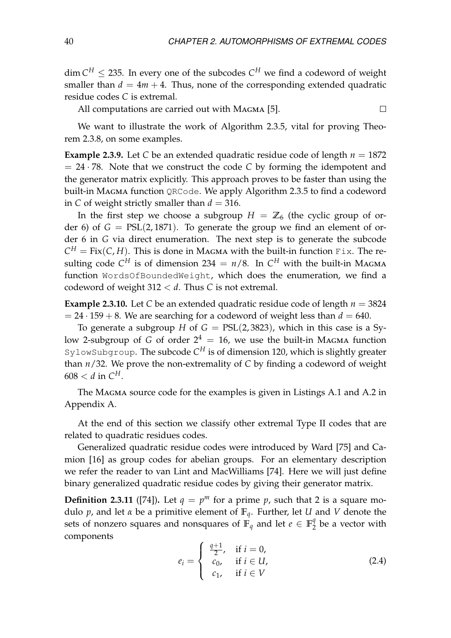$\dim C^H \leq 235$ . In every one of the subcodes  $C^H$  we find a codeword of weight smaller than  $d = 4m + 4$ . Thus, none of the corresponding extended quadratic residue codes *C* is extremal.

 $\Box$ All computations are carried out with Magma [\[5\]](#page-80-2).

We want to illustrate the work of Algorithm [2.3.5,](#page-40-0) vital for proving Theorem [2.3.8,](#page-40-1) on some examples.

**Example 2.3.9.** Let *C* be an extended quadratic residue code of length  $n = 1872$  $= 24 \cdot 78$ . Note that we construct the code *C* by forming the idempotent and the generator matrix explicitly. This approach proves to be faster than using the built-in Magma function QRCode. We apply Algorithm [2.3.5](#page-40-0) to find a codeword in *C* of weight strictly smaller than  $d = 316$ .

In the first step we choose a subgroup  $H = \mathbb{Z}_6$  (the cyclic group of order 6) of  $G = PSL(2, 1871)$ . To generate the group we find an element of order 6 in *G* via direct enumeration. The next step is to generate the subcode  $C^H = Fix(C, H)$ . This is done in Magma with the built-in function  $Fix$ . The resulting code  $C^H$  is of dimension 234 =  $n/8$ . In  $C^H$  with the built-in Magma function WordsOfBoundedWeight, which does the enumeration, we find a codeword of weight 312 < *d*. Thus *C* is not extremal.

**Example 2.3.10.** Let *C* be an extended quadratic residue code of length  $n = 3824$  $= 24 \cdot 159 + 8$ . We are searching for a codeword of weight less than  $d = 640$ .

To generate a subgroup *H* of  $G = PSL(2, 3823)$ , which in this case is a Sylow 2-subgroup of *G* of order  $2^4 = 16$ , we use the built-in MAGMA function SylowSubgroup. The subcode  $C^H$  is of dimension 120, which is slightly greater than *n*/32. We prove the non-extremality of *C* by finding a codeword of weight  $608 < d$  in  $C^H$ .

The Magma source code for the examples is given in Listings [A.1](#page-74-0) and [A.2](#page-74-1) in Appendix [A.](#page-74-2)

At the end of this section we classify other extremal Type II codes that are related to quadratic residues codes.

Generalized quadratic residue codes were introduced by Ward [\[75\]](#page-85-1) and Camion [\[16\]](#page-81-1) as group codes for abelian groups. For an elementary description we refer the reader to van Lint and MacWilliams [\[74\]](#page-85-2). Here we will just define binary generalized quadratic residue codes by giving their generator matrix.

**Definition 2.3.11** ([\[74\]](#page-85-2)). Let  $q = p^m$  for a prime p, such that 2 is a square modulo *p*, and let *α* be a primitive element of **F***q*. Further, let *U* and *V* denote the sets of nonzero squares and nonsquares of  $\mathbb{F}_q$  and let  $e \in \mathbb{F}_2^q$  $\frac{9}{2}$  be a vector with components

<span id="page-41-0"></span>
$$
e_{i} = \begin{cases} \frac{q+1}{2}, & \text{if } i = 0, \\ c_{0}, & \text{if } i \in U, \\ c_{1}, & \text{if } i \in V \end{cases}
$$
 (2.4)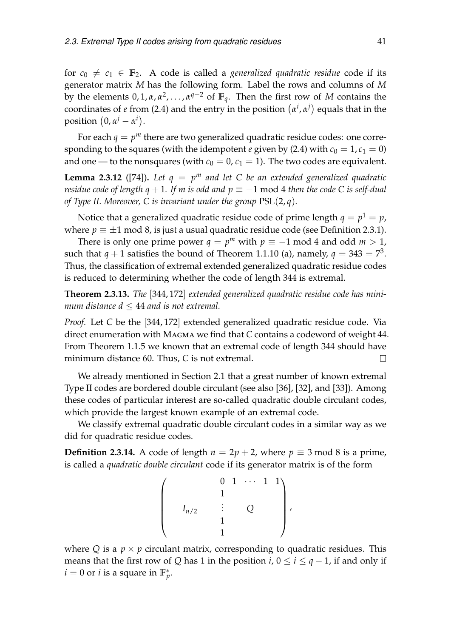for  $c_0 \neq c_1 \in \mathbb{F}_2$ . A code is called a *generalized quadratic residue* code if its generator matrix *M* has the following form. Label the rows and columns of *M* by the elements  $0, 1, \alpha, \alpha^2, \ldots, \alpha^{q-2}$  of  $\mathbb{F}_q$ . Then the first row of  $M$  contains the coordinates of *e* from [\(2.4\)](#page-41-0) and the entry in the position  $(\alpha^i, \alpha^j)$  equals that in the  $\text{position } (0, \alpha^j - \alpha^i).$ 

For each  $q = p^m$  there are two generalized quadratic residue codes: one corresponding to the squares (with the idempotent *e* given by [\(2.4\)](#page-41-0) with  $c_0 = 1, c_1 = 0$ ) and one — to the nonsquares (with  $c_0 = 0$ ,  $c_1 = 1$ ). The two codes are equivalent.

<span id="page-42-0"></span>**Lemma 2.3.12** ([\[74\]](#page-85-2)). Let  $q = p^m$  and let C be an extended generalized quadratic *residue code of length q* + 1*. If m is odd and*  $p \equiv -1 \text{ mod } 4$  *then the code C is self-dual of Type II. Moreover, C is invariant under the group* PSL(2, *q*)*.*

Notice that a generalized quadratic residue code of prime length  $q = p^1 = p$ , where  $p \equiv \pm 1 \mod 8$ , is just a usual quadratic residue code (see Definition [2.3.1\)](#page-38-1).

There is only one prime power  $q = p^m$  with  $p \equiv -1 \mod 4$  and odd  $m > 1$ , such that  $q + 1$  satisfies the bound of Theorem [1.1.10](#page-18-0) (a), namely,  $q = 343 = 7^3$ . Thus, the classification of extremal extended generalized quadratic residue codes is reduced to determining whether the code of length 344 is extremal.

<span id="page-42-1"></span>**Theorem 2.3.13.** *The* [344, 172] *extended generalized quadratic residue code has minimum distance*  $d \leq 44$  *and is not extremal.* 

*Proof.* Let *C* be the [344, 172] extended generalized quadratic residue code. Via direct enumeration with Magma we find that *C* contains a codeword of weight 44. From Theorem [1.1.5](#page-17-0) we known that an extremal code of length 344 should have minimum distance 60. Thus, *C* is not extremal.  $\Box$ 

We already mentioned in Section [2.1](#page-32-0) that a great number of known extremal Type II codes are bordered double circulant (see also [\[36\]](#page-82-2), [\[32\]](#page-82-3), and [\[33\]](#page-82-4)). Among these codes of particular interest are so-called quadratic double circulant codes, which provide the largest known example of an extremal code.

We classify extremal quadratic double circulant codes in a similar way as we did for quadratic residue codes.

**Definition 2.3.14.** A code of length  $n = 2p + 2$ , where  $p \equiv 3 \mod 8$  is a prime, is called a *quadratic double circulant* code if its generator matrix is of the form

$$
\left(\begin{array}{cccc} & & 0 & 1 & \cdots & 1 & 1 \\ & & & 1 & & & \\ & I_{n/2} & & \vdots & & Q & & \\ & & & 1 & & & \\ & & & & 1 & & \end{array}\right),
$$

where *Q* is a  $p \times p$  circulant matrix, corresponding to quadratic residues. This means that the first row of *Q* has 1 in the position *i*,  $0 \le i \le q - 1$ , if and only if  $i = 0$  or *i* is a square in  $\mathbb{F}_p^*$ .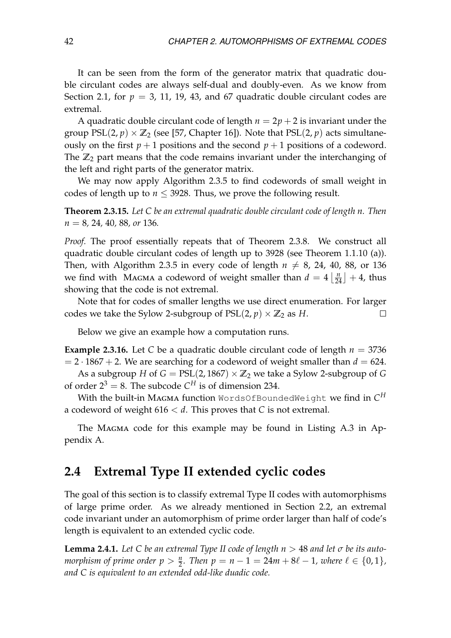It can be seen from the form of the generator matrix that quadratic double circulant codes are always self-dual and doubly-even. As we know from Section [2.1,](#page-32-0) for  $p = 3$ , 11, 19, 43, and 67 quadratic double circulant codes are extremal.

A quadratic double circulant code of length  $n = 2p + 2$  is invariant under the group  $PSL(2, p) \times \mathbb{Z}_2$  (see [\[57,](#page-84-0) Chapter 16]). Note that  $PSL(2, p)$  acts simultaneously on the first  $p + 1$  positions and the second  $p + 1$  positions of a codeword. The  $\mathbb{Z}_2$  part means that the code remains invariant under the interchanging of the left and right parts of the generator matrix.

We may now apply Algorithm [2.3.5](#page-40-0) to find codewords of small weight in codes of length up to  $n \leq 3928$ . Thus, we prove the following result.

**Theorem 2.3.15.** *Let C be an extremal quadratic double circulant code of length n. Then n* = 8*,* 24*,* 40*,* 88*, or* 136*.*

*Proof.* The proof essentially repeats that of Theorem [2.3.8.](#page-40-1) We construct all quadratic double circulant codes of length up to 3928 (see Theorem [1.1.10](#page-18-0) (a)). Then, with Algorithm [2.3.5](#page-40-0) in every code of length  $n \neq 8$ , 24, 40, 88, or 136 we find with Magma a codeword of weight smaller than  $d = 4 \left\lfloor \frac{n}{24} \right\rfloor + 4$ , thus showing that the code is not extremal.

Note that for codes of smaller lengths we use direct enumeration. For larger codes we take the Sylow 2-subgroup of  $PSL(2, p) \times \mathbb{Z}_2$  as *H*.  $\Box$ 

Below we give an example how a computation runs.

**Example 2.3.16.** Let *C* be a quadratic double circulant code of length  $n = 3736$  $= 2 \cdot 1867 + 2$ . We are searching for a codeword of weight smaller than  $d = 624$ . As a subgroup *H* of  $G = PSL(2, 1867) \times \mathbb{Z}_2$  we take a Sylow 2-subgroup of *G* of order  $2^3 = 8$ . The subcode  $C^H$  is of dimension 234.

With the built-in Magma function WordsOfBoundedWeight we find in *C H* a codeword of weight 616 < *d*. This proves that *C* is not extremal.

The MAGMA code for this example may be found in Listing [A.3](#page-75-0) in Appendix [A.](#page-74-2)

#### **2.4 Extremal Type II extended cyclic codes**

The goal of this section is to classify extremal Type II codes with automorphisms of large prime order. As we already mentioned in Section [2.2,](#page-36-1) an extremal code invariant under an automorphism of prime order larger than half of code's length is equivalent to an extended cyclic code.

<span id="page-43-0"></span>**Lemma 2.4.1.** Let C be an extremal Type II code of length  $n > 48$  and let  $\sigma$  be its auto*morphism of prime order*  $p > \frac{n}{2}$ *. Then*  $p = n - 1 = 24m + 8\ell - 1$ *, where*  $\ell \in \{0, 1\}$ *, and C is equivalent to an extended odd-like duadic code.*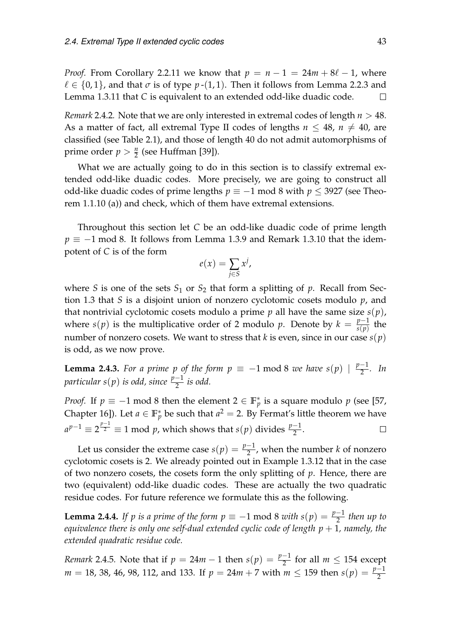*Proof.* From Corollary [2.2.11](#page-38-0) we know that  $p = n - 1 = 24m + 8\ell - 1$ , where  $\ell \in \{0, 1\}$ , and that  $\sigma$  is of type  $p$  -(1, 1). Then it follows from Lemma [2.2.3](#page-36-0) and Lemma [1.3.11](#page-25-1) that *C* is equivalent to an extended odd-like duadic code.  $\Box$ 

*Remark* 2.4.2*.* Note that we are only interested in extremal codes of length *n* > 48. As a matter of fact, all extremal Type II codes of lengths  $n \leq 48$ ,  $n \neq 40$ , are classified (see Table [2.1\)](#page-34-0), and those of length 40 do not admit automorphisms of prime order  $p > \frac{n}{2}$  (see Huffman [\[39\]](#page-82-0)).

What we are actually going to do in this section is to classify extremal extended odd-like duadic codes. More precisely, we are going to construct all odd-like duadic codes of prime lengths  $p \equiv -1$  mod 8 with  $p \leq 3927$  (see Theorem [1.1.10](#page-18-0) (a)) and check, which of them have extremal extensions.

Throughout this section let *C* be an odd-like duadic code of prime length  $p \equiv -1$  mod 8. It follows from Lemma [1.3.9](#page-25-2) and Remark [1.3.10](#page-25-3) that the idempotent of *C* is of the form

$$
e(x) = \sum_{j \in S} x^j,
$$

where *S* is one of the sets  $S_1$  or  $S_2$  that form a splitting of *p*. Recall from Section [1.3](#page-22-1) that *S* is a disjoint union of nonzero cyclotomic cosets modulo *p*, and that nontrivial cyclotomic cosets modulo a prime  $p$  all have the same size  $s(p)$ , where *s*(*p*) is the multiplicative order of 2 modulo *p*. Denote by  $k = \frac{p-1}{s(p)}$  $\frac{p-1}{s(p)}$  the number of nonzero cosets. We want to stress that *k* is even, since in our case *s*(*p*) is odd, as we now prove.

**Lemma 2.4.3.** *For a prime p of the form*  $p \equiv -1 \mod 8$  *we have*  $s(p) \mid \frac{p-1}{2}$  $\frac{-1}{2}$ *.* In *particular s*(*p*) *is odd, since <sup>p</sup>*−<sup>1</sup> 2 *is odd.*

*Proof.* If  $p \equiv -1 \mod 8$  then the element  $2 \in \mathbb{F}_p^*$  is a square modulo  $p$  (see [\[57,](#page-84-0) Chapter 16]). Let  $a \in \mathbb{F}_p^*$  be such that  $a^2 = 2$ . By Fermat's little theorem we have  $a^{p-1} \equiv 2^{\frac{p-1}{2}} \equiv 1 \mod p$ , which shows that *s*(*p*) divides  $\frac{p-1}{2}$ .  $\Box$ 

Let us consider the extreme case  $s(p) = \frac{p-1}{2}$ , when the number *k* of nonzero cyclotomic cosets is 2. We already pointed out in Example [1.3.12](#page-25-0) that in the case of two nonzero cosets, the cosets form the only splitting of *p*. Hence, there are two (equivalent) odd-like duadic codes. These are actually the two quadratic residue codes. For future reference we formulate this as the following.

<span id="page-44-0"></span>**Lemma 2.4.4.** *If p is a prime of the form*  $p \equiv -1 \mod 8$  *with*  $s(p) = \frac{p-1}{2}$  *then up to equivalence there is only one self-dual extended cyclic code of length*  $p + 1$ *, namely, the extended quadratic residue code.*

*Remark* 2.4.5*.* Note that if  $p = 24m - 1$  then  $s(p) = \frac{p-1}{2}$  for all  $m \le 154$  except *m* = 18, 38, 46, 98, 112, and 133. If *p* = 24*m* + 7 with *m* ≤ 159 then *s*(*p*) =  $\frac{p-1}{2}$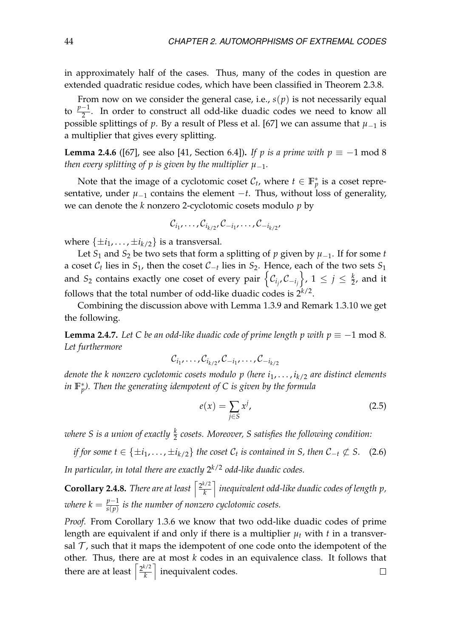in approximately half of the cases. Thus, many of the codes in question are extended quadratic residue codes, which have been classified in Theorem [2.3.8.](#page-40-1)

From now on we consider the general case, i.e.,  $s(p)$  is not necessarily equal to  $\frac{p-1}{2}$ . In order to construct all odd-like duadic codes we need to know all possible splittings of *p*. By a result of Pless et al. [\[67\]](#page-84-2) we can assume that  $\mu_{-1}$  is a multiplier that gives every splitting.

<span id="page-45-1"></span>**Lemma 2.4.6** ([\[67\]](#page-84-2), see also [\[41,](#page-83-4) Section 6.4]). *If p is a prime with*  $p \equiv -1 \text{ mod } 8$ *then every splitting of p is given by the multiplier*  $\mu_{-1}$ *.* 

Note that the image of a cyclotomic coset  $\mathcal{C}_t$ , where  $t \in \mathbb{F}_p^*$  is a coset representative, under  $\mu_{-1}$  contains the element  $-t$ . Thus, without loss of generality, we can denote the *k* nonzero 2-cyclotomic cosets modulo *p* by

$$
\mathcal{C}_{i_1},\ldots,\mathcal{C}_{i_{k/2}},\mathcal{C}_{-i_1},\ldots,\mathcal{C}_{-i_{k/2}},
$$

where  $\{\pm i_1, \ldots, \pm i_{k/2}\}$  is a transversal.

Let *S*<sub>1</sub> and *S*<sub>2</sub> be two sets that form a splitting of *p* given by  $\mu_{-1}$ . If for some *t* a coset C*<sup>t</sup>* lies in *S*1, then the coset C−*<sup>t</sup>* lies in *S*2. Hence, each of the two sets *S*<sup>1</sup> and  $S_2$  contains exactly one coset of every pair  $\left\{ {\mathcal{C}_{i_j},\mathcal{C}_{-i_j}} \right\}$  $\left\{ \gamma, 1 \leq j \leq \frac{k}{2}, \text{ and it} \right\}$ follows that the total number of odd-like duadic codes is  $2^{k/2}$ .

Combining the discussion above with Lemma [1.3.9](#page-25-2) and Remark [1.3.10](#page-25-3) we get the following.

<span id="page-45-2"></span>**Lemma 2.4.7.** *Let C be an odd-like duadic code of prime length p with*  $p \equiv -1$  *mod 8. Let furthermore*

$$
\mathcal{C}_{i_1},\ldots,\mathcal{C}_{i_{k/2}},\mathcal{C}_{-i_1},\ldots,\mathcal{C}_{-i_{k/2}}
$$

*denote the k nonzero cyclotomic cosets modulo p (here i*1, . . . , *ik*/2 *are distinct elements in* **F** ∗ *p ). Then the generating idempotent of C is given by the formula*

<span id="page-45-4"></span>
$$
e(x) = \sum_{j \in S} x^j,\tag{2.5}
$$

*where S is a union of exactly <sup>k</sup>* 2 *cosets. Moreover, S satisfies the following condition:*

<span id="page-45-0"></span>*if for some t*  $\in$  { $\pm i_1, \ldots, \pm i_{k/2}$ } *the coset*  $\mathcal{C}_t$  *is contained in S, then*  $\mathcal{C}_{-t} \not\subset S$ . (2.6) *In particular, in total there are exactly* 2 *<sup>k</sup>*/2 *odd-like duadic codes.*

<span id="page-45-3"></span>**Corollary 2.4.8.** *There are at least*  $\left[\frac{2^{k/2}}{k}\right]$ *k* m *inequivalent odd-like duadic codes of length p, where*  $k = \frac{p-1}{s(n)}$  $\frac{p-1}{s(p)}$  is the number of nonzero cyclotomic cosets.

*Proof.* From Corollary [1.3.6](#page-23-0) we know that two odd-like duadic codes of prime length are equivalent if and only if there is a multiplier  $\mu_t$  with  $t$  in a transversal  $\mathcal T$ , such that it maps the idempotent of one code onto the idempotent of the other. Thus, there are at most *k* codes in an equivalence class. It follows that there are at least  $\int_{k}^{\frac{2^{k/2}}{k}}$ m inequivalent codes. $\Box$ *k*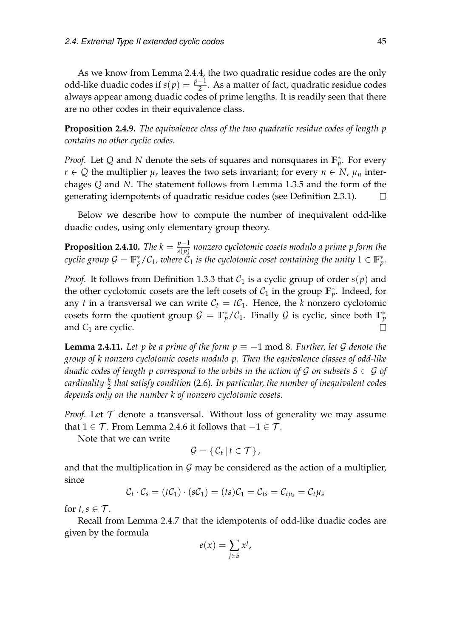As we know from Lemma [2.4.4,](#page-44-0) the two quadratic residue codes are the only odd-like duadic codes if  $s(p) = \frac{p-1}{2}$ . As a matter of fact, quadratic residue codes always appear among duadic codes of prime lengths. It is readily seen that there are no other codes in their equivalence class.

<span id="page-46-1"></span>**Proposition 2.4.9.** *The equivalence class of the two quadratic residue codes of length p contains no other cyclic codes.*

*Proof.* Let Q and N denote the sets of squares and nonsquares in  $\mathbb{F}_p^*$ . For every  $r \in Q$  the multiplier  $\mu_r$  leaves the two sets invariant; for every  $n \in N$ ,  $\mu_n$  interchages *Q* and *N*. The statement follows from Lemma [1.3.5](#page-23-1) and the form of the generating idempotents of quadratic residue codes (see Definition [2.3.1\)](#page-38-1).  $\Box$ 

Below we describe how to compute the number of inequivalent odd-like duadic codes, using only elementary group theory.

**Proposition 2.4.10.** *The*  $k = \frac{p-1}{s(n)}$ *s*(*p*) *nonzero cyclotomic cosets modulo a prime p form the*  $f$  *cyclic group*  $\mathcal{G} = \mathbb{F}_p^*/\mathcal{C}_1$ *, where*  $\mathcal{C}_1$  *is the cyclotomic coset containing the unity*  $1 \in \mathbb{F}_p^*.$ 

*Proof.* It follows from Definition [1.3.3](#page-22-2) that  $C_1$  is a cyclic group of order  $s(p)$  and the other cyclotomic cosets are the left cosets of  $C_1$  in the group  $\mathbb{F}_p^*$ . Indeed, for any *t* in a transversal we can write  $C_t = tC_1$ . Hence, the *k* nonzero cyclotomic cosets form the quotient group  $\mathcal{G} = \mathbb{F}_p^*/\mathcal{C}_1$ . Finally  $\mathcal{G}$  is cyclic, since both  $\mathbb{F}_p^*$ and  $C_1$  are cyclic.  $\Box$ 

<span id="page-46-0"></span>**Lemma 2.4.11.** Let p be a prime of the form  $p \equiv -1 \mod 8$ . Further, let G denote the *group of k nonzero cyclotomic cosets modulo p. Then the equivalence classes of odd-like duadic codes of length p correspond to the orbits in the action of G on subsets S*  $\subset$  *G of cardinality <sup>k</sup>* 2 *that satisfy condition* [\(2.6\)](#page-45-0)*. In particular, the number of inequivalent codes depends only on the number k of nonzero cyclotomic cosets.*

*Proof.* Let  $\mathcal T$  denote a transversal. Without loss of generality we may assume that  $1 \in \mathcal{T}$ . From Lemma [2.4.6](#page-45-1) it follows that  $-1 \in \mathcal{T}$ .

Note that we can write

$$
\mathcal{G} = \{ \mathcal{C}_t \, | \, t \in \mathcal{T} \},
$$

and that the multiplication in  $\mathcal G$  may be considered as the action of a multiplier, since

$$
\mathcal{C}_t \cdot \mathcal{C}_s = (t\mathcal{C}_1) \cdot (s\mathcal{C}_1) = (ts)\mathcal{C}_1 = \mathcal{C}_{ts} = \mathcal{C}_{t\mu_s} = \mathcal{C}_t\mu_s
$$

for  $t, s \in \mathcal{T}$ .

Recall from Lemma [2.4.7](#page-45-2) that the idempotents of odd-like duadic codes are given by the formula

$$
e(x) = \sum_{j \in S} x^j,
$$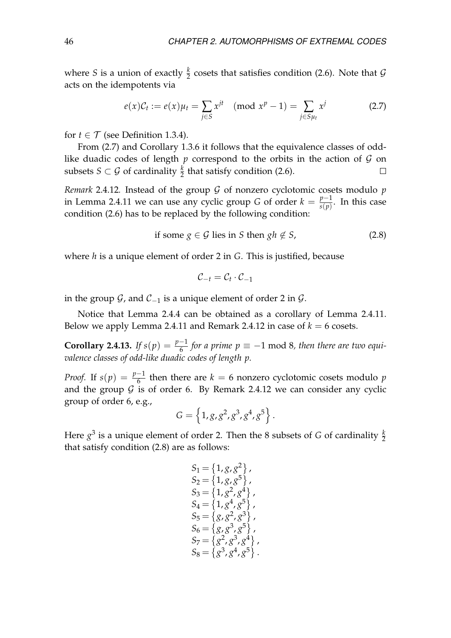where *S* is a union of exactly  $\frac{k}{2}$  cosets that satisfies condition [\(2.6\)](#page-45-0). Note that  $\mathcal G$ acts on the idempotents via

<span id="page-47-0"></span>
$$
e(x)\mathcal{C}_t := e(x)\mu_t = \sum_{j \in S} x^{jt} \pmod{x^p - 1} = \sum_{j \in S\mu_t} x^j \tag{2.7}
$$

for  $t \in \mathcal{T}$  (see Definition [1.3.4\)](#page-23-2).

From [\(2.7\)](#page-47-0) and Corollary [1.3.6](#page-23-0) it follows that the equivalence classes of oddlike duadic codes of length  $p$  correspond to the orbits in the action of  $G$  on subsets  $S \subset \mathcal{G}$  of cardinality  $\frac{k}{2}$  that satisfy condition [\(2.6\)](#page-45-0).  $\Box$ 

<span id="page-47-1"></span>*Remark* 2.4.12*.* Instead of the group  $G$  of nonzero cyclotomic cosets modulo  $p$ in Lemma [2.4.11](#page-46-0) we can use any cyclic group *G* of order  $k = \frac{p-1}{s(p)}$  $\frac{p-1}{s(p)}$ . In this case condition [\(2.6\)](#page-45-0) has to be replaced by the following condition:

<span id="page-47-2"></span>if some 
$$
g \in \mathcal{G}
$$
 lies in  $S$  then  $gh \notin S$ , 
$$
(2.8)
$$

where *h* is a unique element of order 2 in *G*. This is justified, because

$$
\mathcal{C}_{-t} = \mathcal{C}_t \cdot \mathcal{C}_{-1}
$$

in the group  $\mathcal G$ , and  $\mathcal C_{-1}$  is a unique element of order 2 in  $\mathcal G$ .

Notice that Lemma [2.4.4](#page-44-0) can be obtained as a corollary of Lemma [2.4.11.](#page-46-0) Below we apply Lemma [2.4.11](#page-46-0) and Remark [2.4.12](#page-47-1) in case of  $k = 6$  cosets.

<span id="page-47-3"></span>**Corollary 2.4.13.** If  $s(p) = \frac{p-1}{6}$  for a prime  $p \equiv -1 \mod 8$ , then there are two equi*valence classes of odd-like duadic codes of length p.*

*Proof.* If  $s(p) = \frac{p-1}{6}$  then there are  $k = 6$  nonzero cyclotomic cosets modulo  $p$ and the group  $G$  is of order 6. By Remark [2.4.12](#page-47-1) we can consider any cyclic group of order 6, e.g.,

$$
G = \left\{ 1, g, g^2, g^3, g^4, g^5 \right\}.
$$

Here  $g^3$  is a unique element of order 2. Then the 8 subsets of *G* of cardinality  $\frac{k}{2}$ that satisfy condition [\(2.8\)](#page-47-2) are as follows:

$$
S_1 = \{1, g, g^2\},
$$
  
\n
$$
S_2 = \{1, g, g^5\},
$$
  
\n
$$
S_3 = \{1, g^2, g^4\},
$$
  
\n
$$
S_4 = \{1, g^4, g^5\},
$$
  
\n
$$
S_5 = \{g, g^2, g^3\},
$$
  
\n
$$
S_6 = \{g, g^3, g^5\},
$$
  
\n
$$
S_7 = \{g^2, g^3, g^4\},
$$
  
\n
$$
S_8 = \{g^3, g^4, g^5\}.
$$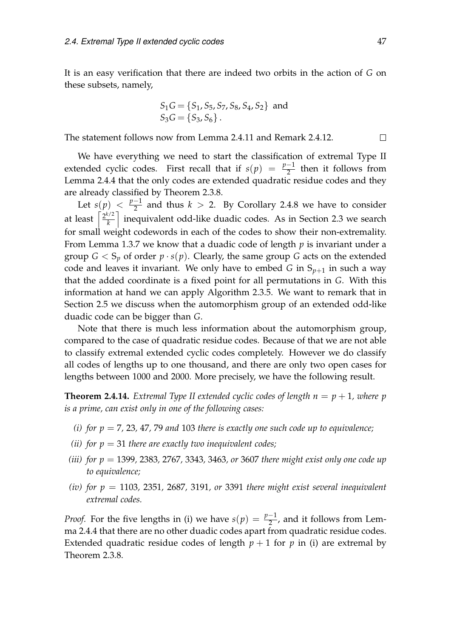It is an easy verification that there are indeed two orbits in the action of *G* on these subsets, namely,

$$
S_1G = \{S_1, S_5, S_7, S_8, S_4, S_2\} \text{ and } S_3G = \{S_3, S_6\}.
$$

The statement follows now from Lemma [2.4.11](#page-46-0) and Remark [2.4.12.](#page-47-1)

We have everything we need to start the classification of extremal Type II extended cyclic codes. First recall that if  $s(p) = \frac{p-1}{2}$  then it follows from Lemma [2.4.4](#page-44-0) that the only codes are extended quadratic residue codes and they are already classified by Theorem [2.3.8.](#page-40-1)

Let  $s(p) < \frac{p-1}{2}$  $\frac{-1}{2}$  and thus  $k > 2$ . By Corollary [2.4.8](#page-45-3) we have to consider at least  $\left\lceil \frac{2^{k/2}}{k} \right\rceil$ *k* m inequivalent odd-like duadic codes. As in Section [2.3](#page-38-2) we search for small weight codewords in each of the codes to show their non-extremality. From Lemma [1.3.7](#page-24-0) we know that a duadic code of length *p* is invariant under a group  $G < S_p$  of order  $p \cdot s(p)$ . Clearly, the same group *G* acts on the extended code and leaves it invariant. We only have to embed *G* in  $S_{p+1}$  in such a way that the added coordinate is a fixed point for all permutations in *G*. With this information at hand we can apply Algorithm [2.3.5.](#page-40-0) We want to remark that in Section [2.5](#page-50-0) we discuss when the automorphism group of an extended odd-like duadic code can be bigger than *G*.

Note that there is much less information about the automorphism group, compared to the case of quadratic residue codes. Because of that we are not able to classify extremal extended cyclic codes completely. However we do classify all codes of lengths up to one thousand, and there are only two open cases for lengths between 1000 and 2000. More precisely, we have the following result.

<span id="page-48-4"></span>**Theorem 2.4.14.** *Extremal Type II extended cyclic codes of length*  $n = p + 1$ *, where p is a prime, can exist only in one of the following cases:*

- <span id="page-48-0"></span>*(i) for*  $p = 7$ *, 23, 47, 79 and 103 there is exactly one such code up to equivalence;*
- <span id="page-48-1"></span>*(ii) for*  $p = 31$  *there are exactly two inequivalent codes;*
- <span id="page-48-2"></span>*(iii) for p* = 1399*,* 2383*,* 2767*,* 3343*,* 3463*, or* 3607 *there might exist only one code up to equivalence;*
- <span id="page-48-3"></span>*(iv)* for  $p = 1103$ , 2351, 2687, 3191, or 3391 there might exist several inequivalent *extremal codes.*

*Proof.* For the five lengths in [\(i\)](#page-48-0) we have  $s(p) = \frac{p-1}{2}$ , and it follows from Lemma [2.4.4](#page-44-0) that there are no other duadic codes apart from quadratic residue codes. Extended quadratic residue codes of length  $p + 1$  for p in [\(i\)](#page-48-0) are extremal by Theorem [2.3.8.](#page-40-1)

 $\Box$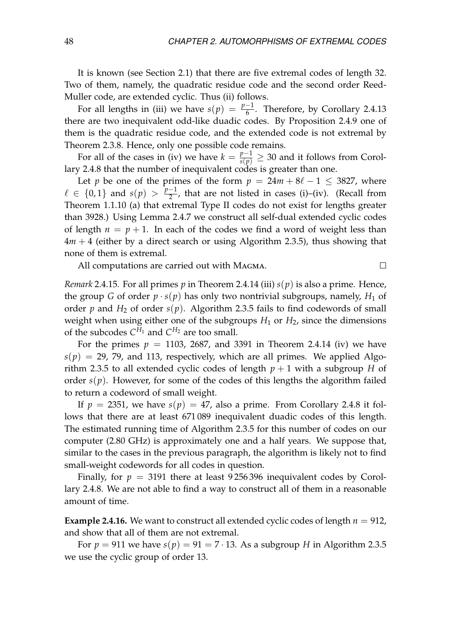It is known (see Section [2.1\)](#page-32-0) that there are five extremal codes of length 32. Two of them, namely, the quadratic residue code and the second order Reed-Muller code, are extended cyclic. Thus [\(ii\)](#page-48-1) follows.

For all lengths in [\(iii\)](#page-48-2) we have  $s(p) = \frac{p-1}{6}$ . Therefore, by Corollary [2.4.13](#page-47-3) there are two inequivalent odd-like duadic codes. By Proposition [2.4.9](#page-46-1) one of them is the quadratic residue code, and the extended code is not extremal by Theorem [2.3.8.](#page-40-1) Hence, only one possible code remains.

For all of the cases in [\(iv\)](#page-48-3) we have  $k = \frac{p-1}{s(p)} \geq 30$  and it follows from Corollary [2.4.8](#page-45-3) that the number of inequivalent codes is greater than one.

Let *p* be one of the primes of the form  $p = 24m + 8\ell - 1 \leq 3827$ , where  $\ell \in \{0, 1\}$  and  $s(p) > \frac{p-1}{2}$  $\frac{-1}{2}$ , that are not listed in cases [\(i\)–](#page-48-0)[\(iv\).](#page-48-3) (Recall from Theorem [1.1.10](#page-18-0) [\(a\)](#page-18-1) that extremal Type II codes do not exist for lengths greater than 3928.) Using Lemma [2.4.7](#page-45-2) we construct all self-dual extended cyclic codes of length  $n = p + 1$ . In each of the codes we find a word of weight less than 4*m* + 4 (either by a direct search or using Algorithm [2.3.5\)](#page-40-0), thus showing that none of them is extremal.

All computations are carried out with Magma.

*Remark* 2.4.15*.* For all primes *p* in Theorem [2.4.14](#page-48-4) [\(iii\)](#page-48-2) *s*(*p*) is also a prime. Hence, the group *G* of order  $p \cdot s(p)$  has only two nontrivial subgroups, namely,  $H_1$  of order  $p$  and  $H_2$  of order  $s(p)$ . Algorithm [2.3.5](#page-40-0) fails to find codewords of small weight when using either one of the subgroups  $H_1$  or  $H_2$ , since the dimensions of the subcodes  $C^{H_1}$  and  $C^{H_2}$  are too small.

For the primes  $p = 1103$ , 2687, and 3391 in Theorem [2.4.14](#page-48-4) [\(iv\)](#page-48-3) we have  $s(p) = 29$ , 79, and 113, respectively, which are all primes. We applied Algo-rithm [2.3.5](#page-40-0) to all extended cyclic codes of length  $p + 1$  with a subgroup *H* of order  $s(p)$ . However, for some of the codes of this lengths the algorithm failed to return a codeword of small weight.

If  $p = 2351$ , we have  $s(p) = 47$ , also a prime. From Corollary [2.4.8](#page-45-3) it follows that there are at least 671 089 inequivalent duadic codes of this length. The estimated running time of Algorithm [2.3.5](#page-40-0) for this number of codes on our computer (2.80 GHz) is approximately one and a half years. We suppose that, similar to the cases in the previous paragraph, the algorithm is likely not to find small-weight codewords for all codes in question.

Finally, for  $p = 3191$  there at least 9256396 inequivalent codes by Corollary [2.4.8.](#page-45-3) We are not able to find a way to construct all of them in a reasonable amount of time.

**Example 2.4.16.** We want to construct all extended cyclic codes of length  $n = 912$ , and show that all of them are not extremal.

For  $p = 911$  we have  $s(p) = 91 = 7 \cdot 13$ . As a subgroup *H* in Algorithm [2.3.5](#page-40-0) we use the cyclic group of order 13.

 $\Box$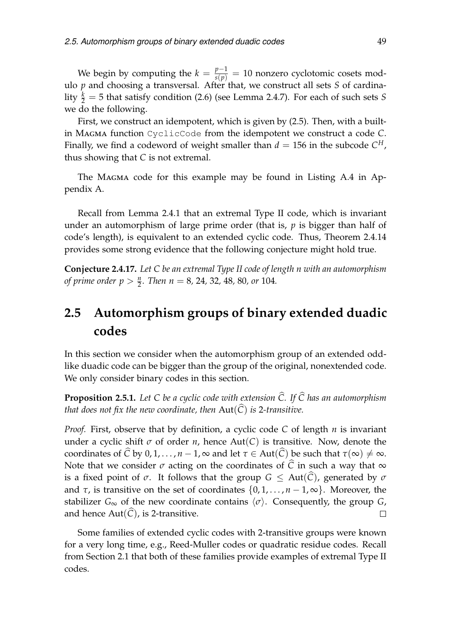We begin by computing the  $k = \frac{p-1}{s(p)} = 10$  nonzero cyclotomic cosets modulo *p* and choosing a transversal. After that, we construct all sets *S* of cardinality  $\frac{k}{2} = 5$  that satisfy condition [\(2.6\)](#page-45-0) (see Lemma [2.4.7\)](#page-45-2). For each of such sets *S* we do the following.

First, we construct an idempotent, which is given by [\(2.5\)](#page-45-4). Then, with a builtin Magma function CyclicCode from the idempotent we construct a code *C*. Finally, we find a codeword of weight smaller than  $d = 156$  in the subcode  $C^H$ , thus showing that *C* is not extremal.

The Magma code for this example may be found in Listing [A.4](#page-75-1) in Appendix [A.](#page-74-2)

Recall from Lemma [2.4.1](#page-43-0) that an extremal Type II code, which is invariant under an automorphism of large prime order (that is, *p* is bigger than half of code's length), is equivalent to an extended cyclic code. Thus, Theorem [2.4.14](#page-48-4) provides some strong evidence that the following conjecture might hold true.

**Conjecture 2.4.17.** *Let C be an extremal Type II code of length n with an automorphism of prime order*  $p > \frac{n}{2}$ *. Then*  $n = 8$ *, 24, 32, 48, 80, or 104.* 

## <span id="page-50-0"></span>**2.5 Automorphism groups of binary extended duadic codes**

In this section we consider when the automorphism group of an extended oddlike duadic code can be bigger than the group of the original, nonextended code. We only consider binary codes in this section.

**Proposition 2.5.1.** Let C be a cyclic code with extension  $\widehat{C}$ . If  $\widehat{C}$  has an automorphism *that does not fix the new coordinate, then*  $Aut(\widehat{C})$  *is* 2-transitive.

*Proof.* First, observe that by definition, a cyclic code *C* of length *n* is invariant under a cyclic shift  $\sigma$  of order  $n$ , hence Aut(C) is transitive. Now, denote the coordinates of  $\widehat{C}$  by  $0, 1, \ldots, n-1$ ,  $\infty$  and let  $\tau \in Aut(\widehat{C})$  be such that  $\tau(\infty) \neq \infty$ . Note that we consider  $\sigma$  acting on the coordinates of  $\hat{C}$  in such a way that  $\infty$ is a fixed point of  $\sigma$ . It follows that the group  $G \leq Aut(\widehat{C})$ , generated by  $\sigma$ and  $\tau$ , is transitive on the set of coordinates  $\{0, 1, \ldots, n-1, \infty\}$ . Moreover, the stabilizer  $G_{\infty}$  of the new coordinate contains  $\langle \sigma \rangle$ . Consequently, the group *G*, and hence  $Aut(\widehat{C})$ , is 2-transitive.  $\Box$ 

Some families of extended cyclic codes with 2-transitive groups were known for a very long time, e.g., Reed-Muller codes or quadratic residue codes. Recall from Section [2.1](#page-32-0) that both of these families provide examples of extremal Type II codes.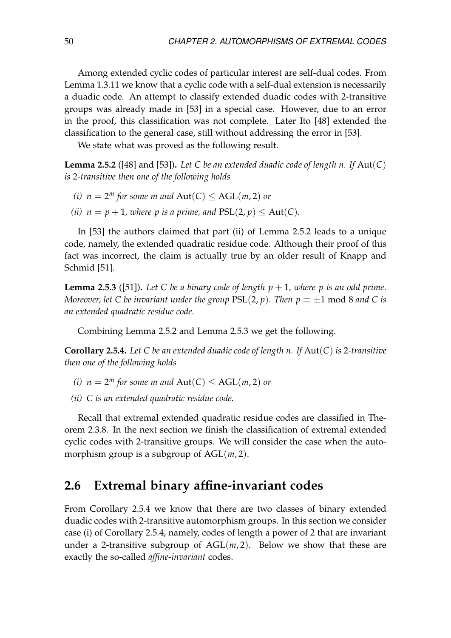Among extended cyclic codes of particular interest are self-dual codes. From Lemma [1.3.11](#page-25-1) we know that a cyclic code with a self-dual extension is necessarily a duadic code. An attempt to classify extended duadic codes with 2-transitive groups was already made in [\[53\]](#page-83-5) in a special case. However, due to an error in the proof, this classification was not complete. Later Ito [\[48\]](#page-83-6) extended the classification to the general case, still without addressing the error in [\[53\]](#page-83-5).

We state what was proved as the following result.

<span id="page-51-0"></span>**Lemma 2.5.2** ([\[48\]](#page-83-6) and [\[53\]](#page-83-5)). Let C be an extended duadic code of length n. If  $Aut(C)$ *is* 2*-transitive then one of the following holds*

- *(i)*  $n = 2^m$  *for some m and*  $Aut(C) \leq AGL(m, 2)$  *or*
- *(ii)*  $n = p + 1$ *, where p is a prime, and*  $PSL(2, p) \le Aut(C)$ *.*

In [\[53\]](#page-83-5) the authors claimed that part (ii) of Lemma [2.5.2](#page-51-0) leads to a unique code, namely, the extended quadratic residue code. Although their proof of this fact was incorrect, the claim is actually true by an older result of Knapp and Schmid [\[51\]](#page-83-7).

<span id="page-51-1"></span>**Lemma 2.5.3** ([\[51\]](#page-83-7)). Let C be a binary code of length  $p + 1$ , where p is an odd prime. *Moreover, let C be invariant under the group*  $PSL(2, p)$ *. Then*  $p \equiv \pm 1 \text{ mod } 8$  *and C is an extended quadratic residue code.*

Combining Lemma [2.5.2](#page-51-0) and Lemma [2.5.3](#page-51-1) we get the following.

<span id="page-51-2"></span>**Corollary 2.5.4.** *Let C be an extended duadic code of length n. If* Aut(*C*) *is* 2*-transitive then one of the following holds*

<span id="page-51-3"></span>*(i)*  $n = 2^m$  *for some m and*  $Aut(C) \leq AGL(m, 2)$  *or* 

*(ii) C is an extended quadratic residue code.*

Recall that extremal extended quadratic residue codes are classified in Theorem [2.3.8.](#page-40-1) In the next section we finish the classification of extremal extended cyclic codes with 2-transitive groups. We will consider the case when the automorphism group is a subgroup of AGL(*m*, 2).

### **2.6 Extremal binary affine-invariant codes**

From Corollary [2.5.4](#page-51-2) we know that there are two classes of binary extended duadic codes with 2-transitive automorphism groups. In this section we consider case (i) of Corollary [2.5.4,](#page-51-2) namely, codes of length a power of 2 that are invariant under a 2-transitive subgroup of  $AGL(m, 2)$ . Below we show that these are exactly the so-called *affine-invariant* codes.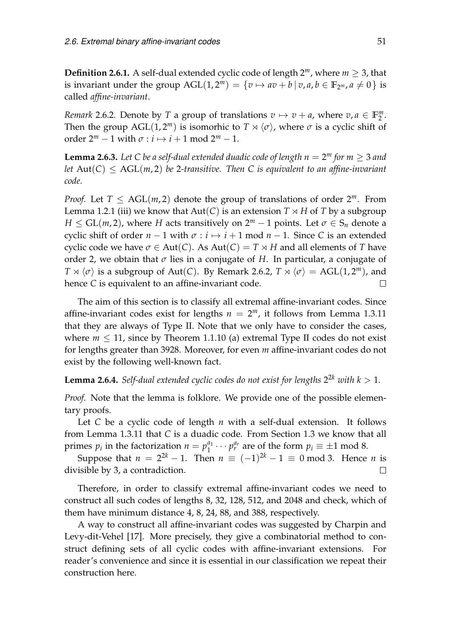<span id="page-52-2"></span>**Definition 2.6.1.** A self-dual extended cyclic code of length  $2^m$ , where  $m > 3$ , that is invariant under the group  $AGL(1, 2^m) = \{v \mapsto av + b \mid v, a, b \in \mathbb{F}_{2^m}, a \neq 0\}$  is called *affine-invariant*.

<span id="page-52-0"></span>*Remark* 2.6.2. Denote by *T* a group of translations  $v \mapsto v + a$ , where  $v, a \in \mathbb{F}_2^m$  $\frac{m}{2}$ . Then the group AGL(1,2<sup>*m*</sup>) is isomorhic to  $T \rtimes \langle \sigma \rangle$ , where  $\sigma$  is a cyclic shift of order  $2^m - 1$  with  $\sigma : i \mapsto i + 1$  mod  $2^m - 1$ .

**Lemma 2.6.3.** Let C be a self-dual extended duadic code of length  $n = 2^m$  for  $m \geq 3$  and *let*  $Aut(C) \leq AGL(m,2)$  *be* 2-transitive. Then C is equivalent to an affine-invariant *code.*

*Proof.* Let  $T \leq AGL(m,2)$  denote the group of translations of order  $2^m$ . From Lemma [1.2.1](#page-20-0) [\(iii\)](#page-20-1) we know that  $Aut(C)$  is an extension  $T \times H$  of  $T$  by a subgroup *H*  $\le$  GL(*m*, 2), where *H* acts transitively on  $2^m - 1$  points. Let  $\sigma \in S_n$  denote a cyclic shift of order  $n - 1$  with  $\sigma : i \mapsto i + 1$  mod  $n - 1$ . Since *C* is an extended cyclic code we have  $\sigma \in Aut(C)$ . As  $Aut(C) = T \rtimes H$  and all elements of *T* have order 2, we obtain that *σ* lies in a conjugate of *H*. In particular, a conjugate of *T*  $\propto \langle \sigma \rangle$  is a subgroup of Aut(*C*). By Remark [2.6.2,](#page-52-0) *T*  $\propto \langle \sigma \rangle = AGL(1, 2^m)$ , and hence *C* is equivalent to an affine-invariant code. П

The aim of this section is to classify all extremal affine-invariant codes. Since affine-invariant codes exist for lengths  $n = 2^m$ , it follows from Lemma [1.3.11](#page-25-1) that they are always of Type II. Note that we only have to consider the cases, where  $m \leq 11$ , since by Theorem [1.1.10](#page-18-0) [\(a\)](#page-18-1) extremal Type II codes do not exist for lengths greater than 3928. Moreover, for even *m* affine-invariant codes do not exist by the following well-known fact.

<span id="page-52-1"></span>**Lemma 2.6.4.** Self-dual extended cyclic codes do not exist for lengths  $2^{2k}$  with  $k > 1$ .

*Proof.* Note that the lemma is folklore. We provide one of the possible elementary proofs.

Let *C* be a cyclic code of length *n* with a self-dual extension. It follows from Lemma [1.3.11](#page-25-1) that *C* is a duadic code. From Section [1.3](#page-22-1) we know that all primes  $p_i$  in the factorization  $n = p_1^{a_1}$  $n_1^{a_1} \cdots p_r^{a_r}$  are of the form  $p_i \equiv \pm 1 \mod 8$ .

Suppose that  $n = 2^{2k} - 1$ . Then  $n \equiv (-1)^{2k} - 1 \equiv 0 \mod 3$ . Hence *n* is divisible by 3, a contradiction.  $\Box$ 

Therefore, in order to classify extremal affine-invariant codes we need to construct all such codes of lengths 8, 32, 128, 512, and 2048 and check, which of them have minimum distance 4, 8, 24, 88, and 388, respectively.

A way to construct all affine-invariant codes was suggested by Charpin and Levy-dit-Vehel [\[17\]](#page-81-2). More precisely, they give a combinatorial method to construct defining sets of all cyclic codes with affine-invariant extensions. For reader's convenience and since it is essential in our classification we repeat their construction here.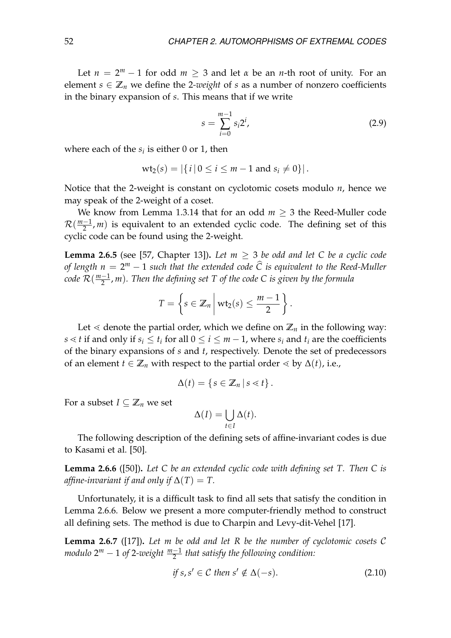Let  $n = 2^m - 1$  for odd  $m \ge 3$  and let  $\alpha$  be an *n*-th root of unity. For an element  $s \in \mathbb{Z}_n$  we define the 2-weight of *s* as a number of nonzero coefficients in the binary expansion of *s*. This means that if we write

$$
s = \sum_{i=0}^{m-1} s_i 2^i,
$$
 (2.9)

where each of the  $s_i$  is either 0 or 1, then

$$
wt_2(s) = |\{i \,|\, 0 \le i \le m-1 \text{ and } s_i \neq 0\}|.
$$

Notice that the 2-weight is constant on cyclotomic cosets modulo *n*, hence we may speak of the 2-weight of a coset.

We know from Lemma [1.3.14](#page-26-0) that for an odd  $m \geq 3$  the Reed-Muller code  $\mathcal{R}(\frac{m-1}{2})$  $\frac{-1}{2}$ , *m*) is equivalent to an extended cyclic code. The defining set of this cyclic code can be found using the 2-weight.

<span id="page-53-2"></span>**Lemma 2.6.5** (see [\[57,](#page-84-0) Chapter 13]). Let  $m > 3$  be odd and let C be a cyclic code *of length n* = 2<sup>*m*</sup> − 1 *such that the extended code*  $\hat{C}$  *is equivalent to the Reed-Muller code* R( *m*−1  $\frac{-1}{2}$ , m). Then the defining set T of the code C is given by the formula

$$
T=\left\{s\in\mathbb{Z}_n\,\bigg|\,\text{wt}_2(s)\leq\frac{m-1}{2}\right\}.
$$

Let  $\leq$  denote the partial order, which we define on  $\mathbb{Z}_n$  in the following way: *s*  $\le$  *t* if and only if *s*<sup>*i*</sup>  $\le$  *t*<sub>*i*</sub> for all  $0 \le$  *i*  $\le$  *m* − 1, where *s*<sup>*i*</sup> and *t*<sub>*i*</sub> are the coefficients of the binary expansions of *s* and *t*, respectively. Denote the set of predecessors of an element *t* ∈  $\mathbb{Z}_n$  with respect to the partial order  $\leq$  by  $\Delta(t)$ , i.e.,

$$
\Delta(t) = \{ s \in \mathbb{Z}_n \, | \, s \lessdot t \} \, .
$$

For a subset  $I \subseteq \mathbb{Z}_n$  we set

$$
\Delta(I) = \bigcup_{t \in I} \Delta(t).
$$

The following description of the defining sets of affine-invariant codes is due to Kasami et al. [\[50\]](#page-83-8).

<span id="page-53-0"></span>**Lemma 2.6.6** ([\[50\]](#page-83-8))**.** *Let C be an extended cyclic code with defining set T. Then C is affine-invariant if and only if*  $\Delta(T) = T$ .

Unfortunately, it is a difficult task to find all sets that satisfy the condition in Lemma [2.6.6.](#page-53-0) Below we present a more computer-friendly method to construct all defining sets. The method is due to Charpin and Levy-dit-Vehel [\[17\]](#page-81-2).

<span id="page-53-3"></span>**Lemma 2.6.7** ([\[17\]](#page-81-2))**.** *Let m be odd and let R be the number of cyclotomic cosets* C *modulo* 2 *<sup>m</sup>* − 1 *of* 2*-weight <sup>m</sup>*−<sup>1</sup> 2 *that satisfy the following condition:*

<span id="page-53-1"></span>
$$
if s, s' \in \mathcal{C} then s' \notin \Delta(-s).
$$
 (2.10)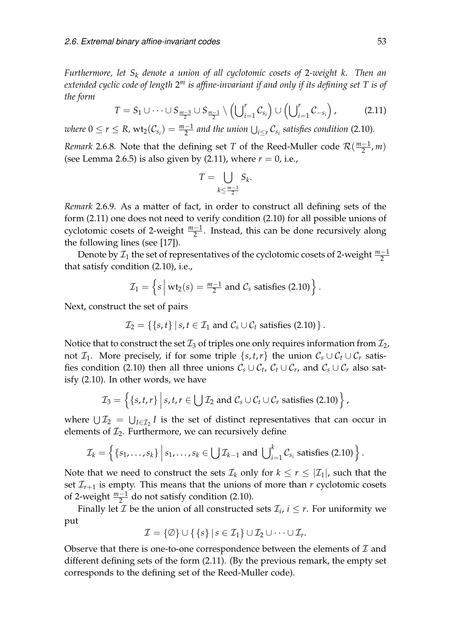*Furthermore, let S<sup>k</sup> denote a union of all cyclotomic cosets of* 2*-weight k. Then an extended cyclic code of length* 2 *<sup>m</sup> is affine-invariant if and only if its defining set T is of the form*

<span id="page-54-0"></span>
$$
T = S_1 \cup \cdots \cup S_{\frac{m-3}{2}} \cup S_{\frac{m-1}{2}} \setminus \left( \bigcup_{i=1}^r C_{s_i} \right) \cup \left( \bigcup_{i=1}^r C_{-s_i} \right), \tag{2.11}
$$

 $\omega$  *where*  $0 \le r \le R$ ,  $\text{wt}_2(\mathcal{C}_{s_i}) = \frac{m-1}{2}$  and the union  $\bigcup_{i \le r} \mathcal{C}_{s_i}$  satisfies condition [\(2.10\)](#page-53-1).

*Remark* 2.6.8. Note that the defining set *T* of the Reed-Muller code  $\mathcal{R}(\frac{m-1}{2})$  $\frac{-1}{2}$ , *m*) (see Lemma [2.6.5\)](#page-53-2) is also given by  $(2.11)$ , where  $r = 0$ , i.e.,

$$
T = \bigcup_{k \leq \frac{m-1}{2}} S_k.
$$

<span id="page-54-1"></span>*Remark* 2.6.9*.* As a matter of fact, in order to construct all defining sets of the form [\(2.11\)](#page-54-0) one does not need to verify condition [\(2.10\)](#page-53-1) for all possible unions of cyclotomic cosets of 2-weight  $\frac{m-1}{2}$ . Instead, this can be done recursively along the following lines (see [\[17\]](#page-81-2)).

Denote by  $\mathcal{I}_1$  the set of representatives of the cyclotomic cosets of 2-weight  $\frac{m-1}{2}$ that satisfy condition [\(2.10\)](#page-53-1), i.e.,

$$
\mathcal{I}_1 = \left\{ s \mid \text{wt}_2(s) = \frac{m-1}{2} \text{ and } C_s \text{ satisfies (2.10)} \right\}.
$$

Next, construct the set of pairs

$$
\mathcal{I}_2 = \{\{s,t\} \mid s,t \in \mathcal{I}_1 \text{ and } \mathcal{C}_s \cup \mathcal{C}_t \text{ satisfies (2.10)} \}.
$$

Notice that to construct the set  $\mathcal{I}_3$  of triples one only requires information from  $\mathcal{I}_2$ , not  $\mathcal{I}_1$ . More precisely, if for some triple  $\{s, t, r\}$  the union  $\mathcal{C}_s \cup \mathcal{C}_t \cup \mathcal{C}_r$  satis-fies condition [\(2.10\)](#page-53-1) then all three unions  $C_s \cup C_t$ ,  $C_t \cup C_r$ , and  $C_s \cup C_r$  also satisfy [\(2.10\)](#page-53-1). In other words, we have

$$
\mathcal{I}_3 = \left\{ \{s, t, r\} \middle| s, t, r \in \bigcup \mathcal{I}_2 \text{ and } \mathcal{C}_s \cup \mathcal{C}_t \cup \mathcal{C}_r \text{ satisfies (2.10)} \right\},\
$$

where  $\bigcup \mathcal{I}_2 = \bigcup_{I \in \mathcal{I}_2} I$  is the set of distinct representatives that can occur in elements of  $\mathcal{I}_2$ . Furthermore, we can recursively define

$$
\mathcal{I}_k = \left\{ \left\{ s_1, \ldots, s_k \right\} \middle| s_1, \ldots, s_k \in \bigcup \mathcal{I}_{k-1} \text{ and } \bigcup_{i=1}^k \mathcal{C}_{s_i} \text{ satisfies (2.10)} \right\}.
$$

Note that we need to construct the sets  $\mathcal{I}_k$  only for  $k \leq r \leq |\mathcal{I}_1|$ , such that the set  $\mathcal{I}_{r+1}$  is empty. This means that the unions of more than  $r$  cyclotomic cosets of 2-weight  $\frac{m-1}{2}$  do not satisfy condition [\(2.10\)](#page-53-1).

Finally let  $\mathcal I$  be the union of all constructed sets  $\mathcal I_i$ ,  $i \leq r$ . For uniformity we put

$$
\mathcal{I} = \{\emptyset\} \cup \{\{s\} \mid s \in \mathcal{I}_1\} \cup \mathcal{I}_2 \cup \cdots \cup \mathcal{I}_r.
$$

Observe that there is one-to-one correspondence between the elements of  $\mathcal I$  and different defining sets of the form [\(2.11\)](#page-54-0). (By the previous remark, the empty set corresponds to the defining set of the Reed-Muller code).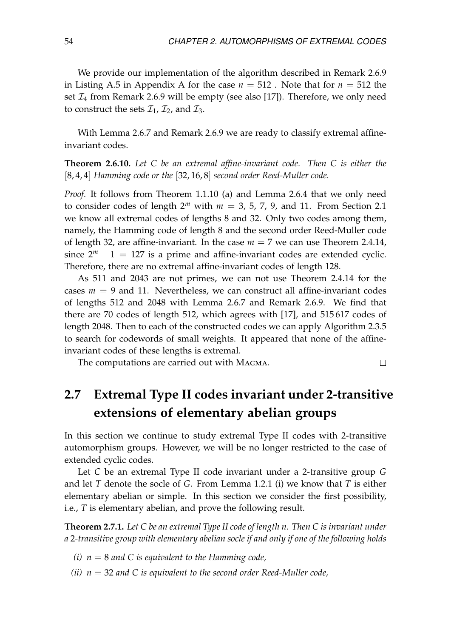We provide our implementation of the algorithm described in Remark [2.6.9](#page-54-1) in Listing [A.5](#page-76-0) in [A](#page-74-2)ppendix A for the case  $n = 512$ . Note that for  $n = 512$  the set  $\mathcal{I}_4$  from Remark [2.6.9](#page-54-1) will be empty (see also [\[17\]](#page-81-2)). Therefore, we only need to construct the sets  $\mathcal{I}_1$ ,  $\mathcal{I}_2$ , and  $\mathcal{I}_3$ .

With Lemma [2.6.7](#page-53-3) and Remark [2.6.9](#page-54-1) we are ready to classify extremal affineinvariant codes.

<span id="page-55-1"></span>**Theorem 2.6.10.** *Let C be an extremal affine-invariant code. Then C is either the* [8, 4, 4] *Hamming code or the* [32, 16, 8] *second order Reed-Muller code.*

*Proof.* It follows from Theorem [1.1.10](#page-18-0) [\(a\)](#page-18-1) and Lemma [2.6.4](#page-52-1) that we only need to consider codes of length  $2^m$  with  $m = 3, 5, 7, 9$ , and 11. From Section [2.1](#page-32-0) we know all extremal codes of lengths 8 and 32. Only two codes among them, namely, the Hamming code of length 8 and the second order Reed-Muller code of length 32, are affine-invariant. In the case  $m = 7$  we can use Theorem [2.4.14,](#page-48-4) since  $2^m - 1 = 127$  is a prime and affine-invariant codes are extended cyclic. Therefore, there are no extremal affine-invariant codes of length 128.

As 511 and 2043 are not primes, we can not use Theorem [2.4.14](#page-48-4) for the cases  $m = 9$  and 11. Nevertheless, we can construct all affine-invariant codes of lengths 512 and 2048 with Lemma [2.6.7](#page-53-3) and Remark [2.6.9.](#page-54-1) We find that there are 70 codes of length 512, which agrees with [\[17\]](#page-81-2), and 515 617 codes of length 2048. Then to each of the constructed codes we can apply Algorithm [2.3.5](#page-40-0) to search for codewords of small weights. It appeared that none of the affineinvariant codes of these lengths is extremal.

The computations are carried out with Magma.

#### $\Box$

# <span id="page-55-2"></span>**2.7 Extremal Type II codes invariant under 2-transitive extensions of elementary abelian groups**

In this section we continue to study extremal Type II codes with 2-transitive automorphism groups. However, we will be no longer restricted to the case of extended cyclic codes.

Let *C* be an extremal Type II code invariant under a 2-transitive group *G* and let *T* denote the socle of *G*. From Lemma [1.2.1](#page-20-0) [\(i\)](#page-20-2) we know that *T* is either elementary abelian or simple. In this section we consider the first possibility, i.e., *T* is elementary abelian, and prove the following result.

<span id="page-55-0"></span>**Theorem 2.7.1.** *Let C be an extremal Type II code of length n. Then C is invariant under a* 2*-transitive group with elementary abelian socle if and only if one of the following holds*

- *(i) n* = 8 *and C is equivalent to the Hamming code,*
- *(ii) n* = 32 *and C is equivalent to the second order Reed-Muller code,*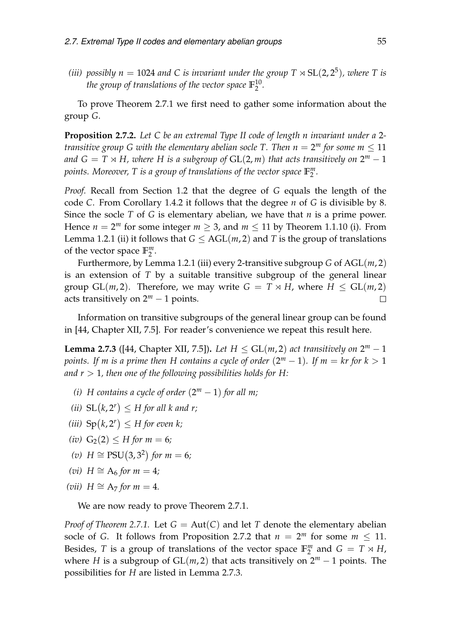*(iii)* possibly  $n = 1024$  and C is invariant under the group  $T \rtimes SL(2, 2^5)$ , where T is *the group of translations of the vector space* **F** 10  $\frac{10}{2}$ .

To prove Theorem [2.7.1](#page-55-0) we first need to gather some information about the group *G*.

<span id="page-56-0"></span>**Proposition 2.7.2.** *Let C be an extremal Type II code of length n invariant under a* 2 *transitive group G with the elementary abelian socle T. Then*  $n = 2^m$  *for some*  $m \leq 11$ and  $G = T \rtimes H$ , where H is a subgroup of  $\text{GL}(2, m)$  that acts transitively on  $2^m - 1$ *points. Moreover, T is a group of translations of the vector space* **F** *m* 2 *.*

*Proof.* Recall from Section [1.2](#page-19-0) that the degree of *G* equals the length of the code *C*. From Corollary [1.4.2](#page-28-0) it follows that the degree *n* of *G* is divisible by 8. Since the socle *T* of *G* is elementary abelian, we have that *n* is a prime power. Hence  $n = 2^m$  for some integer  $m \geq 3$ , and  $m \leq 11$  by Theorem [1.1.10](#page-18-0) (i). From Lemma [1.2.1](#page-20-0) [\(ii\)](#page-20-3) it follows that  $G \leq AGL(m, 2)$  and *T* is the group of translations of the vector space **F** *m* m<br>2 ·

Furthermore, by Lemma [1.2.1](#page-20-0) [\(iii\)](#page-20-1) every 2-transitive subgroup *G* of AGL(*m*, 2) is an extension of *T* by a suitable transitive subgroup of the general linear group  $GL(m, 2)$ . Therefore, we may write  $G = T \rtimes H$ , where  $H \le GL(m, 2)$ acts transitively on  $2^m - 1$  points.  $\Box$ 

Information on transitive subgroups of the general linear group can be found in [\[44,](#page-83-9) Chapter XII, 7.5]. For reader's convenience we repeat this result here.

<span id="page-56-1"></span>**Lemma 2.7.3** ([\[44,](#page-83-9) Chapter XII, 7.5]). Let  $H \le GL(m, 2)$  act transitively on  $2^m - 1$ *points. If m is a prime then H contains a cycle of order*  $(2^m - 1)$ *. If*  $m = kr$  *for k*  $> 1$ and  $r > 1$ , then one of the following possibilities holds for H:

- (*i*) *H* contains a cycle of order  $(2^m 1)$  for all m;
- (*ii*)  $SL(k, 2^r) \leq H$  for all k and r;
- (*iii*)  $\text{Sp}(k, 2^r) \leq H$  for even k;
- *(iv)*  $G_2(2) \leq H$  *for*  $m = 6$ *;*
- *(v) H* ≅ PSU(3,3<sup>2</sup>) *for m* = 6*;*
- *(vi) H*  $\cong$  A<sub>6</sub> *for m* = 4*;*
- *(vii)*  $H \cong A_7$  *for*  $m = 4$ *.*

We are now ready to prove Theorem [2.7.1.](#page-55-0)

*Proof of Theorem* [2.7.1.](#page-55-0) Let  $G = Aut(C)$  and let *T* denote the elementary abelian socle of *G*. It follows from Proposition [2.7.2](#page-56-0) that  $n = 2^m$  for some  $m \le 11$ . Besides, *T* is a group of translations of the vector space  $\mathbb{F}_2^m$  $_2^m$  and  $G = T \rtimes H$ , where *H* is a subgroup of  $GL(m, 2)$  that acts transitively on  $2^m - 1$  points. The possibilities for *H* are listed in Lemma [2.7.3.](#page-56-1)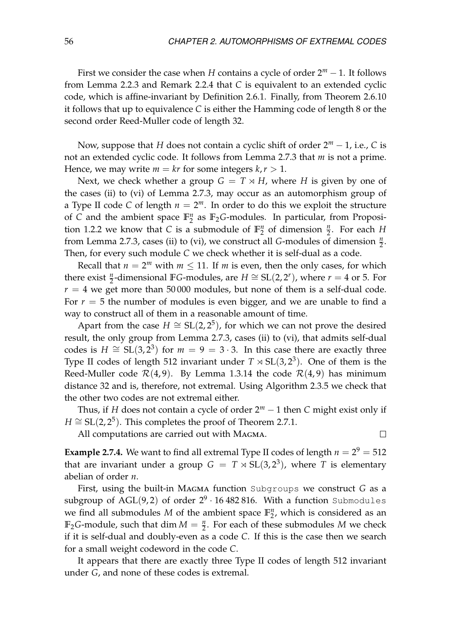First we consider the case when *H* contains a cycle of order 2*<sup>m</sup>* − 1. It follows from Lemma [2.2.3](#page-36-0) and Remark [2.2.4](#page-36-2) that *C* is equivalent to an extended cyclic code, which is affine-invariant by Definition [2.6.1.](#page-52-2) Finally, from Theorem [2.6.10](#page-55-1) it follows that up to equivalence *C* is either the Hamming code of length 8 or the second order Reed-Muller code of length 32.

Now, suppose that *H* does not contain a cyclic shift of order 2*<sup>m</sup>* − 1, i.e., *C* is not an extended cyclic code. It follows from Lemma [2.7.3](#page-56-1) that *m* is not a prime. Hence, we may write  $m = kr$  for some integers  $k, r > 1$ .

Next, we check whether a group  $G = T \rtimes H$ , where *H* is given by one of the cases (ii) to (vi) of Lemma [2.7.3,](#page-56-1) may occur as an automorphism group of a Type II code *C* of length  $n = 2<sup>m</sup>$ . In order to do this we exploit the structure of *C* and the ambient space **F** *n*  $n<sub>2</sub>$  as  $\mathbb{F}_2$ *G*-modules. In particular, from Proposi-tion [1.2.2](#page-20-4) we know that *C* is a submodule of  $\mathbb{F}_2^n$  $n/2$  of dimension  $\frac{n}{2}$ . For each *H* from Lemma [2.7.3,](#page-56-1) cases (ii) to (vi), we construct all *G*-modules of dimension  $\frac{n}{2}$ . Then, for every such module *C* we check whether it is self-dual as a code.

Recall that  $n = 2^m$  with  $m \leq 11$ . If m is even, then the only cases, for which there exist  $\frac{n}{2}$ -dimensional **F***G*-modules, are *H*  $\cong$  SL(2, 2<sup>*r*</sup>), where *r* = 4 or 5. For  $r = 4$  we get more than 50000 modules, but none of them is a self-dual code. For  $r = 5$  the number of modules is even bigger, and we are unable to find a way to construct all of them in a reasonable amount of time.

Apart from the case  $H \cong SL(2, 2^5)$ , for which we can not prove the desired result, the only group from Lemma [2.7.3,](#page-56-1) cases (ii) to (vi), that admits self-dual codes is  $H \cong SL(3, 2^3)$  for  $m = 9 = 3 \cdot 3$ . In this case there are exactly three Type II codes of length 512 invariant under  $T \rtimes SL(3, 2^3)$ . One of them is the Reed-Muller code  $\mathcal{R}(4, 9)$ . By Lemma [1.3.14](#page-26-0) the code  $\mathcal{R}(4, 9)$  has minimum distance 32 and is, therefore, not extremal. Using Algorithm [2.3.5](#page-40-0) we check that the other two codes are not extremal either.

Thus, if *H* does not contain a cycle of order 2*<sup>m</sup>* − 1 then *C* might exist only if  $H \cong SL(2, 2^5)$ . This completes the proof of Theorem [2.7.1.](#page-55-0)

All computations are carried out with Magma.

 $\Box$ 

**Example 2.7.4.** We want to find all extremal Type II codes of length  $n = 2^9 = 512$ that are invariant under a group  $G = T \rtimes SL(3, 2^3)$ , where *T* is elementary abelian of order *n*.

First, using the built-in Magma function Subgroups we construct *G* as a  $\mathrm{subgroup\,\, of\,\, AGL(9,2)\,\, of\,\, order\,\, 2^9 \cdot 16\,482\,816. \,\, With\,\, a\,\, function\,\, Submodules}$ we find all submodules *M* of the ambient space **F** *n*  $\frac{n}{2}$ , which is considered as an  $\mathbb{F}_2$ *G*-module, such that dim  $M = \frac{n}{2}$ . For each of these submodules *M* we check if it is self-dual and doubly-even as a code *C*. If this is the case then we search for a small weight codeword in the code *C*.

It appears that there are exactly three Type II codes of length 512 invariant under *G*, and none of these codes is extremal.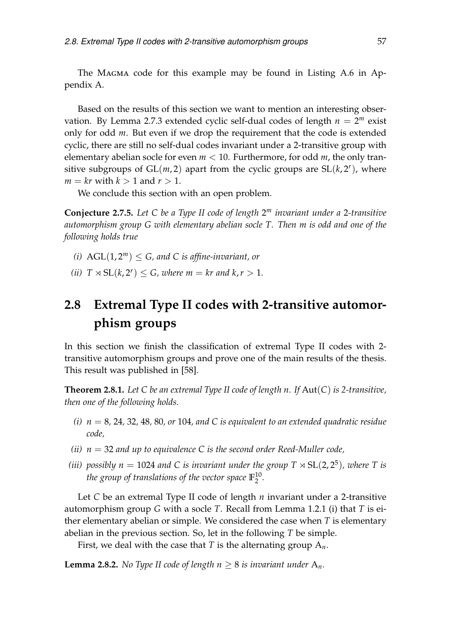The Magma code for this example may be found in Listing [A.6](#page-77-0) in Appendix [A.](#page-74-2)

Based on the results of this section we want to mention an interesting obser-vation. By Lemma [2.7.3](#page-56-1) extended cyclic self-dual codes of length  $n = 2^m$  exist only for odd *m*. But even if we drop the requirement that the code is extended cyclic, there are still no self-dual codes invariant under a 2-transitive group with elementary abelian socle for even *m* < 10. Furthermore, for odd *m*, the only transitive subgroups of  $GL(m, 2)$  apart from the cyclic groups are  $SL(k, 2<sup>r</sup>)$ , where  $m = kr$  with  $k > 1$  and  $r > 1$ .

We conclude this section with an open problem.

**Conjecture 2.7.5.** *Let C be a Type II code of length* 2 *<sup>m</sup> invariant under a* 2*-transitive automorphism group G with elementary abelian socle T. Then m is odd and one of the following holds true*

- *(i)*  $AGL(1, 2^m) \le G$ , and C is affine-invariant, or
- *(ii)*  $T \rtimes SL(k, 2^r) \le G$ , where  $m = kr$  and  $k, r > 1$ .

# <span id="page-58-2"></span>**2.8 Extremal Type II codes with 2-transitive automorphism groups**

In this section we finish the classification of extremal Type II codes with 2 transitive automorphism groups and prove one of the main results of the thesis. This result was published in [\[58\]](#page-84-3).

<span id="page-58-1"></span>**Theorem 2.8.1.** *Let C be an extremal Type II code of length n. If* Aut(*C*) *is 2-transitive, then one of the following holds.*

- *(i) n* = 8*,* 24*,* 32*,* 48*,* 80*, or* 104*, and C is equivalent to an extended quadratic residue code,*
- *(ii) n* = 32 *and up to equivalence C is the second order Reed-Muller code,*
- *(iii)* possibly  $n = 1024$  and C is invariant under the group  $T \rtimes SL(2, 2^5)$ , where T is *the group of translations of the vector space* **F** 10  $\frac{10}{2}$ .

Let *C* be an extremal Type II code of length *n* invariant under a 2-transitive automorphism group *G* with a socle *T*. Recall from Lemma [1.2.1](#page-20-0) [\(i\)](#page-20-2) that *T* is either elementary abelian or simple. We considered the case when *T* is elementary abelian in the previous section. So, let in the following *T* be simple.

First, we deal with the case that *T* is the alternating group A*n*.

<span id="page-58-0"></span>**Lemma 2.8.2.** *No Type II code of length*  $n \geq 8$  *is invariant under*  $A_n$ *.*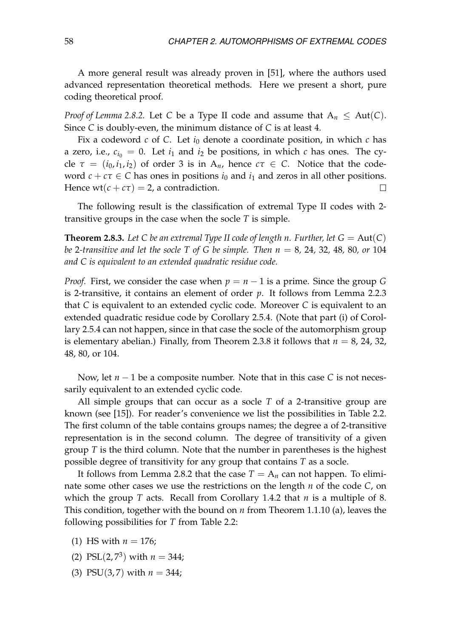A more general result was already proven in [\[51\]](#page-83-7), where the authors used advanced representation theoretical methods. Here we present a short, pure coding theoretical proof.

*Proof of Lemma* [2.8.2.](#page-58-0) Let *C* be a Type II code and assume that  $A_n \leq Aut(C)$ . Since *C* is doubly-even, the minimum distance of *C* is at least 4.

Fix a codeword  $c$  of  $C$ . Let  $i_0$  denote a coordinate position, in which  $c$  has a zero, i.e.,  $c_{i_0} = 0$ . Let  $i_1$  and  $i_2$  be positions, in which *c* has ones. The cycle  $\tau = (i_0, i_1, i_2)$  of order 3 is in A<sub>n</sub>, hence  $c\tau \in C$ . Notice that the codeword  $c + c\tau \in C$  has ones in positions  $i_0$  and  $i_1$  and zeros in all other positions. Hence  $wt(c + c\tau) = 2$ , a contradiction.  $\Box$ 

The following result is the classification of extremal Type II codes with 2 transitive groups in the case when the socle *T* is simple.

<span id="page-59-3"></span>**Theorem 2.8.3.** Let C be an extremal Type II code of length n. Further, let  $G = Aut(C)$ *be* 2-transitive and let the socle T of G be simple. Then  $n = 8$ , 24, 32, 48, 80, or 104 *and C is equivalent to an extended quadratic residue code.*

*Proof.* First, we consider the case when  $p = n - 1$  is a prime. Since the group G is 2-transitive, it contains an element of order *p*. It follows from Lemma [2.2.3](#page-36-0) that *C* is equivalent to an extended cyclic code. Moreover *C* is equivalent to an extended quadratic residue code by Corollary [2.5.4.](#page-51-2) (Note that part [\(i\)](#page-51-3) of Corollary [2.5.4](#page-51-2) can not happen, since in that case the socle of the automorphism group is elementary abelian.) Finally, from Theorem [2.3.8](#page-40-1) it follows that  $n = 8$ , 24, 32, 48, 80, or 104.

Now, let *n* − 1 be a composite number. Note that in this case *C* is not necessarily equivalent to an extended cyclic code.

All simple groups that can occur as a socle *T* of a 2-transitive group are known (see [\[15\]](#page-81-0)). For reader's convenience we list the possibilities in Table [2.2.](#page-60-0) The first column of the table contains groups names; the degree a of 2-transitive representation is in the second column. The degree of transitivity of a given group *T* is the third column. Note that the number in parentheses is the highest possible degree of transitivity for any group that contains *T* as a socle.

It follows from Lemma [2.8.2](#page-58-0) that the case  $T = A_n$  can not happen. To eliminate some other cases we use the restrictions on the length *n* of the code *C*, on which the group *T* acts. Recall from Corollary [1.4.2](#page-28-0) that *n* is a multiple of 8. This condition, together with the bound on *n* from Theorem [1.1.10](#page-18-0) [\(a\),](#page-18-1) leaves the following possibilities for *T* from Table [2.2:](#page-60-0)

- <span id="page-59-0"></span>(1) HS with  $n = 176$ ;
- <span id="page-59-1"></span>(2) PSL $(2, 7^3)$  with  $n = 344$ ;
- <span id="page-59-2"></span>(3) PSU(3,7) with  $n = 344$ ;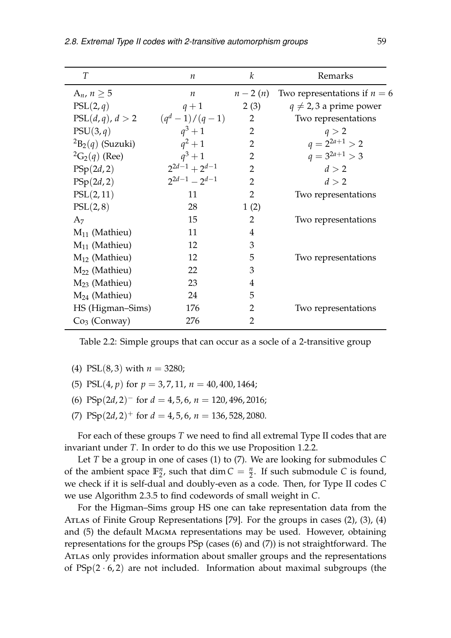| T                           | $\boldsymbol{n}$      | $\boldsymbol{k}$ | Remarks                        |
|-----------------------------|-----------------------|------------------|--------------------------------|
| A <sub>n</sub> , $n \geq 5$ | $\boldsymbol{n}$      | $n-2(n)$         | Two representations if $n = 6$ |
| PSL(2,q)                    | $q+1$                 | 2(3)             | $q \neq 2, 3$ a prime power    |
| PSL(d,q), d > 2             | $(q^{d} - 1)/(q - 1)$ | $\overline{2}$   | Two representations            |
| PSU(3,q)                    | $q^3 + 1$             | $\overline{2}$   | q > 2                          |
| ${}^{2}B_{2}(q)$ (Suzuki)   | $q^2+1$               | $\overline{2}$   | $q = 2^{2a+1} > 2$             |
| ${}^{2}G_{2}(q)$ (Ree)      | $q^3 + 1$             | $\overline{2}$   | $q = 3^{2a+1} > 3$             |
| PSp(2d,2)                   | $2^{2d-1}+2^{d-1}$    | $\overline{2}$   | d > 2                          |
| PSp(2d,2)                   | $2^{2d-1} - 2^{d-1}$  | $\overline{2}$   | d > 2                          |
| PSL(2, 11)                  | 11                    | $\overline{2}$   | Two representations            |
| PSL(2,8)                    | 28                    | 1(2)             |                                |
| A <sub>7</sub>              | 15                    | $\overline{2}$   | Two representations            |
| $M_{11}$ (Mathieu)          | 11                    | $\overline{4}$   |                                |
| $M_{11}$ (Mathieu)          | 12                    | 3                |                                |
| $M_{12}$ (Mathieu)          | 12                    | 5                | Two representations            |
| $M_{22}$ (Mathieu)          | 22                    | 3                |                                |
| $M23$ (Mathieu)             | 23                    | $\overline{4}$   |                                |
| $M_{24}$ (Mathieu)          | 24                    | 5                |                                |
| HS (Higman–Sims)            | 176                   | 2                | Two representations            |
| $Co3$ (Conway)              | 276                   | 2                |                                |

<span id="page-60-0"></span>Table 2.2: Simple groups that can occur as a socle of a 2-transitive group

- <span id="page-60-2"></span>(4) PSL(8,3) with  $n = 3280$ ;
- <span id="page-60-3"></span>(5) PSL(4, *p*) for *p* = 3, 7, 11, *n* = 40, 400, 1464;
- <span id="page-60-4"></span>(6) PSp $(2d, 2)^{-}$  for  $d = 4, 5, 6, n = 120, 496, 2016;$
- <span id="page-60-1"></span>(7)  $PSp(2d, 2)^+$  for  $d = 4, 5, 6, n = 136, 528, 2080$ .

For each of these groups *T* we need to find all extremal Type II codes that are invariant under *T*. In order to do this we use Proposition [1.2.2.](#page-20-4)

Let *T* be a group in one of cases [\(1\)](#page-59-0) to [\(7\).](#page-60-1) We are looking for submodules *C* of the ambient space **F** *n*  $n/2$ , such that dim  $C = \frac{n}{2}$ . If such submodule *C* is found, we check if it is self-dual and doubly-even as a code. Then, for Type II codes *C* we use Algorithm [2.3.5](#page-40-0) to find codewords of small weight in *C*.

For the Higman–Sims group HS one can take representation data from the Atlas of Finite Group Representations [\[79\]](#page-85-3). For the groups in cases [\(2\),](#page-59-1) [\(3\),](#page-59-2) [\(4\)](#page-60-2) and [\(5\)](#page-60-3) the default Magma representations may be used. However, obtaining representations for the groups PSp (cases [\(6\)](#page-60-4) and [\(7\)\)](#page-60-1) is not straightforward. The Atlas only provides information about smaller groups and the representations of  $PSp(2 \cdot 6, 2)$  are not included. Information about maximal subgroups (the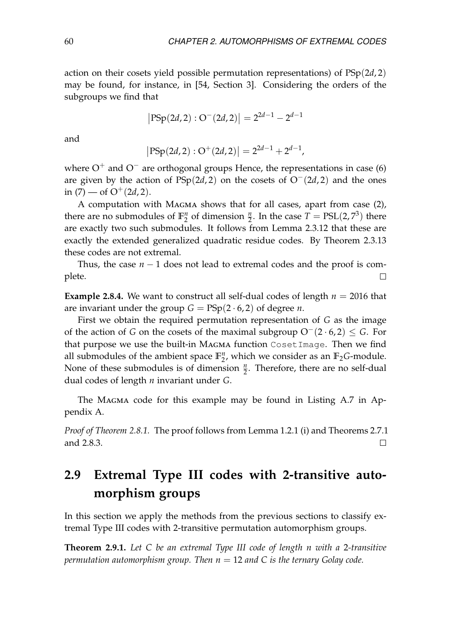action on their cosets yield possible permutation representations) of PSp(2*d*, 2) may be found, for instance, in [\[54,](#page-84-4) Section 3]. Considering the orders of the subgroups we find that

$$
|PSp(2d,2):O^-(2d,2)|=2^{2d-1}-2^{d-1}
$$

and

$$
|PSp(2d,2): O^{+}(2d,2)| = 2^{2d-1} + 2^{d-1},
$$

where  $O^+$  and  $O^-$  are orthogonal groups Hence, the representations in case [\(6\)](#page-60-4) are given by the action of  $PSp(2d, 2)$  on the cosets of  $O^-(2d, 2)$  and the ones in  $(7)$  — of  $O^+(2d, 2)$ .

A computation with Magma shows that for all cases, apart from case [\(2\),](#page-59-1) there are no submodules of  $\mathbb{F}_2^n$  $n/2$  of dimension  $\frac{n}{2}$ . In the case  $T = \text{PSL}(2, 7^3)$  there are exactly two such submodules. It follows from Lemma [2.3.12](#page-42-0) that these are exactly the extended generalized quadratic residue codes. By Theorem [2.3.13](#page-42-1) these codes are not extremal.

Thus, the case *n* − 1 does not lead to extremal codes and the proof is complete.  $\Box$ 

**Example 2.8.4.** We want to construct all self-dual codes of length  $n = 2016$  that are invariant under the group  $G = \text{PSp}(2 \cdot 6, 2)$  of degree *n*.

First we obtain the required permutation representation of *G* as the image of the action of *G* on the cosets of the maximal subgroup O−(2 · 6, 2) ≤ *G*. For that purpose we use the built-in Magma function CosetImage. Then we find all submodules of the ambient space  $\mathbb{F}_2^n$  $n_2$ , which we consider as an  $\mathbb{F}_2$ *G*-module. None of these submodules is of dimension  $\frac{n}{2}$ . Therefore, there are no self-dual dual codes of length *n* invariant under *G*.

The Magma code for this example may be found in Listing [A.7](#page-77-1) in Appendix [A.](#page-74-2)

*Proof of Theorem [2.8.1.](#page-58-1)* The proof follows from Lemma [1.2.1](#page-20-0) [\(i\)](#page-20-2) and Theorems [2.7.1](#page-55-0) and [2.8.3.](#page-59-3)  $\Box$ 

# **2.9 Extremal Type III codes with 2-transitive automorphism groups**

In this section we apply the methods from the previous sections to classify extremal Type III codes with 2-transitive permutation automorphism groups.

**Theorem 2.9.1.** *Let C be an extremal Type III code of length n with a* 2*-transitive permutation automorphism group. Then n* = 12 *and C is the ternary Golay code.*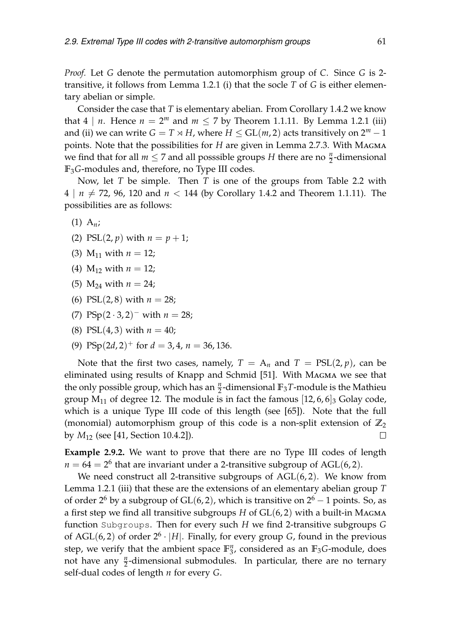*Proof.* Let *G* denote the permutation automorphism group of *C*. Since *G* is 2 transitive, it follows from Lemma [1.2.1](#page-20-0) [\(i\)](#page-20-2) that the socle *T* of *G* is either elementary abelian or simple.

Consider the case that *T* is elementary abelian. From Corollary [1.4.2](#page-28-0) we know that  $4 \mid n$ . Hence  $n = 2^m$  and  $m \le 7$  by Theorem [1.1.11.](#page-18-2) By Lemma [1.2.1](#page-20-0) [\(iii\)](#page-20-1) and [\(ii\)](#page-20-3) we can write  $G = T \rtimes H$ , where  $H \le GL(m, 2)$  acts transitively on  $2^m - 1$ points. Note that the possibilities for *H* are given in Lemma [2.7.3.](#page-56-1) With Magma we find that for all  $m \leq 7$  and all posssible groups *H* there are no  $\frac{n}{2}$ -dimensional **F**3*G*-modules and, therefore, no Type III codes.

Now, let *T* be simple. Then *T* is one of the groups from Table [2.2](#page-60-0) with  $4 \mid n \neq 72, 96, 120$  and  $n < 144$  (by Corollary [1.4.2](#page-28-0) and Theorem [1.1.11\)](#page-18-2). The possibilities are as follows:

$$
(1) A_n;
$$

- (2) PSL(2, *p*) with  $n = p + 1$ ;
- (3)  $M_{11}$  with  $n = 12$ ;
- (4)  $M_{12}$  with  $n = 12$ ;
- (5)  $M_{24}$  with  $n = 24$ ;
- (6) PSL $(2, 8)$  with  $n = 28$ ;
- (7)  $PSp(2.3, 2)^{-}$  with  $n = 28$ ;
- (8) PSL $(4, 3)$  with  $n = 40$ ;
- (9) PSp $(2d, 2)^+$  for  $d = 3, 4, n = 36, 136$ .

Note that the first two cases, namely,  $T = A_n$  and  $T = PSL(2, p)$ , can be eliminated using results of Knapp and Schmid [\[51\]](#page-83-7). With Magma we see that the only possible group, which has an  $\frac{n}{2}$ -dimensional  $\mathbb{F}_3$ *T*-module is the Mathieu group  $M_{11}$  of degree 12. The module is in fact the famous  $|12, 6, 6|$ <sub>3</sub> Golay code, which is a unique Type III code of this length (see [\[65\]](#page-84-5)). Note that the full (monomial) automorphism group of this code is a non-split extension of  $\mathbb{Z}_2$ by *M*<sup>12</sup> (see [\[41,](#page-83-4) Section 10.4.2]).  $\Box$ 

**Example 2.9.2.** We want to prove that there are no Type III codes of length  $n = 64 = 2^6$  that are invariant under a 2-transitive subgroup of AGL(6,2).

We need construct all 2-transitive subgroups of  $AGL(6, 2)$ . We know from Lemma [1.2.1](#page-20-0) [\(iii\)](#page-20-1) that these are the extensions of an elementary abelian group *T* of order 2<sup>6</sup> by a subgroup of GL(6, 2), which is transitive on  $2^6 - 1$  points. So, as a first step we find all transitive subgroups *H* of GL(6, 2) with a built-in Magma function Subgroups. Then for every such *H* we find 2-transitive subgroups *G* of AGL $(6, 2)$  of order  $2<sup>6</sup> \cdot |H|$ . Finally, for every group *G*, found in the previous step, we verify that the ambient space **F** *n*  $\frac{n}{3}$ , considered as an  $\mathbb{F}_3$ *G*-module, does not have any  $\frac{n}{2}$ -dimensional submodules. In particular, there are no ternary self-dual codes of length *n* for every *G*.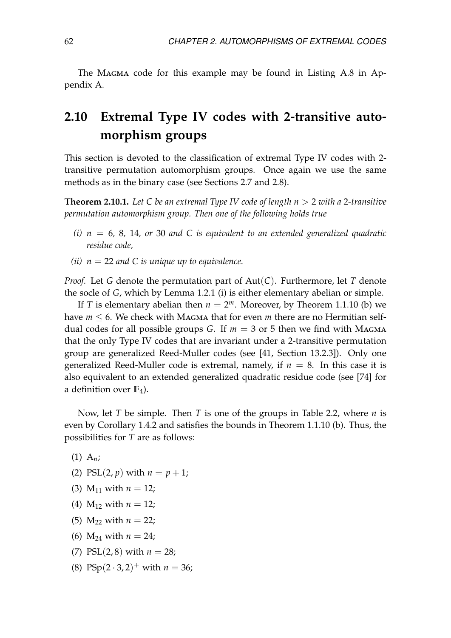The MAGMA code for this example may be found in Listing [A.8](#page-78-0) in Appendix [A.](#page-74-2)

# **2.10 Extremal Type IV codes with 2-transitive automorphism groups**

This section is devoted to the classification of extremal Type IV codes with 2 transitive permutation automorphism groups. Once again we use the same methods as in the binary case (see Sections [2.7](#page-55-2) and [2.8\)](#page-58-2).

**Theorem 2.10.1.** *Let C be an extremal Type IV code of length n* > 2 *with a* 2*-transitive permutation automorphism group. Then one of the following holds true*

- *(i) n* = 6*,* 8*,* 14*, or* 30 *and C is equivalent to an extended generalized quadratic residue code,*
- *(ii)*  $n = 22$  *and C is unique up to equivalence.*

*Proof.* Let *G* denote the permutation part of Aut(*C*). Furthermore, let *T* denote the socle of *G*, which by Lemma [1.2.1](#page-20-0) [\(i\)](#page-20-2) is either elementary abelian or simple.

If *T* is elementary abelian then  $n = 2^m$ . Moreover, by Theorem [1.1.10](#page-18-0) (b) we have  $m \leq 6$ . We check with MAGMA that for even m there are no Hermitian selfdual codes for all possible groups *G*. If  $m = 3$  or 5 then we find with MAGMA that the only Type IV codes that are invariant under a 2-transitive permutation group are generalized Reed-Muller codes (see [\[41,](#page-83-4) Section 13.2.3]). Only one generalized Reed-Muller code is extremal, namely, if  $n = 8$ . In this case it is also equivalent to an extended generalized quadratic residue code (see [\[74\]](#page-85-2) for a definition over **F**4).

Now, let *T* be simple. Then *T* is one of the groups in Table [2.2,](#page-60-0) where *n* is even by Corollary [1.4.2](#page-28-0) and satisfies the bounds in Theorem [1.1.10](#page-18-0) [\(b\).](#page-18-3) Thus, the possibilities for *T* are as follows:

(1) A*n*;

(2) 
$$
PSL(2, p)
$$
 with  $n = p + 1$ ;

- (3)  $M_{11}$  with  $n = 12$ ;
- (4)  $M_{12}$  with  $n = 12$ ;
- (5)  $M_{22}$  with  $n = 22$ ;
- (6)  $M_{24}$  with  $n = 24$ ;
- (7) PSL(2,8) with  $n = 28$ ;
- (8) PSp $(2 \cdot 3, 2)^+$  with  $n = 36$ ;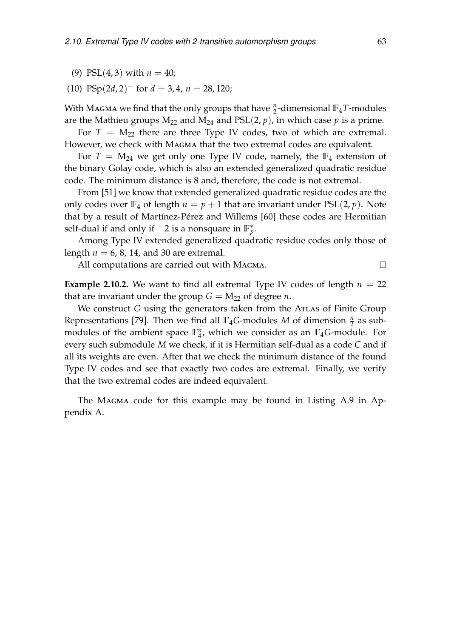- (9) PSL $(4, 3)$  with  $n = 40$ ;
- $(10)$  PSp $(2d, 2)^{-}$  for  $d = 3, 4, n = 28, 120;$

With Magma we find that the only groups that have  $\frac{n}{2}$ -dimensional  $\mathbb{F}_4$ *T*-modules are the Mathieu groups  $M_{22}$  and  $M_{24}$  and  $PSL(2, p)$ , in which case p is a prime.

For  $T = M_{22}$  there are three Type IV codes, two of which are extremal. However, we check with MAGMA that the two extremal codes are equivalent.

For  $T = M_{24}$  we get only one Type IV code, namely, the  $\mathbb{F}_4$  extension of the binary Golay code, which is also an extended generalized quadratic residue code. The minimum distance is 8 and, therefore, the code is not extremal.

From [\[51\]](#page-83-7) we know that extended generalized quadratic residue codes are the only codes over  $\mathbb{F}_4$  of length  $n = p + 1$  that are invariant under  $PSL(2, p)$ . Note that by a result of Martínez-Pérez and Willems [\[60\]](#page-84-6) these codes are Hermitian self-dual if and only if  $-2$  is a nonsquare in  $\mathbb{F}_p^*$ .

Among Type IV extended generalized quadratic residue codes only those of length  $n = 6, 8, 14,$  and 30 are extremal.

All computations are carried out with Magma.

**Example 2.10.2.** We want to find all extremal Type IV codes of length  $n = 22$ that are invariant under the group  $G = M_{22}$  of degree *n*.

We construct *G* using the generators taken from the ATLAS of Finite Group Representations [\[79\]](#page-85-3). Then we find all  $\mathbb{F}_4$ *G*-modules *M* of dimension  $\frac{n}{2}$  as submodules of the ambient space **F** *n*  $_{4}^{n}$ , which we consider as an  $\mathbb{F}_{4}$ *G*-module. For every such submodule *M* we check, if it is Hermitian self-dual as a code *C* and if all its weights are even. After that we check the minimum distance of the found Type IV codes and see that exactly two codes are extremal. Finally, we verify that the two extremal codes are indeed equivalent.

The MAGMA code for this example may be found in Listing [A.9](#page-79-0) in Appendix [A.](#page-74-2)

 $\Box$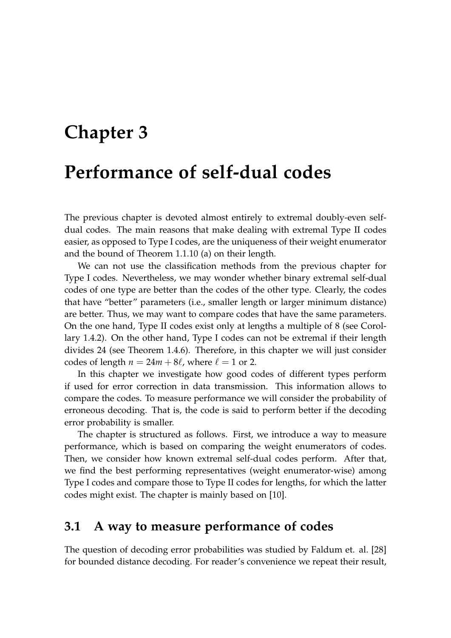# **Chapter 3**

# **Performance of self-dual codes**

The previous chapter is devoted almost entirely to extremal doubly-even selfdual codes. The main reasons that make dealing with extremal Type II codes easier, as opposed to Type I codes, are the uniqueness of their weight enumerator and the bound of Theorem [1.1.10](#page-18-0) (a) on their length.

We can not use the classification methods from the previous chapter for Type I codes. Nevertheless, we may wonder whether binary extremal self-dual codes of one type are better than the codes of the other type. Clearly, the codes that have "better" parameters (i.e., smaller length or larger minimum distance) are better. Thus, we may want to compare codes that have the same parameters. On the one hand, Type II codes exist only at lengths a multiple of 8 (see Corollary [1.4.2\)](#page-28-0). On the other hand, Type I codes can not be extremal if their length divides 24 (see Theorem [1.4.6\)](#page-29-0). Therefore, in this chapter we will just consider codes of length  $n = 24m + 8\ell$ , where  $\ell = 1$  or 2.

In this chapter we investigate how good codes of different types perform if used for error correction in data transmission. This information allows to compare the codes. To measure performance we will consider the probability of erroneous decoding. That is, the code is said to perform better if the decoding error probability is smaller.

The chapter is structured as follows. First, we introduce a way to measure performance, which is based on comparing the weight enumerators of codes. Then, we consider how known extremal self-dual codes perform. After that, we find the best performing representatives (weight enumerator-wise) among Type I codes and compare those to Type II codes for lengths, for which the latter codes might exist. The chapter is mainly based on [\[10\]](#page-80-3).

#### **3.1 A way to measure performance of codes**

The question of decoding error probabilities was studied by Faldum et. al. [\[28\]](#page-82-5) for bounded distance decoding. For reader's convenience we repeat their result,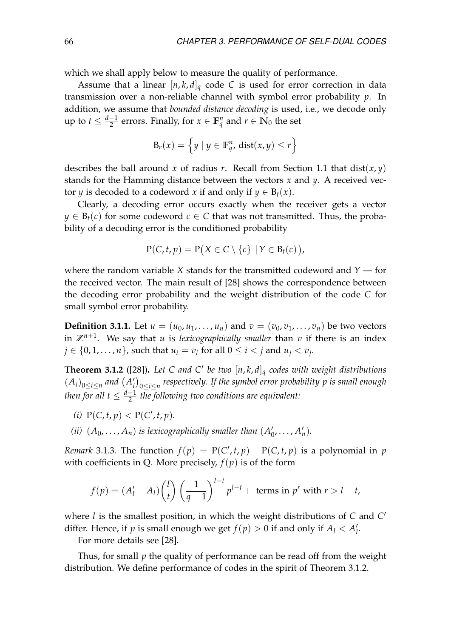which we shall apply below to measure the quality of performance.

Assume that a linear  $[n, k, d]_q$  code C is used for error correction in data transmission over a non-reliable channel with symbol error probability *p*. In addition, we assume that *bounded distance decoding* is used, i.e., we decode only up to  $t \leq \frac{d-1}{2}$  errors. Finally, for  $x \in \mathbb{F}_q^n$  and  $r \in \mathbb{N}_0$  the set

$$
\mathrm{B}_r(x)=\left\{y\mid y\in\mathbb{F}_q^n\text{, }\mathrm{dist}(x,y)\leq r\right\}
$$

describes the ball around *x* of radius *r*. Recall from Section [1.1](#page-14-0) that dist(*x*, *y*) stands for the Hamming distance between the vectors *x* and *y*. A received vector *y* is decoded to a codeword *x* if and only if  $y \in B_t(x)$ .

Clearly, a decoding error occurs exactly when the receiver gets a vector  $y \in B_t(c)$  for some codeword  $c \in C$  that was not transmitted. Thus, the probability of a decoding error is the conditioned probability

$$
P(C, t, p) = P(X \in C \setminus \{c\} \mid Y \in B_t(c)),
$$

where the random variable *X* stands for the transmitted codeword and *Y* — for the received vector. The main result of [\[28\]](#page-82-5) shows the correspondence between the decoding error probability and the weight distribution of the code *C* for small symbol error probability.

**Definition 3.1.1.** Let  $u = (u_0, u_1, \ldots, u_n)$  and  $v = (v_0, v_1, \ldots, v_n)$  be two vectors in **Z***n*+<sup>1</sup> . We say that *u* is *lexicographically smaller* than *v* if there is an index  $j \in \{0, 1, \ldots, n\}$ , such that  $u_i = v_i$  for all  $0 \leq i < j$  and  $u_j < v_j$ .

<span id="page-67-0"></span>**Theorem 3.1.2** ([\[28\]](#page-82-5)). Let C and C' be two  $[n, k, d]_q$  codes with weight distributions  $(A_i)_{0 \leq i \leq n}$  and  $(A'_i)$ *i* 0≤*i*≤*n respectively. If the symbol error probability p is small enough* then for all  $t \leq \frac{d-1}{2}$  the following two conditions are equivalent:

- (*i*)  $P(C, t, p) < P(C', t, p)$ .
- *(ii)*  $(A_0, \ldots, A_n)$  *is lexicographically smaller than*  $(A_0, \ldots, A_n)$  $'_{0}, \ldots, A'_{n}$ ).

*Remark* 3.1.3. The function  $f(p) = P(C', t, p) - P(C, t, p)$  is a polynomial in *p* with coefficients in Q. More precisely,  $f(p)$  is of the form

$$
f(p) = (A'_l - A_l) {l \choose t} \left(\frac{1}{q-1}\right)^{l-t} p^{l-t} + \text{ terms in } p^r \text{ with } r > l-t,
$$

where *l* is the smallest position, in which the weight distributions of *C* and *C* 0 differ. Hence, if *p* is small enough we get  $f(p) > 0$  if and only if  $A_l < A_l'$ *l* .

For more details see [\[28\]](#page-82-5).

Thus, for small *p* the quality of performance can be read off from the weight distribution. We define performance of codes in the spirit of Theorem [3.1.2.](#page-67-0)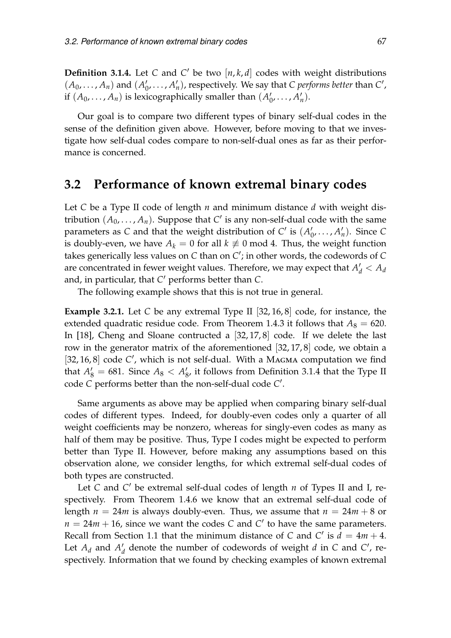<span id="page-68-0"></span>**Definition 3.1.4.** Let *C* and *C'* be two  $[n, k, d]$  codes with weight distributions  $(A_0, ..., A_n)$  and  $(A_0, ...)$  $\mathcal{A}'_0, \ldots, \mathcal{A}'_n$ ), respectively. We say that *C performs better* than *C'*, if  $(A_0, \ldots, A_n)$  is lexicographically smaller than  $(A_0, \ldots, A_n)$  $'_{0}, \ldots, A'_{n}$ ).

Our goal is to compare two different types of binary self-dual codes in the sense of the definition given above. However, before moving to that we investigate how self-dual codes compare to non-self-dual ones as far as their performance is concerned.

#### **3.2 Performance of known extremal binary codes**

Let *C* be a Type II code of length *n* and minimum distance *d* with weight distribution  $(A_0, \ldots, A_n)$ . Suppose that  $C'$  is any non-self-dual code with the same parameters as *C* and that the weight distribution of  $C'$  is  $(A'_{(i)})$  $\lambda'_0$ , ...,  $A'_n$ ). Since *C* is doubly-even, we have  $A_k = 0$  for all  $k \neq 0$  mod 4. Thus, the weight function takes generically less values on *C* than on *C'*; in other words, the codewords of *C* are concentrated in fewer weight values. Therefore, we may expect that  $A_d' < A_d$ and, in particular, that *C'* performs better than *C*.

The following example shows that this is not true in general.

**Example 3.2.1.** Let *C* be any extremal Type II [32, 16, 8] code, for instance, the extended quadratic residue code. From Theorem [1.4.3](#page-28-1) it follows that  $A_8 = 620$ . In [\[18\]](#page-81-3), Cheng and Sloane contructed a [32, 17, 8] code. If we delete the last row in the generator matrix of the aforementioned [32, 17, 8] code, we obtain a [32, 16, 8] code C', which is not self-dual. With a MAGMA computation we find that  $A'_8 = 681$ . Since  $A_8 < A'_8$  $'_{8'}$ , it follows from Definition [3.1.4](#page-68-0) that the Type II code *C* performs better than the non-self-dual code *C'*.

Same arguments as above may be applied when comparing binary self-dual codes of different types. Indeed, for doubly-even codes only a quarter of all weight coefficients may be nonzero, whereas for singly-even codes as many as half of them may be positive. Thus, Type I codes might be expected to perform better than Type II. However, before making any assumptions based on this observation alone, we consider lengths, for which extremal self-dual codes of both types are constructed.

Let *C* and *C'* be extremal self-dual codes of length *n* of Types II and I, respectively. From Theorem [1.4.6](#page-29-0) we know that an extremal self-dual code of length  $n = 24m$  is always doubly-even. Thus, we assume that  $n = 24m + 8$  or  $n = 24m + 16$ , since we want the codes *C* and *C*<sup> $\prime$ </sup> to have the same parameters. Recall from Section [1.1](#page-14-0) that the minimum distance of *C* and *C'* is  $d = 4m + 4$ . Let  $A_d$  and  $A_d'$  $d_d$  denote the number of codewords of weight *d* in *C* and *C*<sup> $\prime$ </sup>, respectively. Information that we found by checking examples of known extremal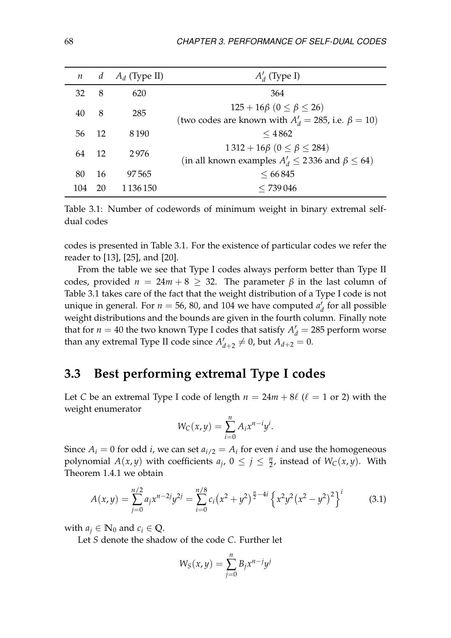| $\boldsymbol{n}$ |                 | d $A_d$ (Type II) | $A'_d$ (Type I)                                                                                         |
|------------------|-----------------|-------------------|---------------------------------------------------------------------------------------------------------|
| 32               | 8               | 620               | 364                                                                                                     |
| 40               | 8               | 285               | $125 + 16\beta$ $(0 \le \beta \le 26)$<br>(two codes are known with $A'_d = 285$ , i.e. $\beta = 10$ )  |
| 56               | $\overline{12}$ | 8 1 9 0           | $<$ 4862                                                                                                |
| 64               | - 12            | 2976              | $1312 + 16\beta$ $(0 \le \beta \le 284)$<br>(in all known examples $A'_d \le 2336$ and $\beta \le 64$ ) |
| 80               | 16              | 97.565            | < 66845                                                                                                 |
| 104              | 20              | 1 1 3 6 1 5 0     | < 739046                                                                                                |

<span id="page-69-0"></span>Table 3.1: Number of codewords of minimum weight in binary extremal selfdual codes

codes is presented in Table [3.1.](#page-69-0) For the existence of particular codes we refer the reader to [\[13\]](#page-81-4), [\[25\]](#page-81-5), and [\[20\]](#page-81-6).

From the table we see that Type I codes always perform better than Type II codes, provided  $n = 24m + 8 \ge 32$ . The parameter  $\beta$  in the last column of Table [3.1](#page-69-0) takes care of the fact that the weight distribution of a Type I code is not unique in general. For  $n = 56$ , 80, and 104 we have computed  $a'$  $d$ <sub>d</sub> for all possible weight distributions and the bounds are given in the fourth column. Finally note that for  $n = 40$  the two known Type I codes that satisfy  $A_d' = 285$  perform worse than any extremal Type II code since  $A'$  $d'_{d+2} \neq 0$ , but  $A_{d+2} = 0$ .

### **3.3 Best performing extremal Type I codes**

Let *C* be an extremal Type I code of length  $n = 24m + 8\ell$  ( $\ell = 1$  or 2) with the weight enumerator

$$
W_C(x,y) = \sum_{i=0}^n A_i x^{n-i} y^i.
$$

Since  $A_i = 0$  for odd *i*, we can set  $a_{i/2} = A_i$  for even *i* and use the homogeneous polynomial  $A(x, y)$  with coefficients  $a_j$ ,  $0 \le j \le \frac{n}{2}$ , instead of  $W_C(x, y)$ . With Theorem [1.4.1](#page-27-0) we obtain

<span id="page-69-1"></span>
$$
A(x,y) = \sum_{j=0}^{n/2} a_j x^{n-2j} y^{2j} = \sum_{i=0}^{n/8} c_i (x^2 + y^2)^{\frac{n}{2} - 4i} \left\{ x^2 y^2 (x^2 - y^2)^2 \right\}^i \tag{3.1}
$$

with  $a_i \in \mathbb{N}_0$  and  $c_i \in \mathbb{Q}$ .

Let *S* denote the shadow of the code *C*. Further let

$$
W_S(x,y) = \sum_{j=0}^n B_j x^{n-j} y^j
$$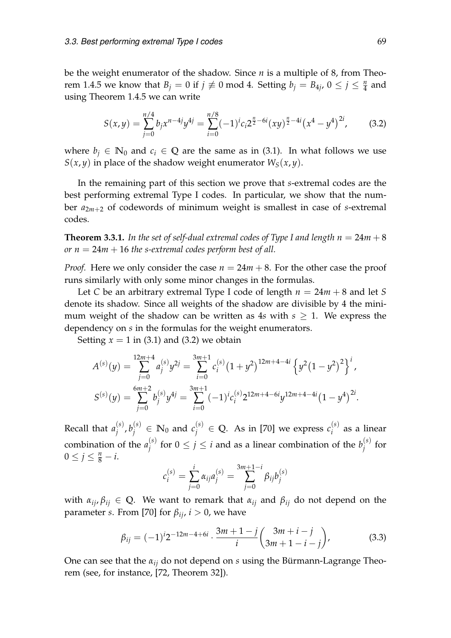be the weight enumerator of the shadow. Since *n* is a multiple of 8, from Theo-rem [1.4.5](#page-29-1) we know that  $B_j = 0$  if  $j \not\equiv 0 \mod 4$ . Setting  $b_j = B_{4j}$ ,  $0 \le j \le \frac{n}{4}$  and using Theorem [1.4.5](#page-29-1) we can write

<span id="page-70-0"></span>
$$
S(x,y) = \sum_{j=0}^{n/4} b_j x^{n-4j} y^{4j} = \sum_{i=0}^{n/8} (-1)^i c_i 2^{\frac{n}{2} - 6i} (xy)^{\frac{n}{2} - 4i} (x^4 - y^4)^{2i},
$$
 (3.2)

where  $b_i \in \mathbb{N}_0$  and  $c_i \in \mathbb{Q}$  are the same as in [\(3.1\)](#page-69-1). In what follows we use  $S(x, y)$  in place of the shadow weight enumerator  $W_S(x, y)$ .

In the remaining part of this section we prove that *s*-extremal codes are the best performing extremal Type I codes. In particular, we show that the number *a*2*m*+<sup>2</sup> of codewords of minimum weight is smallest in case of *s*-extremal codes.

**Theorem 3.3.1.** In the set of self-dual extremal codes of Type I and length  $n = 24m + 8$ *or*  $n = 24m + 16$  *the s-extremal codes perform best of all.* 

*Proof.* Here we only consider the case  $n = 24m + 8$ . For the other case the proof runs similarly with only some minor changes in the formulas.

Let *C* be an arbitrary extremal Type I code of length *n* = 24*m* + 8 and let *S* denote its shadow. Since all weights of the shadow are divisible by 4 the minimum weight of the shadow can be written as 4*s* with  $s \geq 1$ . We express the dependency on *s* in the formulas for the weight enumerators.

Setting  $x = 1$  in [\(3.1\)](#page-69-1) and [\(3.2\)](#page-70-0) we obtain

$$
A^{(s)}(y) = \sum_{j=0}^{12m+4} a_j^{(s)} y^{2j} = \sum_{i=0}^{3m+1} c_i^{(s)} (1+y^2)^{12m+4-4i} \left\{ y^2 (1-y^2)^2 \right\}^i,
$$
  

$$
S^{(s)}(y) = \sum_{j=0}^{6m+2} b_j^{(s)} y^{4j} = \sum_{i=0}^{3m+1} (-1)^i c_i^{(s)} 2^{12m+4-6i} y^{12m+4-4i} (1-y^4)^{2i}.
$$

Recall that  $a_i^{(s)}$  $\hat{b}_j^{(s)}$ ,  $b_j^{(s)}$  $j^{(s)}$   $\in$  **N**<sub>0</sub> and  $c_j^{(s)}$  $j_j^{(s)}$  ∈ **Q**. As in [\[70\]](#page-85-4) we express  $c_i^{(s)}$  $i^{(s)}$  as a linear combination of the  $a_i^{(s)}$  $j^{(s)}$  for  $0 \leq j \leq i$  and as a linear combination of the  $b_j^{(s)}$  $\int_{j}^{(5)}$  for  $0 \le j \le \frac{n}{8} - i$ .

$$
c_i^{(s)} = \sum_{j=0}^i \alpha_{ij} a_j^{(s)} = \sum_{j=0}^{3m+1-i} \beta_{ij} b_j^{(s)}
$$

with  $\alpha_{ij}, \beta_{ij} \in \mathbb{Q}$ . We want to remark that  $\alpha_{ij}$  and  $\beta_{ij}$  do not depend on the parameter *s*. From [\[70\]](#page-85-4) for  $\beta_{ij}$ ,  $i > 0$ , we have

<span id="page-70-1"></span>
$$
\beta_{ij} = (-1)^{i} 2^{-12m-4+6i} \cdot \frac{3m+1-j}{i} \binom{3m+i-j}{3m+1-i-j}, \tag{3.3}
$$

One can see that the *αij* do not depend on *s* using the Bürmann-Lagrange Theorem (see, for instance, [\[72,](#page-85-5) Theorem 32]).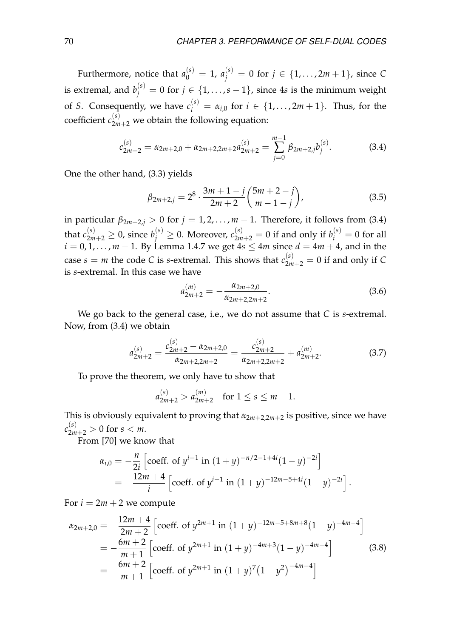Furthermore, notice that  $a_0^{(s)} = 1$ ,  $a_j^{(s)} = 0$  for  $j \in \{1, \ldots, 2m+1\}$ , since C is extremal, and  $b_j^{(s)} = 0$  for  $j \in \{1, \ldots, s-1\}$ , since 4*s* is the minimum weight of *S*. Consequently, we have  $c_i^{(s)} = \alpha_{i,0}$  for  $i \in \{1, \ldots, 2m+1\}$ . Thus, for the coefficient  $c_{2m+2}^{(s)}$  we obtain the following equation:

<span id="page-71-0"></span>
$$
c_{2m+2}^{(s)} = \alpha_{2m+2,0} + \alpha_{2m+2,2m+2} a_{2m+2}^{(s)} = \sum_{j=0}^{m-1} \beta_{2m+2,j} b_j^{(s)}.
$$
 (3.4)

One the other hand, [\(3.3\)](#page-70-1) yields

$$
\beta_{2m+2,j} = 2^8 \cdot \frac{3m+1-j}{2m+2} \binom{5m+2-j}{m-1-j},
$$
\n(3.5)

in particular  $\beta_{2m+2,j} > 0$  for  $j = 1, 2, ..., m-1$ . Therefore, it follows from [\(3.4\)](#page-71-0) that  $c_{2m+2}^{(s)} \geq 0$ , since  $b_j^{(s)} \geq 0$ . Moreover,  $c_{2m+2}^{(s)} = 0$  if and only if  $b_i^{(s)} = 0$  for all *i* = 0, 1, . . . , *m* − 1. By Lemma [1.4.7](#page-29-2) we get 4*s* ≤ 4*m* since *d* = 4*m* + 4, and in the case  $s = m$  the code C is *s*-extremal. This shows that  $c_{2m+2}^{(s)} = 0$  if and only if C is *s*-extremal. In this case we have

$$
a_{2m+2}^{(m)} = -\frac{\alpha_{2m+2,0}}{\alpha_{2m+2,2m+2}}.\t(3.6)
$$

We go back to the general case, i.e., we do not assume that *C* is *s*-extremal. Now, from [\(3.4\)](#page-71-0) we obtain

$$
a_{2m+2}^{(s)} = \frac{c_{2m+2}^{(s)} - \alpha_{2m+2,0}}{\alpha_{2m+2,2m+2}} = \frac{c_{2m+2}^{(s)}}{\alpha_{2m+2,2m+2}} + a_{2m+2}^{(m)}.
$$
 (3.7)

To prove the theorem, we only have to show that

$$
a_{2m+2}^{(s)} > a_{2m+2}^{(m)} \quad \text{for } 1 \le s \le m-1.
$$

This is obviously equivalent to proving that  $\alpha_{2m+2,2m+2}$  is positive, since we have  $c_{2m+2}^{(s)} > 0$  for  $s < m$ .

From [\[70\]](#page-85-4) we know that

$$
\alpha_{i,0} = -\frac{n}{2i} \left[ \text{coeff. of } y^{i-1} \text{ in } (1+y)^{-n/2-1+4i} (1-y)^{-2i} \right]
$$
  
= 
$$
-\frac{12m+4}{i} \left[ \text{coeff. of } y^{i-1} \text{ in } (1+y)^{-12m-5+4i} (1-y)^{-2i} \right].
$$

For  $i = 2m + 2$  we compute

$$
\alpha_{2m+2,0} = -\frac{12m+4}{2m+2} \left[ \text{coeff. of } y^{2m+1} \text{ in } (1+y)^{-12m-5+8m+8} (1-y)^{-4m-4} \right]
$$
  
= 
$$
-\frac{6m+2}{m+1} \left[ \text{coeff. of } y^{2m+1} \text{ in } (1+y)^{-4m+3} (1-y)^{-4m-4} \right]
$$
(3.8)  
= 
$$
-\frac{6m+2}{m+1} \left[ \text{coeff. of } y^{2m+1} \text{ in } (1+y)^{7} (1-y^2)^{-4m-4} \right]
$$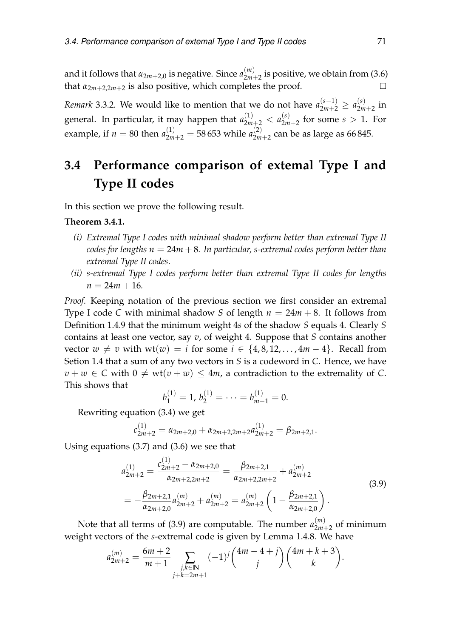and it follows that *α*2*m*+2,0 is negative. Since *a* (*m*)  $\binom{m}{2m+2}$  is positive, we obtain from [\(3.6\)](#page-71-0) that  $\alpha_{2m+2,2m+2}$  is also positive, which completes the proof.  $\Box$ 

*Remark* 3.3.2. We would like to mention that we do not have  $a_{2m+2}^{(s-1)} \ge a_{2m}^{(s)}$  $\sum_{2m+2}^{(3)}$  in general. In particular, it may happen that  $a_{2m+2}^{(1)} < a_{2m}^{(s)}$  $2m+2$  for some  $s > 1$ . For example, if  $n = 80$  then  $a_{2m+2}^{(1)} = 58\,653$  while  $a_{2m}^{(2)}$  $\frac{1}{2m+2}$  can be as large as 66 845.

### **3.4 Performance comparison of extemal Type I and Type II codes**

In this section we prove the following result.

#### **Theorem 3.4.1.**

- *(i) Extremal Type I codes with minimal shadow perform better than extremal Type II codes for lengths*  $n = 24m + 8$ *. In particular, s-extremal codes perform better than extremal Type II codes.*
- *(ii) s-extremal Type I codes perform better than extremal Type II codes for lengths*  $n = 24m + 16$ .

*Proof.* Keeping notation of the previous section we first consider an extremal Type I code *C* with minimal shadow *S* of length  $n = 24m + 8$ . It follows from Definition [1.4.9](#page-30-0) that the minimum weight 4*s* of the shadow *S* equals 4. Clearly *S* contains at least one vector, say *v*, of weight 4. Suppose that *S* contains another vector  $w \neq v$  with wt( $w$ ) = *i* for some  $i \in \{4, 8, 12, \ldots, 4m - 4\}$ . Recall from Setion [1.4](#page-26-0) that a sum of any two vectors in *S* is a codeword in *C*. Hence, we have  $v + w \in C$  with  $0 \neq wt(v + w) \leq 4m$ , a contradiction to the extremality of *C*. This shows that

$$
b_1^{(1)} = 1, b_2^{(1)} = \cdots = b_{m-1}^{(1)} = 0.
$$

Rewriting equation [\(3.4\)](#page-71-1) we get

$$
c_{2m+2}^{(1)} = \alpha_{2m+2,0} + \alpha_{2m+2,2m+2} a_{2m+2}^{(1)} = \beta_{2m+2,1}.
$$

<span id="page-72-0"></span>Using equations [\(3.7\)](#page-71-2) and [\(3.6\)](#page-71-0) we see that

$$
a_{2m+2}^{(1)} = \frac{c_{2m+2}^{(1)} - \alpha_{2m+2,0}}{\alpha_{2m+2,2m+2}} = \frac{\beta_{2m+2,1}}{\alpha_{2m+2,2m+2}} + a_{2m+2}^{(m)}
$$
  
= 
$$
-\frac{\beta_{2m+2,1}}{\alpha_{2m+2,0}} a_{2m+2}^{(m)} + a_{2m+2}^{(m)} = a_{2m+2}^{(m)} \left(1 - \frac{\beta_{2m+2,1}}{\alpha_{2m+2,0}}\right).
$$
 (3.9)

Note that all terms of [\(3.9\)](#page-72-0) are computable. The number  $a_{2m}^{(m)}$  $\binom{m}{2m+2}$  of minimum weight vectors of the *s*-extremal code is given by Lemma [1.4.8.](#page-30-1) We have

$$
a_{2m+2}^{(m)} = \frac{6m+2}{m+1} \sum_{\substack{j,k \in \mathbb{N} \\ j+k=2m+1}} (-1)^j {4m-4+j \choose j} {4m+k+3 \choose k}.
$$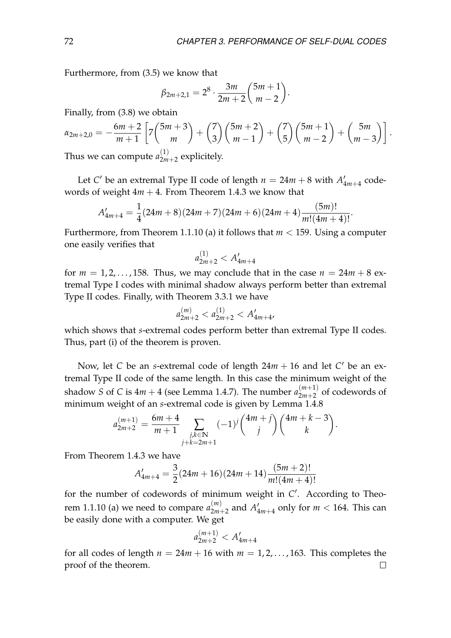Furthermore, from [\(3.5\)](#page-71-3) we know that

$$
\beta_{2m+2,1}=2^8\cdot\frac{3m}{2m+2}\binom{5m+1}{m-2}.
$$

Finally, from [\(3.8\)](#page-71-4) we obtain

$$
\alpha_{2m+2,0} = -\frac{6m+2}{m+1} \left[ 7 \binom{5m+3}{m} + \binom{7}{3} \binom{5m+2}{m-1} + \binom{7}{5} \binom{5m+1}{m-2} + \binom{5m}{m-3} \right].
$$
  
Thus we can compute  $a^{(1)}$  -multiplicity

Thus we can compute  $a_{2m}^{(1)}$  $\sum_{2m+2}^{(1)}$  explicitely.

Let *C*<sup> $\prime$ </sup> be an extremal Type II code of length  $n = 24m + 8$  with  $A\prime$  $l'_{4m+4}$  codewords of weight  $4m + 4$ . From Theorem [1.4.3](#page-28-0) we know that

$$
A'_{4m+4} = \frac{1}{4}(24m+8)(24m+7)(24m+6)(24m+4)\frac{(5m)!}{m!(4m+4)!}.
$$

Furthermore, from Theorem [1.1.10](#page-18-0) (a) it follows that *m* < 159. Using a computer one easily verifies that

$$
a_{2m+2}^{(1)} < A_{4m+4}'
$$

for  $m = 1, 2, \ldots, 158$ . Thus, we may conclude that in the case  $n = 24m + 8$  extremal Type I codes with minimal shadow always perform better than extremal Type II codes. Finally, with Theorem [3.3.1](#page-70-0) we have

$$
a_{2m+2}^{(m)} < a_{2m+2}^{(1)} < A'_{4m+4},
$$

which shows that *s*-extremal codes perform better than extremal Type II codes. Thus, part (i) of the theorem is proven.

Now, let *C* be an *s*-extremal code of length  $24m + 16$  and let *C*<sup> $\prime$ </sup> be an extremal Type II code of the same length. In this case the minimum weight of the shadow *S* of *C* is  $4m + 4$  (see Lemma [1.4.7\)](#page-29-0). The number  $a_{2m+2}^{(m+1)}$  $2m+2$  of codewords of minimum weight of an *s*-extremal code is given by Lemma [1.4.8](#page-30-1)

$$
a_{2m+2}^{(m+1)} = \frac{6m+4}{m+1} \sum_{\substack{j,k \in \mathbb{N} \\ j+k=2m+1}} (-1)^j {4m+j \choose j} {4m+k-3 \choose k}.
$$

From Theorem [1.4.3](#page-28-0) we have

$$
A'_{4m+4} = \frac{3}{2}(24m+16)(24m+14)\frac{(5m+2)!}{m!(4m+4)!}
$$

for the number of codewords of minimum weight in C<sup>'</sup>. According to Theo-rem [1.1.10](#page-18-0) (a) we need to compare  $a_{2m}^{(m)}$  $\binom{m}{2m+2}$  and  $A_4'$  $\frac{7}{4m+4}$  only for  $m < 164$ . This can be easily done with a computer. We get

$$
a_{2m+2}^{(m+1)} < A'_{4m+4}
$$

for all codes of length  $n = 24m + 16$  with  $m = 1, 2, \ldots, 163$ . This completes the proof of the theorem. $\Box$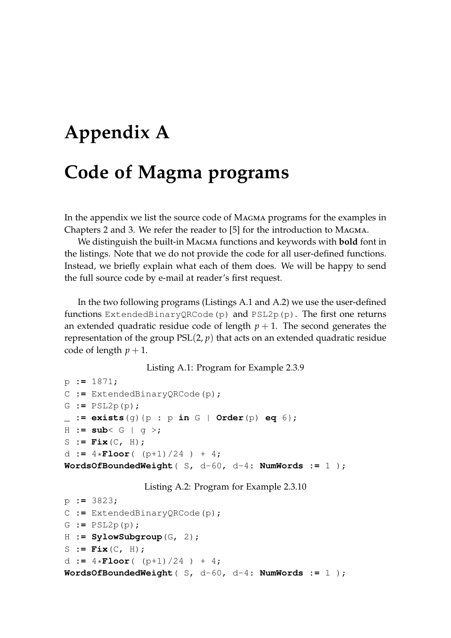# **Appendix A Code of Magma programs**

In the appendix we list the source code of Magma programs for the examples in Chapters [2](#page-32-0) and [3.](#page-66-0) We refer the reader to [\[5\]](#page-80-0) for the introduction to Magma.

We distinguish the built-in Magma functions and keywords with **bold** font in the listings. Note that we do not provide the code for all user-defined functions. Instead, we briefly explain what each of them does. We will be happy to send the full source code by e-mail at reader's first request.

In the two following programs (Listings [A.1](#page-74-0) and [A.2\)](#page-74-1) we use the user-defined functions ExtendedBinaryQRCode(p) and  $PSL2p(p)$ . The first one returns an extended quadratic residue code of length  $p + 1$ . The second generates the representation of the group  $PSL(2, p)$  that acts on an extended quadratic residue code of length  $p + 1$ .

Listing A.1: Program for Example [2.3.9](#page-41-0)

```
p := 1871;
C := ExtendedBinaryQRCode(p);
G := PSL2p(p);
_ := exists(g){p : p in G | Order(p) eq 6};
H := sub< G | g >;
S := Fix(C, H);
d := 4 \times \text{Floor} (p+1)/24 ) + 4;
WordsOfBoundedWeight( S, d-60, d-4: NumWords := 1 );
```

```
Listing A.2: Program for Example 2.3.10
```

```
p := 3823;
C := ExtendedBinaryQRCode(p);
G := PSL2p(p);
H := SylowSubgroup(G, 2);
S := Fix(C, H);
d := 4 \times \text{Floor} (p+1)/24 ) + 4;
WordsOfBoundedWeight( S, d-60, d-4: NumWords := 1 );
```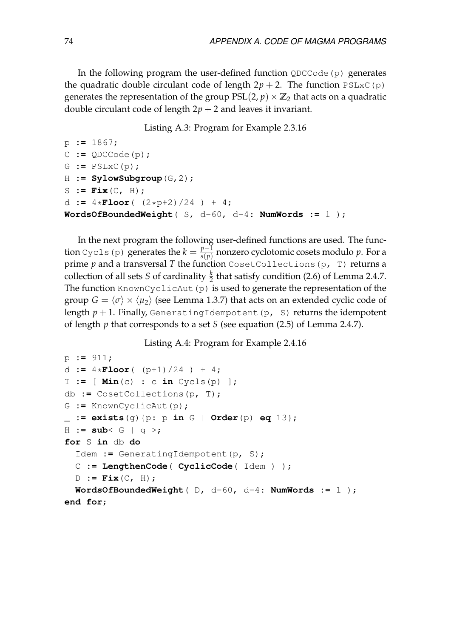In the following program the user-defined function QDCCode(p) generates the quadratic double circulant code of length  $2p + 2$ . The function PSLxC(p) generates the representation of the group  $PSL(2, p) \times \mathbb{Z}_2$  that acts on a quadratic double circulant code of length  $2p + 2$  and leaves it invariant.

#### Listing A.3: Program for Example [2.3.16](#page-43-0)

```
p := 1867;
C := QDCCode(p);
G := PSLxC(p);
H := SylowSubgroup(G,2);
S := Fix(C, H);d := 4*Floor( (2*p+2)/24 ) + 4;
WordsOfBoundedWeight( S, d-60, d-4: NumWords := 1 );
```
In the next program the following user-defined functions are used. The function Cycls (p) generates the  $k = \frac{p-1}{s(p)}$  $\frac{p-1}{s(p)}$  nonzero cyclotomic cosets modulo  $p$ . For a prime *p* and a transversal *T* the function CosetCollections(p, T) returns a collection of all sets *S* of cardinality  $\frac{k}{2}$  that satisfy condition [\(2.6\)](#page-45-0) of Lemma [2.4.7.](#page-45-1) The function KnownCyclicAut (p) is used to generate the representation of the group  $G = \langle \sigma \rangle \rtimes \langle \mu_2 \rangle$  (see Lemma [1.3.7\)](#page-24-0) that acts on an extended cyclic code of length  $p + 1$ . Finally, GeneratingIdempotent(p, S) returns the idempotent of length *p* that corresponds to a set *S* (see equation [\(2.5\)](#page-45-2) of Lemma [2.4.7\)](#page-45-1).

Listing A.4: Program for Example [2.4.16](#page-49-0)

```
p := 911;
d := 4*Floor( (p+1)/24 ) + 4;
T := [Min(c) : c in Cycles(p)]db := CosetCollections(p, T);
G := KnownCyclicAut(p);
_ := exists(g){p: p in G | Order(p) eq 13};
H := sub< G | g >;
for S in db do
  Idem := GeneratingIdempotent(p, S);
  C := LengthenCode( CyclicCode( Idem ) );
  D := Fix(C, H);
  WordsOfBoundedWeight( D, d-60, d-4: NumWords := 1 );
end for;
```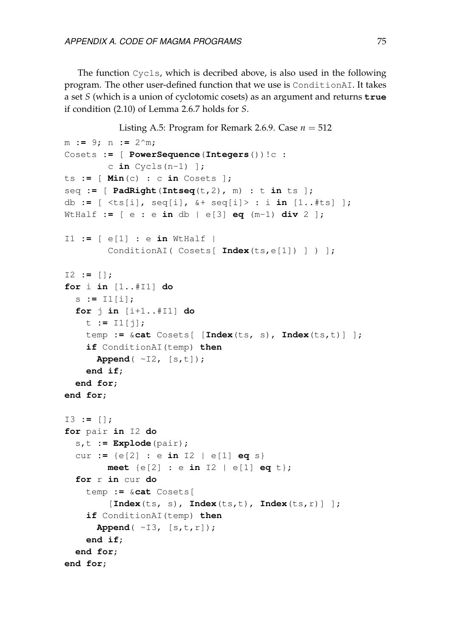The function Cycls, which is decribed above, is also used in the following program. The other user-defined function that we use is ConditionAI. It takes a set *S* (which is a union of cyclotomic cosets) as an argument and returns **true** if condition [\(2.10\)](#page-53-0) of Lemma [2.6.7](#page-53-1) holds for *S*.

```
2.6.9. Case n = 512m := 9; n := 2^m;
Cosets := [ PowerSequence(Integers())!c :
        c in Cycls(n-1) ];
ts := [ Min(c) : c in Cosets ];
seq := [ PadRight(Intseq(t,2), m) : t in ts ];
db := [ <ts[i], seq[i], &+ seq[i]> : i in [1..#ts] ];
WtHalf := [ e : e in db | e[3] eq (m-1) div 2 ];
I1 := [ e[1] : e in WtHalf |
        ConditionAI( Cosets[ Index(ts,e[1]) ] ) ];
I2 := [];
for i in [1..#I1] do
  s := I1[i];
  for j in [i+1..#I1] do
    t := I1[j];
    temp := &cat Cosets[ [Index(ts, s), Index(ts,t)] ];
    if ConditionAI(temp) then
      Append( ~I2, [s,t]);
    end if;
  end for;
end for;
I3 := [];
for pair in I2 do
  s,t := Explode(pair);
  cur := {e[2] : e in I2 | e[1] eq s}
        meet {e[2] : e in I2 | e[1] eq t};
  for r in cur do
    temp := &cat Cosets[
        [Index(ts, s), Index(ts,t), Index(ts,r)] ];
    if ConditionAI(temp) then
      Append( ~I3, [s,t,r]);
    end if;
  end for;
end for;
```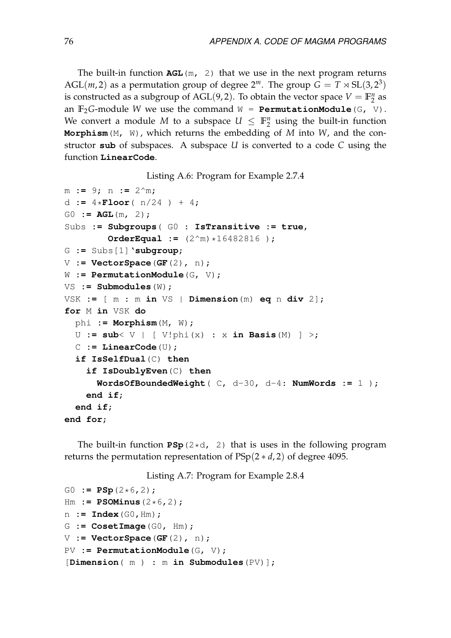The built-in function **AGL**(m, 2) that we use in the next program returns AGL(*m*, 2) as a permutation group of degree  $2^m$ . The group  $G = T \rtimes SL(3, 2^3)$ is constructed as a subgroup of AGL(9,2). To obtain the vector space  $V = \mathbb{F}_2^n$  $\frac{n}{2}$  as an  $\mathbb{F}_2$ *G*-module *W* we use the command  $W = \text{PermutationModule}(G, V)$ . We convert a module M to a subspace  $U \leq \mathbb{F}_2^n$  $\frac{n}{2}$  using the built-in function **Morphism**(M, W), which returns the embedding of *M* into *W*, and the constructor **sub** of subspaces. A subspace *U* is converted to a code *C* using the function **LinearCode**.

Listing A.6: Program for Example [2.7.4](#page-57-0)

```
m := 9; n := 2^m;
d := 4*Floor(n/24) + 4;
G0 := AGL(m, 2);
Subs := Subgroups( G0 : IsTransitive := true,
        OrderEqual := (2^m)*16482816 );
G := Subs[1]'subgroup;
V := VectorSpace(GF(2), n);
W := PermutationModule(G, V);
VS := Submodules(W);
VSK := [ m : m in VS | Dimension(m) eq n div 2];
for M in VSK do
 phi := Morphism(M, W);
 U := sub< V | [ V!phi(x) : x in Basis(M) ] >;
 C := LinearCode(U);
  if IsSelfDual(C) then
    if IsDoublyEven(C) then
      WordsOfBoundedWeight( C, d-30, d-4: NumWords := 1 );
    end if;
  end if;
end for;
```
The built-in function  $PSp(2*d, 2)$  that is uses in the following program returns the permutation representation of PSp(2 ∗ *d*, 2) of degree 4095.

Listing A.7: Program for Example [2.8.4](#page-61-0)

```
G0 := PSp(2*6, 2);
Hm := PSOMinus(2*6,2);
n := Index(G0,Hm);
G := CosetImage(G0, Hm);
V := VectorSpace(GF(2), n);
PV := PermutationModule(G, V);
[Dimension( m ) : m in Submodules(PV)];
```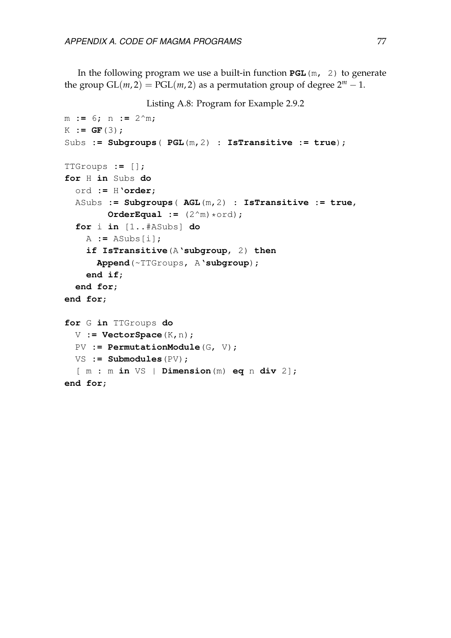In the following program we use a built-in function **PGL**(m, 2) to generate the group  $GL(m, 2) = PGL(m, 2)$  as a permutation group of degree  $2^m - 1$ .

```
Listing A.8: Program for Example 2.9.2
```

```
m := 6; n := 2^m;
K := GF(3);
Subs := Subgroups( PGL(m,2) : IsTransitive := true);
TTGroups := [];
for H in Subs do
  ord := H'order;
  ASubs := Subgroups( AGL(m,2) : IsTransitive := true,
        OrderEqual := (2^m)*ord;for i in [1..#ASubs] do
    A := ASubs[i];
    if IsTransitive(A'subgroup, 2) then
      Append(~TTGroups, A'subgroup);
    end if;
  end for;
end for;
for G in TTGroups do
 V := VectorSpace(K,n);
  PV := PermutationModule(G, V);
 VS := Submodules(PV);
  [ m : m in VS | Dimension(m) eq n div 2];
end for;
```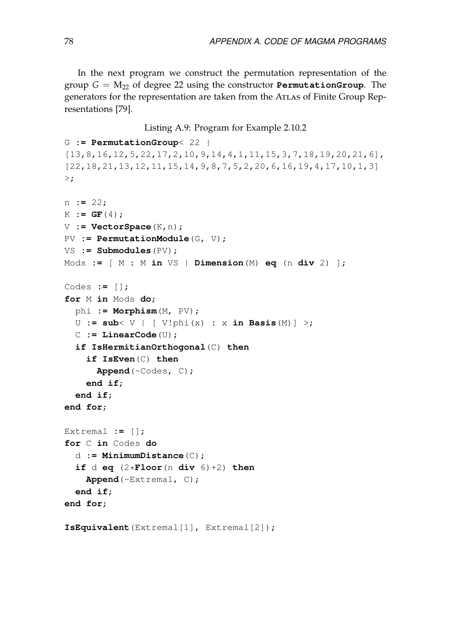In the next program we construct the permutation representation of the group  $G = M_{22}$  of degree 22 using the constructor **PermutationGroup**. The generators for the representation are taken from the Atlas of Finite Group Representations [\[79\]](#page-85-0).

#### Listing A.9: Program for Example [2.10.2](#page-64-0)

```
G := PermutationGroup< 22 |
[13,8,16,12,5,22,17,2,10,9,14,4,1,11,15,3,7,18,19,20,21,6],
[22,18,21,13,12,11,15,14,9,8,7,5,2,20,6,16,19,4,17,10,1,3]
>;
n := 22;
K := GF(4);
V := VectorSpace(K,n);
PV := PermutationModule(G, V);
VS := Submodules(PV);
Mods := [ M : M in VS | Dimension(M) eq (n div 2) ];
Codes := [];
for M in Mods do;
  phi := Morphism(M, PV);
  U := sub< V | [ V!phi(x) : x in Basis(M)] >;
  C := LinearCode(U);
  if IsHermitianOrthogonal(C) then
    if IsEven(C) then
      Append(~Codes, C);
    end if;
  end if;
end for;
Extremal := [];
for C in Codes do
  d := MinimumDistance(C);
  if d eq (2 \star \textbf{Floor} (n \textbf{div } 6) + 2) then
    Append(~Extremal, C);
  end if;
end for;
IsEquivalent(Extremal[1], Extremal[2]);
```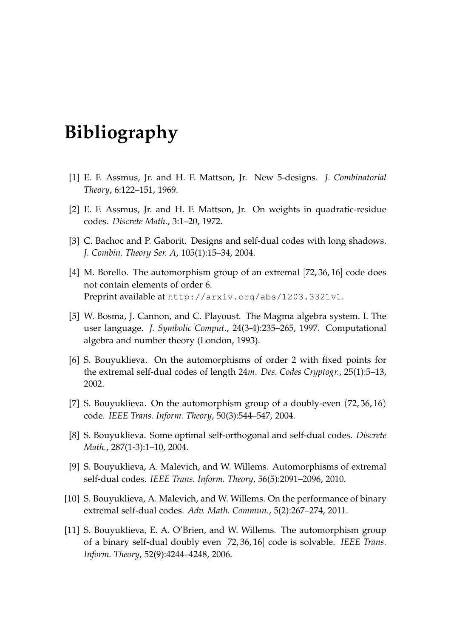## **Bibliography**

- [1] E. F. Assmus, Jr. and H. F. Mattson, Jr. New 5-designs. *J. Combinatorial Theory*, 6:122–151, 1969.
- [2] E. F. Assmus, Jr. and H. F. Mattson, Jr. On weights in quadratic-residue codes. *Discrete Math.*, 3:1–20, 1972.
- [3] C. Bachoc and P. Gaborit. Designs and self-dual codes with long shadows. *J. Combin. Theory Ser. A*, 105(1):15–34, 2004.
- [4] M. Borello. The automorphism group of an extremal [72, 36, 16] code does not contain elements of order 6. Preprint available at http://arxiv.org/abs/1203.3321v1.
- <span id="page-80-0"></span>[5] W. Bosma, J. Cannon, and C. Playoust. The Magma algebra system. I. The user language. *J. Symbolic Comput.*, 24(3-4):235–265, 1997. Computational algebra and number theory (London, 1993).
- [6] S. Bouyuklieva. On the automorphisms of order 2 with fixed points for the extremal self-dual codes of length 24*m*. *Des. Codes Cryptogr.*, 25(1):5–13, 2002.
- [7] S. Bouyuklieva. On the automorphism group of a doubly-even (72, 36, 16) code. *IEEE Trans. Inform. Theory*, 50(3):544–547, 2004.
- [8] S. Bouyuklieva. Some optimal self-orthogonal and self-dual codes. *Discrete Math.*, 287(1-3):1–10, 2004.
- [9] S. Bouyuklieva, A. Malevich, and W. Willems. Automorphisms of extremal self-dual codes. *IEEE Trans. Inform. Theory*, 56(5):2091–2096, 2010.
- [10] S. Bouyuklieva, A. Malevich, and W. Willems. On the performance of binary extremal self-dual codes. *Adv. Math. Commun.*, 5(2):267–274, 2011.
- [11] S. Bouyuklieva, E. A. O'Brien, and W. Willems. The automorphism group of a binary self-dual doubly even [72, 36, 16] code is solvable. *IEEE Trans. Inform. Theory*, 52(9):4244–4248, 2006.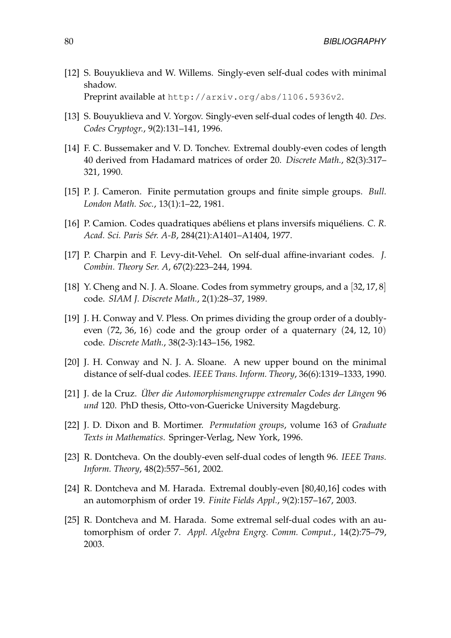- [12] S. Bouyuklieva and W. Willems. Singly-even self-dual codes with minimal shadow. Preprint available at http://arxiv.org/abs/1106.5936v2.
- [13] S. Bouyuklieva and V. Yorgov. Singly-even self-dual codes of length 40. *Des. Codes Cryptogr.*, 9(2):131–141, 1996.
- [14] F. C. Bussemaker and V. D. Tonchev. Extremal doubly-even codes of length 40 derived from Hadamard matrices of order 20. *Discrete Math.*, 82(3):317– 321, 1990.
- [15] P. J. Cameron. Finite permutation groups and finite simple groups. *Bull. London Math. Soc.*, 13(1):1–22, 1981.
- [16] P. Camion. Codes quadratiques abéliens et plans inversifs miquéliens. *C. R. Acad. Sci. Paris Sér. A-B*, 284(21):A1401–A1404, 1977.
- [17] P. Charpin and F. Levy-dit-Vehel. On self-dual affine-invariant codes. *J. Combin. Theory Ser. A*, 67(2):223–244, 1994.
- [18] Y. Cheng and N. J. A. Sloane. Codes from symmetry groups, and a [32, 17, 8] code. *SIAM J. Discrete Math.*, 2(1):28–37, 1989.
- [19] J. H. Conway and V. Pless. On primes dividing the group order of a doublyeven (72, 36, 16) code and the group order of a quaternary (24, 12, 10) code. *Discrete Math.*, 38(2-3):143–156, 1982.
- [20] J. H. Conway and N. J. A. Sloane. A new upper bound on the minimal distance of self-dual codes. *IEEE Trans. Inform. Theory*, 36(6):1319–1333, 1990.
- [21] J. de la Cruz. *Über die Automorphismengruppe extremaler Codes der Längen* 96 *und* 120. PhD thesis, Otto-von-Guericke University Magdeburg.
- [22] J. D. Dixon and B. Mortimer. *Permutation groups*, volume 163 of *Graduate Texts in Mathematics*. Springer-Verlag, New York, 1996.
- [23] R. Dontcheva. On the doubly-even self-dual codes of length 96. *IEEE Trans. Inform. Theory*, 48(2):557–561, 2002.
- [24] R. Dontcheva and M. Harada. Extremal doubly-even [80,40,16] codes with an automorphism of order 19. *Finite Fields Appl.*, 9(2):157–167, 2003.
- [25] R. Dontcheva and M. Harada. Some extremal self-dual codes with an automorphism of order 7. *Appl. Algebra Engrg. Comm. Comput.*, 14(2):75–79, 2003.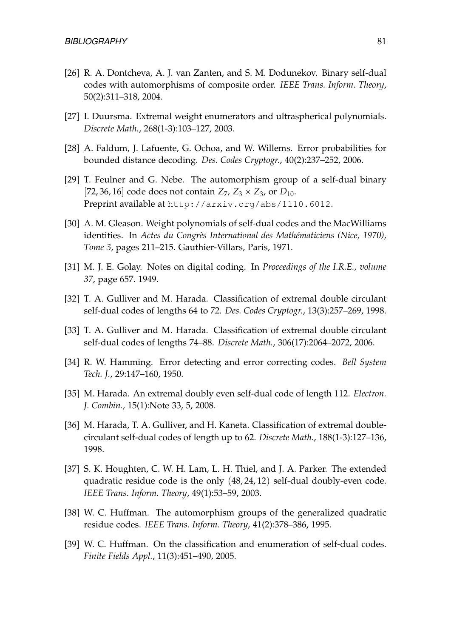- [26] R. A. Dontcheva, A. J. van Zanten, and S. M. Dodunekov. Binary self-dual codes with automorphisms of composite order. *IEEE Trans. Inform. Theory*, 50(2):311–318, 2004.
- [27] I. Duursma. Extremal weight enumerators and ultraspherical polynomials. *Discrete Math.*, 268(1-3):103–127, 2003.
- [28] A. Faldum, J. Lafuente, G. Ochoa, and W. Willems. Error probabilities for bounded distance decoding. *Des. Codes Cryptogr.*, 40(2):237–252, 2006.
- [29] T. Feulner and G. Nebe. The automorphism group of a self-dual binary [72, 36, 16] code does not contain  $Z_7$ ,  $Z_3 \times Z_3$ , or  $D_{10}$ . Preprint available at http://arxiv.org/abs/1110.6012.
- [30] A. M. Gleason. Weight polynomials of self-dual codes and the MacWilliams identities. In *Actes du Congrès International des Mathématiciens (Nice, 1970), Tome 3*, pages 211–215. Gauthier-Villars, Paris, 1971.
- [31] M. J. E. Golay. Notes on digital coding. In *Proceedings of the I.R.E., volume 37*, page 657. 1949.
- [32] T. A. Gulliver and M. Harada. Classification of extremal double circulant self-dual codes of lengths 64 to 72. *Des. Codes Cryptogr.*, 13(3):257–269, 1998.
- [33] T. A. Gulliver and M. Harada. Classification of extremal double circulant self-dual codes of lengths 74–88. *Discrete Math.*, 306(17):2064–2072, 2006.
- [34] R. W. Hamming. Error detecting and error correcting codes. *Bell System Tech. J.*, 29:147–160, 1950.
- [35] M. Harada. An extremal doubly even self-dual code of length 112. *Electron. J. Combin.*, 15(1):Note 33, 5, 2008.
- [36] M. Harada, T. A. Gulliver, and H. Kaneta. Classification of extremal doublecirculant self-dual codes of length up to 62. *Discrete Math.*, 188(1-3):127–136, 1998.
- [37] S. K. Houghten, C. W. H. Lam, L. H. Thiel, and J. A. Parker. The extended quadratic residue code is the only (48, 24, 12) self-dual doubly-even code. *IEEE Trans. Inform. Theory*, 49(1):53–59, 2003.
- [38] W. C. Huffman. The automorphism groups of the generalized quadratic residue codes. *IEEE Trans. Inform. Theory*, 41(2):378–386, 1995.
- [39] W. C. Huffman. On the classification and enumeration of self-dual codes. *Finite Fields Appl.*, 11(3):451–490, 2005.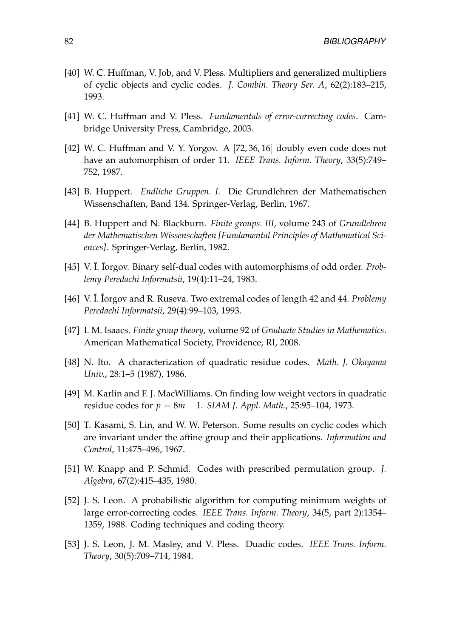- [40] W. C. Huffman, V. Job, and V. Pless. Multipliers and generalized multipliers of cyclic objects and cyclic codes. *J. Combin. Theory Ser. A*, 62(2):183–215, 1993.
- [41] W. C. Huffman and V. Pless. *Fundamentals of error-correcting codes*. Cambridge University Press, Cambridge, 2003.
- [42] W. C. Huffman and V. Y. Yorgov. A [72, 36, 16] doubly even code does not have an automorphism of order 11. *IEEE Trans. Inform. Theory*, 33(5):749– 752, 1987.
- [43] B. Huppert. *Endliche Gruppen. I*. Die Grundlehren der Mathematischen Wissenschaften, Band 134. Springer-Verlag, Berlin, 1967.
- [44] B. Huppert and N. Blackburn. *Finite groups. III*, volume 243 of *Grundlehren der Mathematischen Wissenschaften [Fundamental Principles of Mathematical Sciences]*. Springer-Verlag, Berlin, 1982.
- [45] V. I. Iorgov. Binary self-dual codes with automorphisms of odd order. *Problemy Peredachi Informatsii*, 19(4):11–24, 1983.
- [46] V. I. Iorgov and R. Ruseva. Two extremal codes of length 42 and 44. *Problemy Peredachi Informatsii*, 29(4):99–103, 1993.
- [47] I. M. Isaacs. *Finite group theory*, volume 92 of *Graduate Studies in Mathematics*. American Mathematical Society, Providence, RI, 2008.
- [48] N. Ito. A characterization of quadratic residue codes. *Math. J. Okayama Univ.*, 28:1–5 (1987), 1986.
- [49] M. Karlin and F. J. MacWilliams. On finding low weight vectors in quadratic residue codes for *p* = 8*m* − 1. *SIAM J. Appl. Math.*, 25:95–104, 1973.
- [50] T. Kasami, S. Lin, and W. W. Peterson. Some results on cyclic codes which are invariant under the affine group and their applications. *Information and Control*, 11:475–496, 1967.
- [51] W. Knapp and P. Schmid. Codes with prescribed permutation group. *J. Algebra*, 67(2):415–435, 1980.
- [52] J. S. Leon. A probabilistic algorithm for computing minimum weights of large error-correcting codes. *IEEE Trans. Inform. Theory*, 34(5, part 2):1354– 1359, 1988. Coding techniques and coding theory.
- [53] J. S. Leon, J. M. Masley, and V. Pless. Duadic codes. *IEEE Trans. Inform. Theory*, 30(5):709–714, 1984.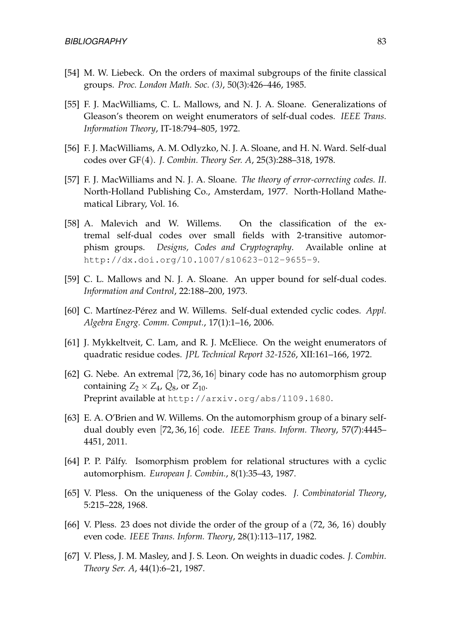- [54] M. W. Liebeck. On the orders of maximal subgroups of the finite classical groups. *Proc. London Math. Soc. (3)*, 50(3):426–446, 1985.
- [55] F. J. MacWilliams, C. L. Mallows, and N. J. A. Sloane. Generalizations of Gleason's theorem on weight enumerators of self-dual codes. *IEEE Trans. Information Theory*, IT-18:794–805, 1972.
- [56] F. J. MacWilliams, A. M. Odlyzko, N. J. A. Sloane, and H. N. Ward. Self-dual codes over GF(4). *J. Combin. Theory Ser. A*, 25(3):288–318, 1978.
- [57] F. J. MacWilliams and N. J. A. Sloane. *The theory of error-correcting codes. II*. North-Holland Publishing Co., Amsterdam, 1977. North-Holland Mathematical Library, Vol. 16.
- [58] A. Malevich and W. Willems. On the classification of the extremal self-dual codes over small fields with 2-transitive automorphism groups. *Designs, Codes and Cryptography*. Available online at http://dx.doi.org/10.1007/s10623-012-9655-9.
- [59] C. L. Mallows and N. J. A. Sloane. An upper bound for self-dual codes. *Information and Control*, 22:188–200, 1973.
- [60] C. Martínez-Pérez and W. Willems. Self-dual extended cyclic codes. *Appl. Algebra Engrg. Comm. Comput.*, 17(1):1–16, 2006.
- [61] J. Mykkeltveit, C. Lam, and R. J. McEliece. On the weight enumerators of quadratic residue codes. *JPL Technical Report 32-1526*, XII:161–166, 1972.
- [62] G. Nebe. An extremal [72, 36, 16] binary code has no automorphism group containing  $Z_2 \times Z_4$ ,  $Q_8$ , or  $Z_{10}$ . Preprint available at http://arxiv.org/abs/1109.1680.
- [63] E. A. O'Brien and W. Willems. On the automorphism group of a binary selfdual doubly even [72, 36, 16] code. *IEEE Trans. Inform. Theory*, 57(7):4445– 4451, 2011.
- [64] P. P. Pálfy. Isomorphism problem for relational structures with a cyclic automorphism. *European J. Combin.*, 8(1):35–43, 1987.
- [65] V. Pless. On the uniqueness of the Golay codes. *J. Combinatorial Theory*, 5:215–228, 1968.
- [66] V. Pless. 23 does not divide the order of the group of a (72, 36, 16) doubly even code. *IEEE Trans. Inform. Theory*, 28(1):113–117, 1982.
- [67] V. Pless, J. M. Masley, and J. S. Leon. On weights in duadic codes. *J. Combin. Theory Ser. A*, 44(1):6–21, 1987.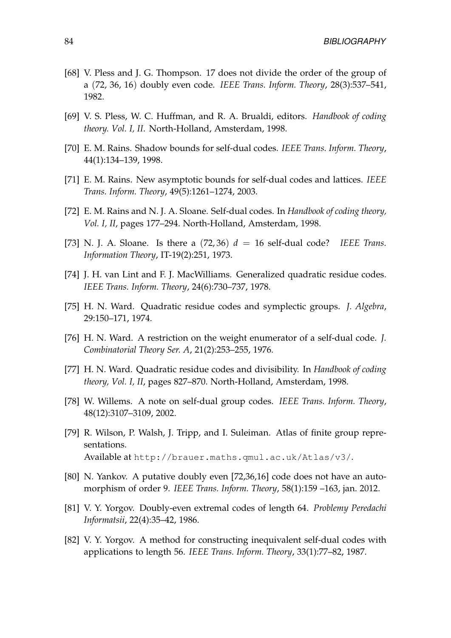- [68] V. Pless and J. G. Thompson. 17 does not divide the order of the group of a (72, 36, 16) doubly even code. *IEEE Trans. Inform. Theory*, 28(3):537–541, 1982.
- [69] V. S. Pless, W. C. Huffman, and R. A. Brualdi, editors. *Handbook of coding theory. Vol. I, II*. North-Holland, Amsterdam, 1998.
- [70] E. M. Rains. Shadow bounds for self-dual codes. *IEEE Trans. Inform. Theory*, 44(1):134–139, 1998.
- [71] E. M. Rains. New asymptotic bounds for self-dual codes and lattices. *IEEE Trans. Inform. Theory*, 49(5):1261–1274, 2003.
- [72] E. M. Rains and N. J. A. Sloane. Self-dual codes. In *Handbook of coding theory, Vol. I, II*, pages 177–294. North-Holland, Amsterdam, 1998.
- [73] N. J. A. Sloane. Is there a  $(72, 36)$   $d = 16$  self-dual code? *IEEE Trans. Information Theory*, IT-19(2):251, 1973.
- [74] J. H. van Lint and F. J. MacWilliams. Generalized quadratic residue codes. *IEEE Trans. Inform. Theory*, 24(6):730–737, 1978.
- [75] H. N. Ward. Quadratic residue codes and symplectic groups. *J. Algebra*, 29:150–171, 1974.
- [76] H. N. Ward. A restriction on the weight enumerator of a self-dual code. *J. Combinatorial Theory Ser. A*, 21(2):253–255, 1976.
- [77] H. N. Ward. Quadratic residue codes and divisibility. In *Handbook of coding theory, Vol. I, II*, pages 827–870. North-Holland, Amsterdam, 1998.
- [78] W. Willems. A note on self-dual group codes. *IEEE Trans. Inform. Theory*, 48(12):3107–3109, 2002.
- <span id="page-85-0"></span>[79] R. Wilson, P. Walsh, J. Tripp, and I. Suleiman. Atlas of finite group representations. Available at http://brauer.maths.qmul.ac.uk/Atlas/v3/.
- [80] N. Yankov. A putative doubly even [72,36,16] code does not have an automorphism of order 9. *IEEE Trans. Inform. Theory*, 58(1):159 –163, jan. 2012.
- [81] V. Y. Yorgov. Doubly-even extremal codes of length 64. *Problemy Peredachi Informatsii*, 22(4):35–42, 1986.
- [82] V. Y. Yorgov. A method for constructing inequivalent self-dual codes with applications to length 56. *IEEE Trans. Inform. Theory*, 33(1):77–82, 1987.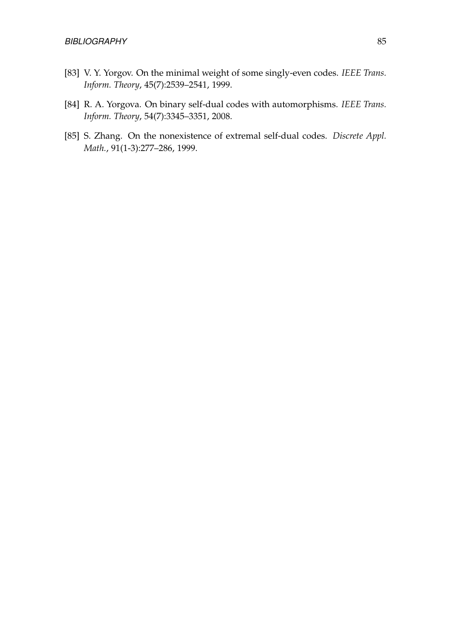- [83] V. Y. Yorgov. On the minimal weight of some singly-even codes. *IEEE Trans. Inform. Theory*, 45(7):2539–2541, 1999.
- [84] R. A. Yorgova. On binary self-dual codes with automorphisms. *IEEE Trans. Inform. Theory*, 54(7):3345–3351, 2008.
- [85] S. Zhang. On the nonexistence of extremal self-dual codes. *Discrete Appl. Math.*, 91(1-3):277–286, 1999.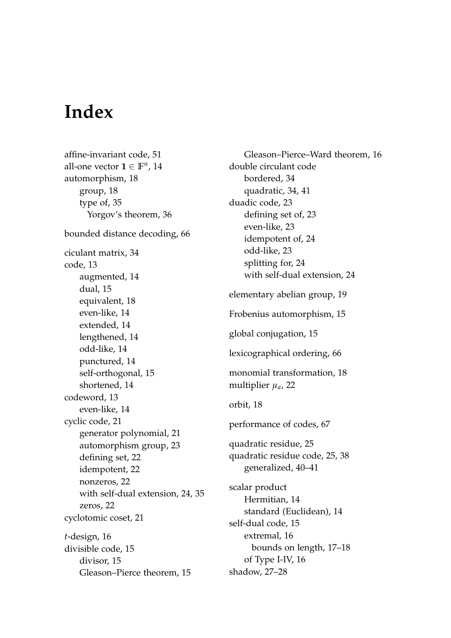### **Index**

affine-invariant code, [51](#page-52-0) all-one vector  $\mathbf{1} \in \mathbb{F}^n$ , [14](#page-15-0) automorphism, [18](#page-19-0) group, [18](#page-19-0) type of, [35](#page-36-0) Yorgov's theorem, [36](#page-37-0) bounded distance decoding, [66](#page-67-0) ciculant matrix, [34](#page-35-0) code, [13](#page-14-0) augmented, [14](#page-15-0) dual, [15](#page-16-0) equivalent, [18](#page-19-0) even-like, [14](#page-15-0) extended, [14](#page-15-0) lengthened, [14](#page-15-0) odd-like, [14](#page-15-0) punctured, [14](#page-15-0) self-orthogonal, [15](#page-16-0) shortened, [14](#page-15-0) codeword, [13](#page-14-0) even-like, [14](#page-15-0) cyclic code, [21](#page-22-0) generator polynomial, [21](#page-22-0) automorphism group, [23](#page-24-1) defining set, [22](#page-23-0) idempotent, [22](#page-23-0) nonzeros, [22](#page-23-0) with self-dual extension, [24,](#page-25-0) [35](#page-36-0) zeros, [22](#page-23-0) cyclotomic coset, [21](#page-22-0) *t*-design, [16](#page-17-0) divisible code, [15](#page-16-0) divisor, [15](#page-16-0) Gleason–Pierce theorem, [15](#page-16-0)

Gleason–Pierce–Ward theorem, [16](#page-17-0) double circulant code bordered, [34](#page-35-0) quadratic, [34,](#page-35-0) [41](#page-42-0) duadic code, [23](#page-24-1) defining set of, [23](#page-24-1) even-like, [23](#page-24-1) idempotent of, [24](#page-25-0) odd-like, [23](#page-24-1) splitting for, [24](#page-25-0) with self-dual extension, [24](#page-25-0) elementary abelian group, [19](#page-20-0) Frobenius automorphism, [15](#page-16-0) global conjugation, [15](#page-16-0) lexicographical ordering, [66](#page-67-0) monomial transformation, [18](#page-19-0) multiplier *µa*, [22](#page-23-0) orbit, [18](#page-19-0) performance of codes, [67](#page-68-0) quadratic residue, [25](#page-26-1) quadratic residue code, [25,](#page-26-1) [38](#page-39-0) generalized, [40–](#page-41-2)[41](#page-42-0) scalar product Hermitian, [14](#page-15-0) standard (Euclidean), [14](#page-15-0) self-dual code, [15](#page-16-0) extremal, [16](#page-17-0) bounds on length, [17–](#page-18-1)[18](#page-19-0) of Type I-IV, [16](#page-17-0) shadow, [27](#page-28-1)[–28](#page-29-1)